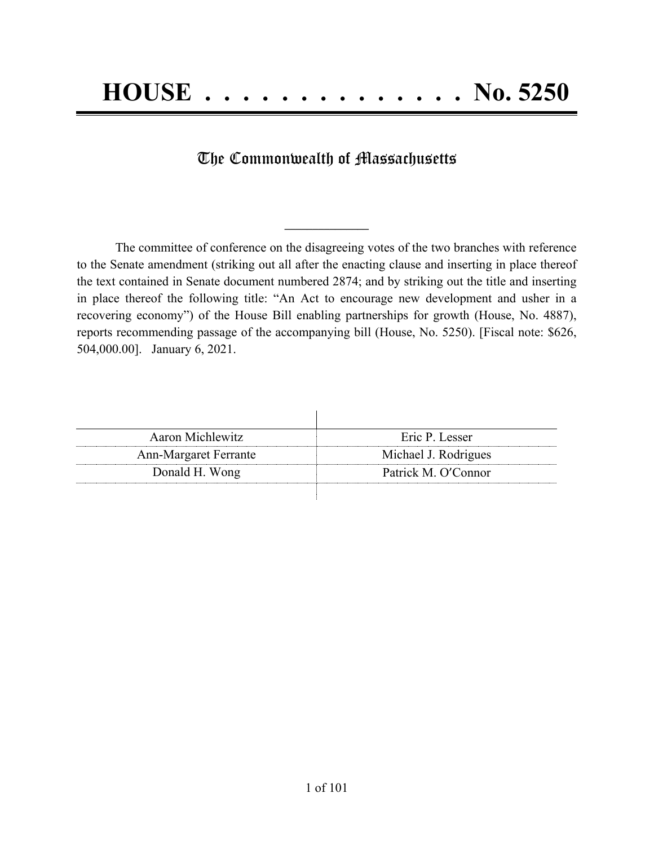# The Commonwealth of Massachusetts

**\_\_\_\_\_\_\_\_\_\_\_\_\_\_\_**

The committee of conference on the disagreeing votes of the two branches with reference to the Senate amendment (striking out all after the enacting clause and inserting in place thereof the text contained in Senate document numbered 2874; and by striking out the title and inserting in place thereof the following title: "An Act to encourage new development and usher in a recovering economy") of the House Bill enabling partnerships for growth (House, No. 4887), reports recommending passage of the accompanying bill (House, No. 5250). [Fiscal note: \$626, 504,000.00]. January 6, 2021.

| <b>Aaron Michlewitz</b>      | Eric P. Lesser       |
|------------------------------|----------------------|
| <b>Ann-Margaret Ferrante</b> | Michael J. Rodrigues |
| Donald H. Wong               | Patrick M. O'Connor  |
|                              |                      |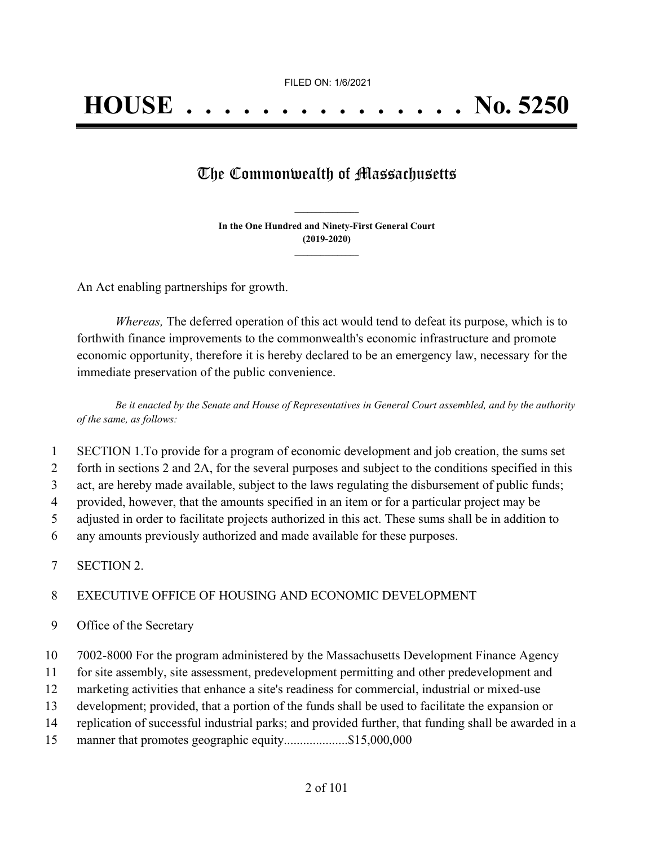## The Commonwealth of Massachusetts

**In the One Hundred and Ninety-First General Court (2019-2020) \_\_\_\_\_\_\_\_\_\_\_\_\_\_\_**

**\_\_\_\_\_\_\_\_\_\_\_\_\_\_\_**

An Act enabling partnerships for growth.

*Whereas,* The deferred operation of this act would tend to defeat its purpose, which is to forthwith finance improvements to the commonwealth's economic infrastructure and promote economic opportunity, therefore it is hereby declared to be an emergency law, necessary for the immediate preservation of the public convenience.

Be it enacted by the Senate and House of Representatives in General Court assembled, and by the authority *of the same, as follows:*

- 1 SECTION 1.To provide for a program of economic development and job creation, the sums set
- 2 forth in sections 2 and 2A, for the several purposes and subject to the conditions specified in this
- 3 act, are hereby made available, subject to the laws regulating the disbursement of public funds;
- 4 provided, however, that the amounts specified in an item or for a particular project may be
- 5 adjusted in order to facilitate projects authorized in this act. These sums shall be in addition to
- 6 any amounts previously authorized and made available for these purposes.
- 7 SECTION 2.

#### 8 EXECUTIVE OFFICE OF HOUSING AND ECONOMIC DEVELOPMENT

- 9 Office of the Secretary
- 10 7002-8000 For the program administered by the Massachusetts Development Finance Agency
- 11 for site assembly, site assessment, predevelopment permitting and other predevelopment and
- 12 marketing activities that enhance a site's readiness for commercial, industrial or mixed-use
- 13 development; provided, that a portion of the funds shall be used to facilitate the expansion or
- 14 replication of successful industrial parks; and provided further, that funding shall be awarded in a
- 15 manner that promotes geographic equity........................\$15,000,000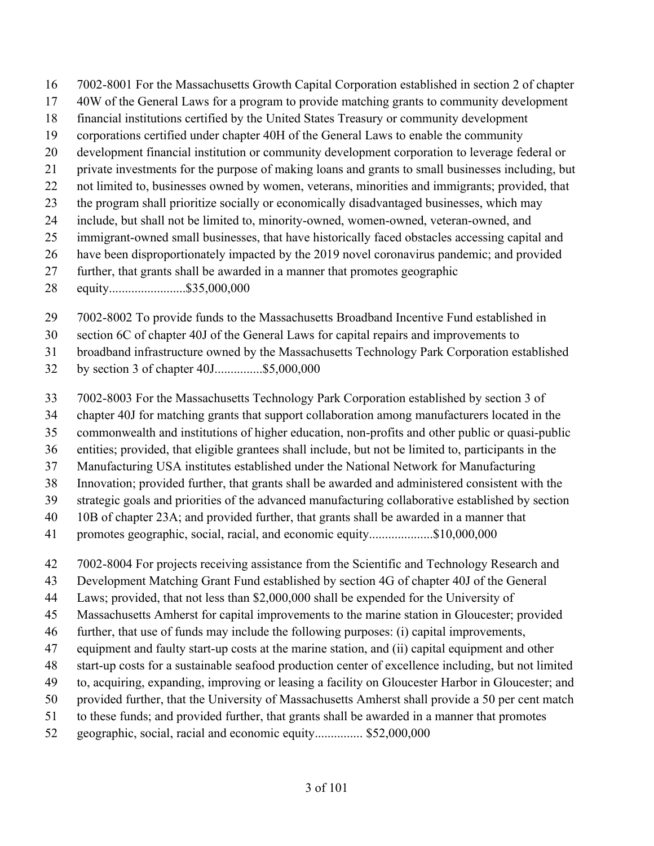- 7002-8001 For the Massachusetts Growth Capital Corporation established in section 2 of chapter
- 40W of the General Laws for a program to provide matching grants to community development
- financial institutions certified by the United States Treasury or community development
- corporations certified under chapter 40H of the General Laws to enable the community
- development financial institution or community development corporation to leverage federal or
- private investments for the purpose of making loans and grants to small businesses including, but
- not limited to, businesses owned by women, veterans, minorities and immigrants; provided, that
- the program shall prioritize socially or economically disadvantaged businesses, which may
- include, but shall not be limited to, minority-owned, women-owned, veteran-owned, and
- immigrant-owned small businesses, that have historically faced obstacles accessing capital and
- have been disproportionately impacted by the 2019 novel coronavirus pandemic; and provided
- further, that grants shall be awarded in a manner that promotes geographic
- equity........................\$35,000,000
- 7002-8002 To provide funds to the Massachusetts Broadband Incentive Fund established in
- section 6C of chapter 40J of the General Laws for capital repairs and improvements to
- broadband infrastructure owned by the Massachusetts Technology Park Corporation established
- by section 3 of chapter 40J...............\$5,000,000
- 7002-8003 For the Massachusetts Technology Park Corporation established by section 3 of
- chapter 40J for matching grants that support collaboration among manufacturers located in the
- commonwealth and institutions of higher education, non-profits and other public or quasi-public
- entities; provided, that eligible grantees shall include, but not be limited to, participants in the
- Manufacturing USA institutes established under the National Network for Manufacturing
- Innovation; provided further, that grants shall be awarded and administered consistent with the
- strategic goals and priorities of the advanced manufacturing collaborative established by section
- 10B of chapter 23A; and provided further, that grants shall be awarded in a manner that
- promotes geographic, social, racial, and economic equity....................\$10,000,000
- 7002-8004 For projects receiving assistance from the Scientific and Technology Research and
- Development Matching Grant Fund established by section 4G of chapter 40J of the General
- Laws; provided, that not less than \$2,000,000 shall be expended for the University of
- Massachusetts Amherst for capital improvements to the marine station in Gloucester; provided
- further, that use of funds may include the following purposes: (i) capital improvements,
- equipment and faulty start-up costs at the marine station, and (ii) capital equipment and other
- start-up costs for a sustainable seafood production center of excellence including, but not limited
- to, acquiring, expanding, improving or leasing a facility on Gloucester Harbor in Gloucester; and
- provided further, that the University of Massachusetts Amherst shall provide a 50 per cent match
- to these funds; and provided further, that grants shall be awarded in a manner that promotes
- geographic, social, racial and economic equity............... \$52,000,000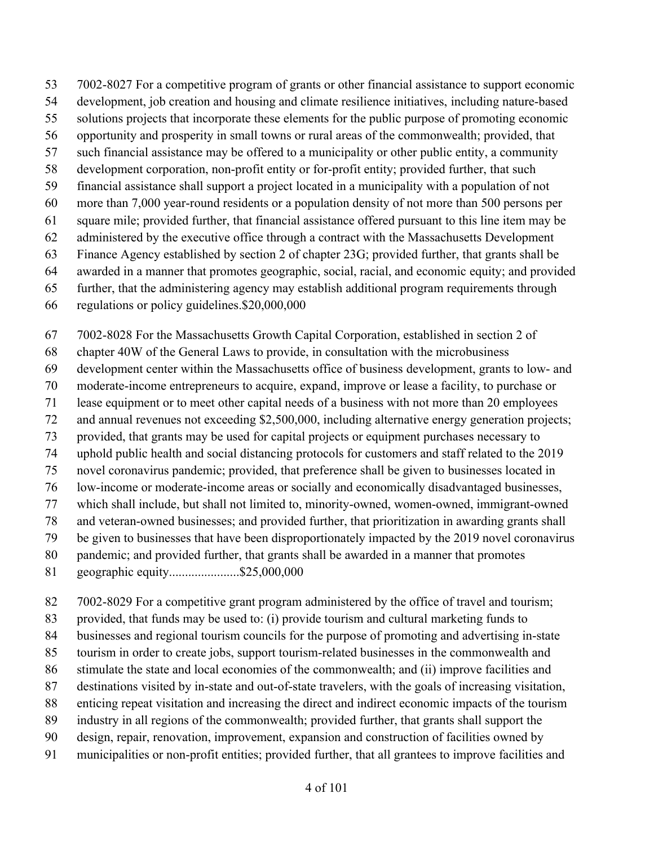7002-8027 For a competitive program of grants or other financial assistance to support economic

- development, job creation and housing and climate resilience initiatives, including nature-based
- solutions projects that incorporate these elements for the public purpose of promoting economic
- opportunity and prosperity in small towns or rural areas of the commonwealth; provided, that
- such financial assistance may be offered to a municipality or other public entity, a community
- development corporation, non-profit entity or for-profit entity; provided further, that such
- financial assistance shall support a project located in a municipality with a population of not more than 7,000 year-round residents or a population density of not more than 500 persons per
- square mile; provided further, that financial assistance offered pursuant to this line item may be
- administered by the executive office through a contract with the Massachusetts Development
- Finance Agency established by section 2 of chapter 23G; provided further, that grants shall be
- awarded in a manner that promotes geographic, social, racial, and economic equity; and provided
- further, that the administering agency may establish additional program requirements through
- regulations or policy guidelines.\$20,000,000
- 7002-8028 For the Massachusetts Growth Capital Corporation, established in section 2 of
- chapter 40W of the General Laws to provide, in consultation with the microbusiness
- development center within the Massachusetts office of business development, grants to low- and
- moderate-income entrepreneurs to acquire, expand, improve or lease a facility, to purchase or
- lease equipment or to meet other capital needs of a business with not more than 20 employees
- and annual revenues not exceeding \$2,500,000, including alternative energy generation projects;
- provided, that grants may be used for capital projects or equipment purchases necessary to
- uphold public health and social distancing protocols for customers and staff related to the 2019
- novel coronavirus pandemic; provided, that preference shall be given to businesses located in
- low-income or moderate-income areas or socially and economically disadvantaged businesses,
- which shall include, but shall not limited to, minority-owned, women-owned, immigrant-owned
- and veteran-owned businesses; and provided further, that prioritization in awarding grants shall
- be given to businesses that have been disproportionately impacted by the 2019 novel coronavirus
- pandemic; and provided further, that grants shall be awarded in a manner that promotes
- geographic equity......................\$25,000,000
- 7002-8029 For a competitive grant program administered by the office of travel and tourism;
- provided, that funds may be used to: (i) provide tourism and cultural marketing funds to
- businesses and regional tourism councils for the purpose of promoting and advertising in-state
- tourism in order to create jobs, support tourism-related businesses in the commonwealth and
- stimulate the state and local economies of the commonwealth; and (ii) improve facilities and
- destinations visited by in-state and out-of-state travelers, with the goals of increasing visitation,
- enticing repeat visitation and increasing the direct and indirect economic impacts of the tourism
- industry in all regions of the commonwealth; provided further, that grants shall support the
- design, repair, renovation, improvement, expansion and construction of facilities owned by
- municipalities or non-profit entities; provided further, that all grantees to improve facilities and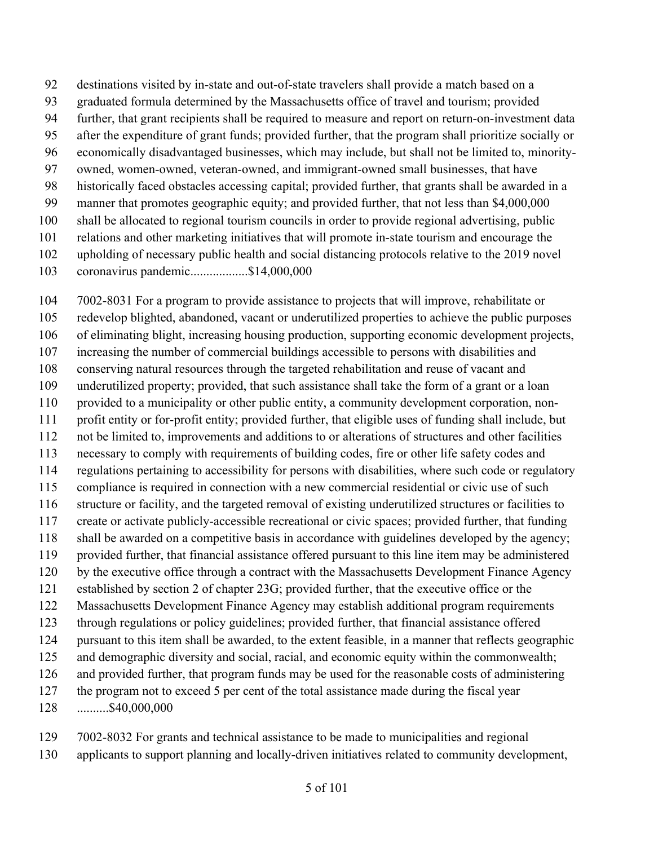destinations visited by in-state and out-of-state travelers shall provide a match based on a graduated formula determined by the Massachusetts office of travel and tourism; provided further, that grant recipients shall be required to measure and report on return-on-investment data after the expenditure of grant funds; provided further, that the program shall prioritize socially or economically disadvantaged businesses, which may include, but shall not be limited to, minority- owned, women-owned, veteran-owned, and immigrant-owned small businesses, that have historically faced obstacles accessing capital; provided further, that grants shall be awarded in a manner that promotes geographic equity; and provided further, that not less than \$4,000,000 shall be allocated to regional tourism councils in order to provide regional advertising, public relations and other marketing initiatives that will promote in-state tourism and encourage the upholding of necessary public health and social distancing protocols relative to the 2019 novel

coronavirus pandemic..................\$14,000,000

 7002-8031 For a program to provide assistance to projects that will improve, rehabilitate or redevelop blighted, abandoned, vacant or underutilized properties to achieve the public purposes of eliminating blight, increasing housing production, supporting economic development projects, increasing the number of commercial buildings accessible to persons with disabilities and conserving natural resources through the targeted rehabilitation and reuse of vacant and underutilized property; provided, that such assistance shall take the form of a grant or a loan provided to a municipality or other public entity, a community development corporation, non- profit entity or for-profit entity; provided further, that eligible uses of funding shall include, but not be limited to, improvements and additions to or alterations of structures and other facilities necessary to comply with requirements of building codes, fire or other life safety codes and regulations pertaining to accessibility for persons with disabilities, where such code or regulatory compliance is required in connection with a new commercial residential or civic use of such structure or facility, and the targeted removal of existing underutilized structures or facilities to create or activate publicly-accessible recreational or civic spaces; provided further, that funding shall be awarded on a competitive basis in accordance with guidelines developed by the agency; provided further, that financial assistance offered pursuant to this line item may be administered by the executive office through a contract with the Massachusetts Development Finance Agency established by section 2 of chapter 23G; provided further, that the executive office or the Massachusetts Development Finance Agency may establish additional program requirements through regulations or policy guidelines; provided further, that financial assistance offered pursuant to this item shall be awarded, to the extent feasible, in a manner that reflects geographic and demographic diversity and social, racial, and economic equity within the commonwealth; and provided further, that program funds may be used for the reasonable costs of administering the program not to exceed 5 per cent of the total assistance made during the fiscal year ..........\$40,000,000

 7002-8032 For grants and technical assistance to be made to municipalities and regional applicants to support planning and locally-driven initiatives related to community development,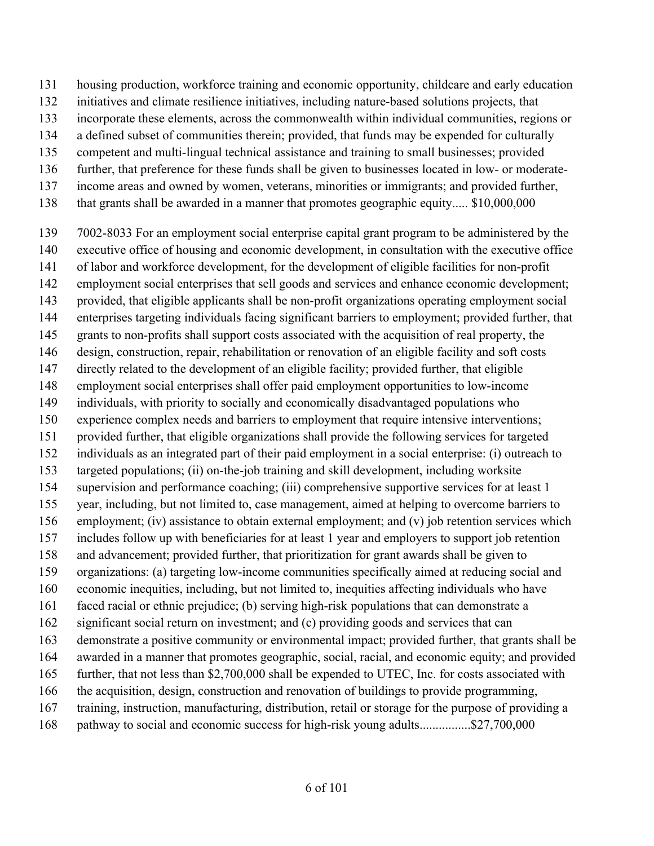housing production, workforce training and economic opportunity, childcare and early education

- initiatives and climate resilience initiatives, including nature-based solutions projects, that
- incorporate these elements, across the commonwealth within individual communities, regions or
- a defined subset of communities therein; provided, that funds may be expended for culturally
- competent and multi-lingual technical assistance and training to small businesses; provided
- further, that preference for these funds shall be given to businesses located in low- or moderate-
- income areas and owned by women, veterans, minorities or immigrants; and provided further,
- that grants shall be awarded in a manner that promotes geographic equity..... \$10,000,000
- 7002-8033 For an employment social enterprise capital grant program to be administered by the executive office of housing and economic development, in consultation with the executive office of labor and workforce development, for the development of eligible facilities for non-profit employment social enterprises that sell goods and services and enhance economic development; provided, that eligible applicants shall be non-profit organizations operating employment social enterprises targeting individuals facing significant barriers to employment; provided further, that grants to non-profits shall support costs associated with the acquisition of real property, the design, construction, repair, rehabilitation or renovation of an eligible facility and soft costs directly related to the development of an eligible facility; provided further, that eligible employment social enterprises shall offer paid employment opportunities to low-income individuals, with priority to socially and economically disadvantaged populations who experience complex needs and barriers to employment that require intensive interventions; provided further, that eligible organizations shall provide the following services for targeted individuals as an integrated part of their paid employment in a social enterprise: (i) outreach to targeted populations; (ii) on-the-job training and skill development, including worksite supervision and performance coaching; (iii) comprehensive supportive services for at least 1 year, including, but not limited to, case management, aimed at helping to overcome barriers to employment; (iv) assistance to obtain external employment; and (v) job retention services which includes follow up with beneficiaries for at least 1 year and employers to support job retention and advancement; provided further, that prioritization for grant awards shall be given to organizations: (a) targeting low-income communities specifically aimed at reducing social and economic inequities, including, but not limited to, inequities affecting individuals who have faced racial or ethnic prejudice; (b) serving high-risk populations that can demonstrate a significant social return on investment; and (c) providing goods and services that can demonstrate a positive community or environmental impact; provided further, that grants shall be awarded in a manner that promotes geographic, social, racial, and economic equity; and provided further, that not less than \$2,700,000 shall be expended to UTEC, Inc. for costs associated with the acquisition, design, construction and renovation of buildings to provide programming, training, instruction, manufacturing, distribution, retail or storage for the purpose of providing a 168 pathway to social and economic success for high-risk young adults.................\$27,700,000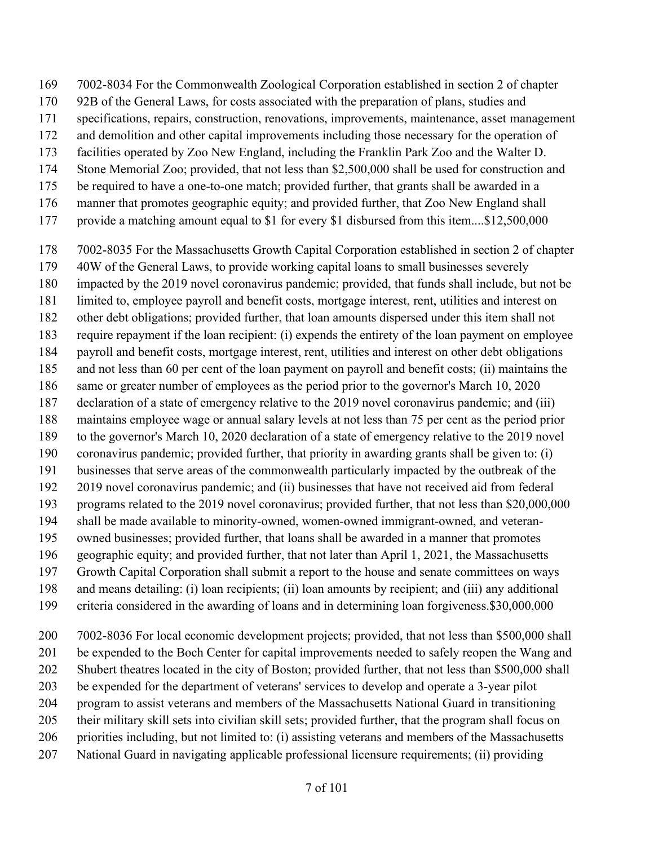- 7002-8034 For the Commonwealth Zoological Corporation established in section 2 of chapter
- 92B of the General Laws, for costs associated with the preparation of plans, studies and
- specifications, repairs, construction, renovations, improvements, maintenance, asset management
- and demolition and other capital improvements including those necessary for the operation of
- facilities operated by Zoo New England, including the Franklin Park Zoo and the Walter D.
- Stone Memorial Zoo; provided, that not less than \$2,500,000 shall be used for construction and
- be required to have a one-to-one match; provided further, that grants shall be awarded in a
- manner that promotes geographic equity; and provided further, that Zoo New England shall
- provide a matching amount equal to \$1 for every \$1 disbursed from this item....\$12,500,000
- 7002-8035 For the Massachusetts Growth Capital Corporation established in section 2 of chapter
- 40W of the General Laws, to provide working capital loans to small businesses severely
- impacted by the 2019 novel coronavirus pandemic; provided, that funds shall include, but not be
- limited to, employee payroll and benefit costs, mortgage interest, rent, utilities and interest on
- other debt obligations; provided further, that loan amounts dispersed under this item shall not
- require repayment if the loan recipient: (i) expends the entirety of the loan payment on employee
- payroll and benefit costs, mortgage interest, rent, utilities and interest on other debt obligations
- and not less than 60 per cent of the loan payment on payroll and benefit costs; (ii) maintains the
- same or greater number of employees as the period prior to the governor's March 10, 2020
- declaration of a state of emergency relative to the 2019 novel coronavirus pandemic; and (iii)
- maintains employee wage or annual salary levels at not less than 75 per cent as the period prior
- to the governor's March 10, 2020 declaration of a state of emergency relative to the 2019 novel
- coronavirus pandemic; provided further, that priority in awarding grants shall be given to: (i) businesses that serve areas of the commonwealth particularly impacted by the outbreak of the
- 2019 novel coronavirus pandemic; and (ii) businesses that have not received aid from federal
- programs related to the 2019 novel coronavirus; provided further, that not less than \$20,000,000
- shall be made available to minority-owned, women-owned immigrant-owned, and veteran-
- owned businesses; provided further, that loans shall be awarded in a manner that promotes
- geographic equity; and provided further, that not later than April 1, 2021, the Massachusetts
- Growth Capital Corporation shall submit a report to the house and senate committees on ways
- and means detailing: (i) loan recipients; (ii) loan amounts by recipient; and (iii) any additional
- criteria considered in the awarding of loans and in determining loan forgiveness.\$30,000,000
- 7002-8036 For local economic development projects; provided, that not less than \$500,000 shall be expended to the Boch Center for capital improvements needed to safely reopen the Wang and
- Shubert theatres located in the city of Boston; provided further, that not less than \$500,000 shall
- be expended for the department of veterans' services to develop and operate a 3-year pilot
- program to assist veterans and members of the Massachusetts National Guard in transitioning
- their military skill sets into civilian skill sets; provided further, that the program shall focus on
- priorities including, but not limited to: (i) assisting veterans and members of the Massachusetts
- National Guard in navigating applicable professional licensure requirements; (ii) providing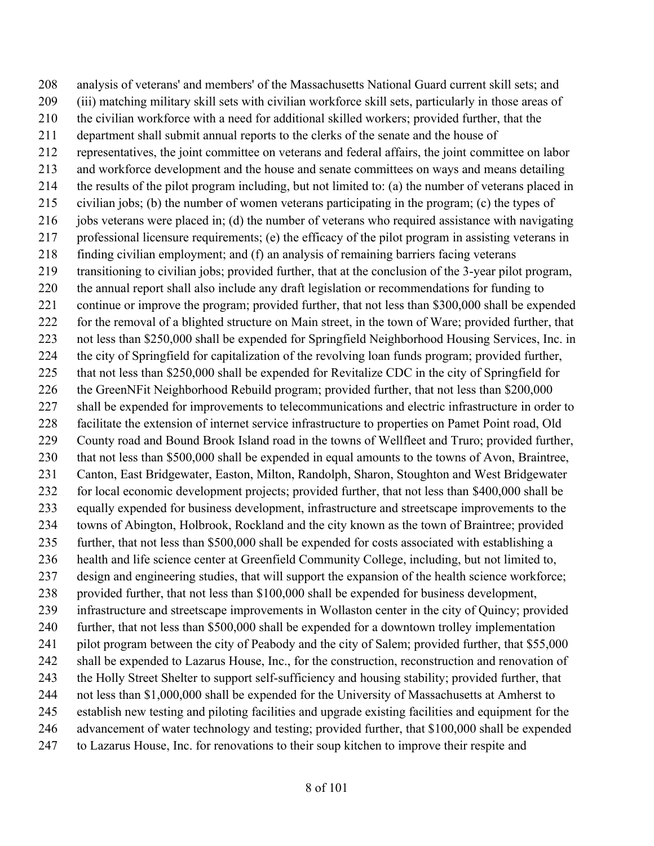analysis of veterans' and members' of the Massachusetts National Guard current skill sets; and (iii) matching military skill sets with civilian workforce skill sets, particularly in those areas of the civilian workforce with a need for additional skilled workers; provided further, that the department shall submit annual reports to the clerks of the senate and the house of representatives, the joint committee on veterans and federal affairs, the joint committee on labor and workforce development and the house and senate committees on ways and means detailing the results of the pilot program including, but not limited to: (a) the number of veterans placed in civilian jobs; (b) the number of women veterans participating in the program; (c) the types of jobs veterans were placed in; (d) the number of veterans who required assistance with navigating professional licensure requirements; (e) the efficacy of the pilot program in assisting veterans in finding civilian employment; and (f) an analysis of remaining barriers facing veterans transitioning to civilian jobs; provided further, that at the conclusion of the 3-year pilot program, the annual report shall also include any draft legislation or recommendations for funding to continue or improve the program; provided further, that not less than \$300,000 shall be expended for the removal of a blighted structure on Main street, in the town of Ware; provided further, that not less than \$250,000 shall be expended for Springfield Neighborhood Housing Services, Inc. in the city of Springfield for capitalization of the revolving loan funds program; provided further, that not less than \$250,000 shall be expended for Revitalize CDC in the city of Springfield for the GreenNFit Neighborhood Rebuild program; provided further, that not less than \$200,000 shall be expended for improvements to telecommunications and electric infrastructure in order to facilitate the extension of internet service infrastructure to properties on Pamet Point road, Old County road and Bound Brook Island road in the towns of Wellfleet and Truro; provided further, that not less than \$500,000 shall be expended in equal amounts to the towns of Avon, Braintree, Canton, East Bridgewater, Easton, Milton, Randolph, Sharon, Stoughton and West Bridgewater for local economic development projects; provided further, that not less than \$400,000 shall be equally expended for business development, infrastructure and streetscape improvements to the towns of Abington, Holbrook, Rockland and the city known as the town of Braintree; provided further, that not less than \$500,000 shall be expended for costs associated with establishing a health and life science center at Greenfield Community College, including, but not limited to, design and engineering studies, that will support the expansion of the health science workforce; provided further, that not less than \$100,000 shall be expended for business development, infrastructure and streetscape improvements in Wollaston center in the city of Quincy; provided further, that not less than \$500,000 shall be expended for a downtown trolley implementation pilot program between the city of Peabody and the city of Salem; provided further, that \$55,000 shall be expended to Lazarus House, Inc., for the construction, reconstruction and renovation of the Holly Street Shelter to support self-sufficiency and housing stability; provided further, that not less than \$1,000,000 shall be expended for the University of Massachusetts at Amherst to establish new testing and piloting facilities and upgrade existing facilities and equipment for the advancement of water technology and testing; provided further, that \$100,000 shall be expended to Lazarus House, Inc. for renovations to their soup kitchen to improve their respite and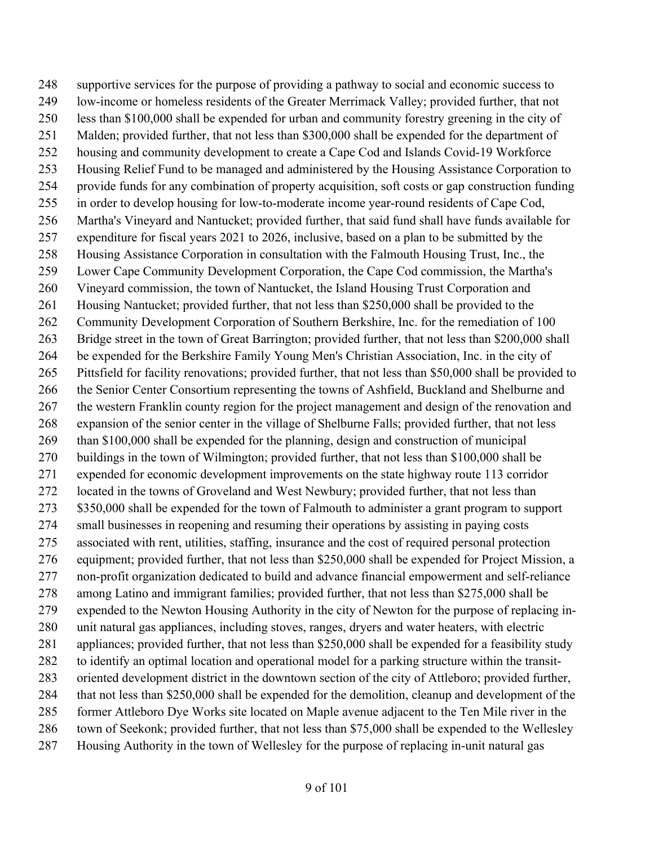supportive services for the purpose of providing a pathway to social and economic success to low-income or homeless residents of the Greater Merrimack Valley; provided further, that not less than \$100,000 shall be expended for urban and community forestry greening in the city of Malden; provided further, that not less than \$300,000 shall be expended for the department of housing and community development to create a Cape Cod and Islands Covid-19 Workforce Housing Relief Fund to be managed and administered by the Housing Assistance Corporation to provide funds for any combination of property acquisition, soft costs or gap construction funding in order to develop housing for low-to-moderate income year-round residents of Cape Cod, Martha's Vineyard and Nantucket; provided further, that said fund shall have funds available for expenditure for fiscal years 2021 to 2026, inclusive, based on a plan to be submitted by the Housing Assistance Corporation in consultation with the Falmouth Housing Trust, Inc., the Lower Cape Community Development Corporation, the Cape Cod commission, the Martha's Vineyard commission, the town of Nantucket, the Island Housing Trust Corporation and Housing Nantucket; provided further, that not less than \$250,000 shall be provided to the Community Development Corporation of Southern Berkshire, Inc. for the remediation of 100 Bridge street in the town of Great Barrington; provided further, that not less than \$200,000 shall be expended for the Berkshire Family Young Men's Christian Association, Inc. in the city of Pittsfield for facility renovations; provided further, that not less than \$50,000 shall be provided to the Senior Center Consortium representing the towns of Ashfield, Buckland and Shelburne and the western Franklin county region for the project management and design of the renovation and expansion of the senior center in the village of Shelburne Falls; provided further, that not less than \$100,000 shall be expended for the planning, design and construction of municipal buildings in the town of Wilmington; provided further, that not less than \$100,000 shall be expended for economic development improvements on the state highway route 113 corridor located in the towns of Groveland and West Newbury; provided further, that not less than 273 \$350,000 shall be expended for the town of Falmouth to administer a grant program to support small businesses in reopening and resuming their operations by assisting in paying costs associated with rent, utilities, staffing, insurance and the cost of required personal protection equipment; provided further, that not less than \$250,000 shall be expended for Project Mission, a non-profit organization dedicated to build and advance financial empowerment and self-reliance among Latino and immigrant families; provided further, that not less than \$275,000 shall be expended to the Newton Housing Authority in the city of Newton for the purpose of replacing in- unit natural gas appliances, including stoves, ranges, dryers and water heaters, with electric appliances; provided further, that not less than \$250,000 shall be expended for a feasibility study to identify an optimal location and operational model for a parking structure within the transit- oriented development district in the downtown section of the city of Attleboro; provided further, that not less than \$250,000 shall be expended for the demolition, cleanup and development of the former Attleboro Dye Works site located on Maple avenue adjacent to the Ten Mile river in the town of Seekonk; provided further, that not less than \$75,000 shall be expended to the Wellesley Housing Authority in the town of Wellesley for the purpose of replacing in-unit natural gas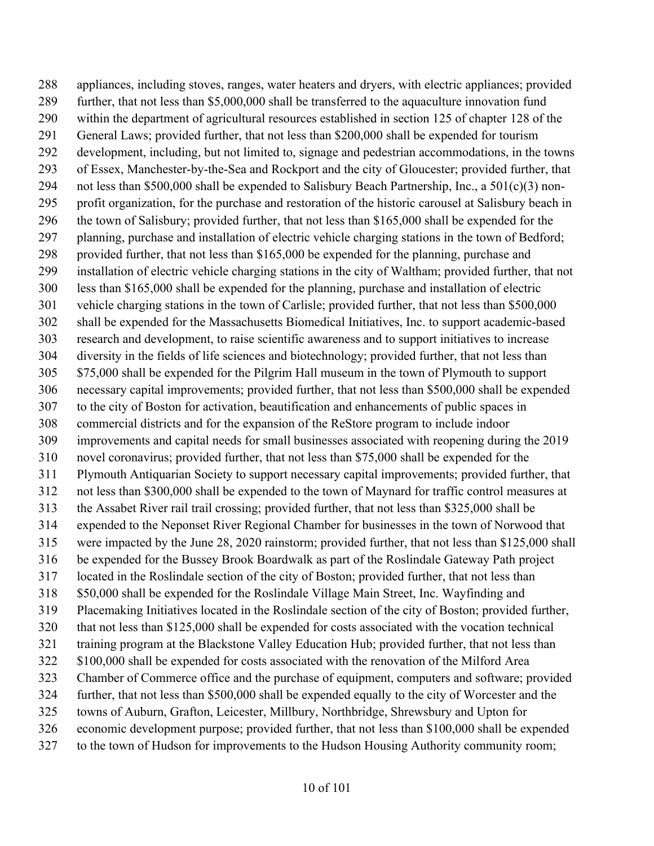appliances, including stoves, ranges, water heaters and dryers, with electric appliances; provided further, that not less than \$5,000,000 shall be transferred to the aquaculture innovation fund within the department of agricultural resources established in section 125 of chapter 128 of the General Laws; provided further, that not less than \$200,000 shall be expended for tourism development, including, but not limited to, signage and pedestrian accommodations, in the towns of Essex, Manchester-by-the-Sea and Rockport and the city of Gloucester; provided further, that not less than \$500,000 shall be expended to Salisbury Beach Partnership, Inc., a 501(c)(3) non- profit organization, for the purchase and restoration of the historic carousel at Salisbury beach in the town of Salisbury; provided further, that not less than \$165,000 shall be expended for the planning, purchase and installation of electric vehicle charging stations in the town of Bedford; provided further, that not less than \$165,000 be expended for the planning, purchase and installation of electric vehicle charging stations in the city of Waltham; provided further, that not less than \$165,000 shall be expended for the planning, purchase and installation of electric vehicle charging stations in the town of Carlisle; provided further, that not less than \$500,000 shall be expended for the Massachusetts Biomedical Initiatives, Inc. to support academic-based research and development, to raise scientific awareness and to support initiatives to increase diversity in the fields of life sciences and biotechnology; provided further, that not less than \$75,000 shall be expended for the Pilgrim Hall museum in the town of Plymouth to support necessary capital improvements; provided further, that not less than \$500,000 shall be expended to the city of Boston for activation, beautification and enhancements of public spaces in commercial districts and for the expansion of the ReStore program to include indoor improvements and capital needs for small businesses associated with reopening during the 2019 novel coronavirus; provided further, that not less than \$75,000 shall be expended for the Plymouth Antiquarian Society to support necessary capital improvements; provided further, that not less than \$300,000 shall be expended to the town of Maynard for traffic control measures at the Assabet River rail trail crossing; provided further, that not less than \$325,000 shall be expended to the Neponset River Regional Chamber for businesses in the town of Norwood that were impacted by the June 28, 2020 rainstorm; provided further, that not less than \$125,000 shall be expended for the Bussey Brook Boardwalk as part of the Roslindale Gateway Path project located in the Roslindale section of the city of Boston; provided further, that not less than \$50,000 shall be expended for the Roslindale Village Main Street, Inc. Wayfinding and Placemaking Initiatives located in the Roslindale section of the city of Boston; provided further, that not less than \$125,000 shall be expended for costs associated with the vocation technical training program at the Blackstone Valley Education Hub; provided further, that not less than \$100,000 shall be expended for costs associated with the renovation of the Milford Area Chamber of Commerce office and the purchase of equipment, computers and software; provided further, that not less than \$500,000 shall be expended equally to the city of Worcester and the towns of Auburn, Grafton, Leicester, Millbury, Northbridge, Shrewsbury and Upton for economic development purpose; provided further, that not less than \$100,000 shall be expended to the town of Hudson for improvements to the Hudson Housing Authority community room;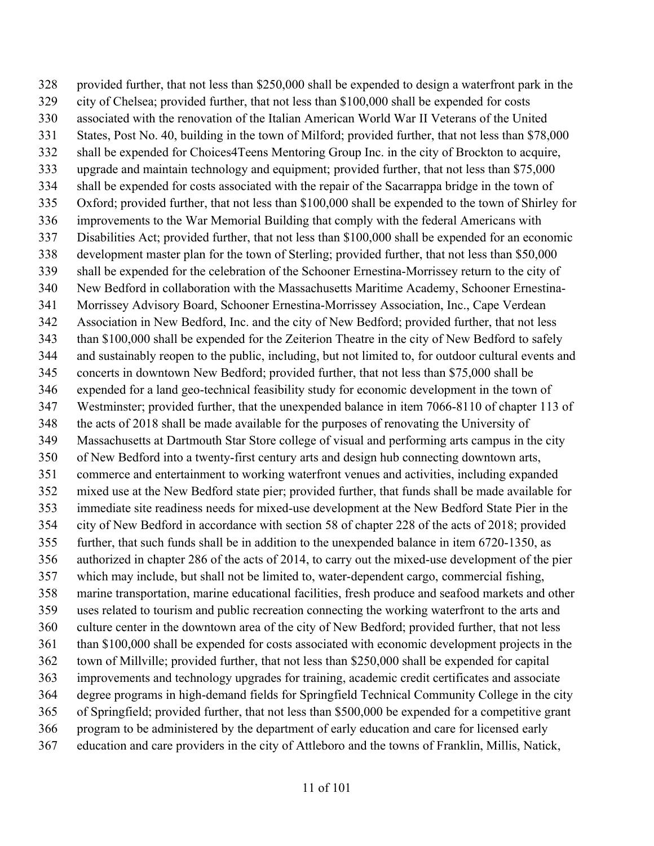provided further, that not less than \$250,000 shall be expended to design a waterfront park in the city of Chelsea; provided further, that not less than \$100,000 shall be expended for costs associated with the renovation of the Italian American World War II Veterans of the United States, Post No. 40, building in the town of Milford; provided further, that not less than \$78,000 shall be expended for Choices4Teens Mentoring Group Inc. in the city of Brockton to acquire, upgrade and maintain technology and equipment; provided further, that not less than \$75,000 shall be expended for costs associated with the repair of the Sacarrappa bridge in the town of Oxford; provided further, that not less than \$100,000 shall be expended to the town of Shirley for improvements to the War Memorial Building that comply with the federal Americans with Disabilities Act; provided further, that not less than \$100,000 shall be expended for an economic development master plan for the town of Sterling; provided further, that not less than \$50,000 shall be expended for the celebration of the Schooner Ernestina-Morrissey return to the city of New Bedford in collaboration with the Massachusetts Maritime Academy, Schooner Ernestina- Morrissey Advisory Board, Schooner Ernestina-Morrissey Association, Inc., Cape Verdean Association in New Bedford, Inc. and the city of New Bedford; provided further, that not less than \$100,000 shall be expended for the Zeiterion Theatre in the city of New Bedford to safely and sustainably reopen to the public, including, but not limited to, for outdoor cultural events and concerts in downtown New Bedford; provided further, that not less than \$75,000 shall be expended for a land geo-technical feasibility study for economic development in the town of Westminster; provided further, that the unexpended balance in item 7066-8110 of chapter 113 of the acts of 2018 shall be made available for the purposes of renovating the University of Massachusetts at Dartmouth Star Store college of visual and performing arts campus in the city of New Bedford into a twenty-first century arts and design hub connecting downtown arts, commerce and entertainment to working waterfront venues and activities, including expanded mixed use at the New Bedford state pier; provided further, that funds shall be made available for immediate site readiness needs for mixed-use development at the New Bedford State Pier in the city of New Bedford in accordance with section 58 of chapter 228 of the acts of 2018; provided further, that such funds shall be in addition to the unexpended balance in item 6720-1350, as authorized in chapter 286 of the acts of 2014, to carry out the mixed-use development of the pier which may include, but shall not be limited to, water-dependent cargo, commercial fishing, marine transportation, marine educational facilities, fresh produce and seafood markets and other uses related to tourism and public recreation connecting the working waterfront to the arts and culture center in the downtown area of the city of New Bedford; provided further, that not less than \$100,000 shall be expended for costs associated with economic development projects in the town of Millville; provided further, that not less than \$250,000 shall be expended for capital improvements and technology upgrades for training, academic credit certificates and associate degree programs in high-demand fields for Springfield Technical Community College in the city of Springfield; provided further, that not less than \$500,000 be expended for a competitive grant program to be administered by the department of early education and care for licensed early education and care providers in the city of Attleboro and the towns of Franklin, Millis, Natick,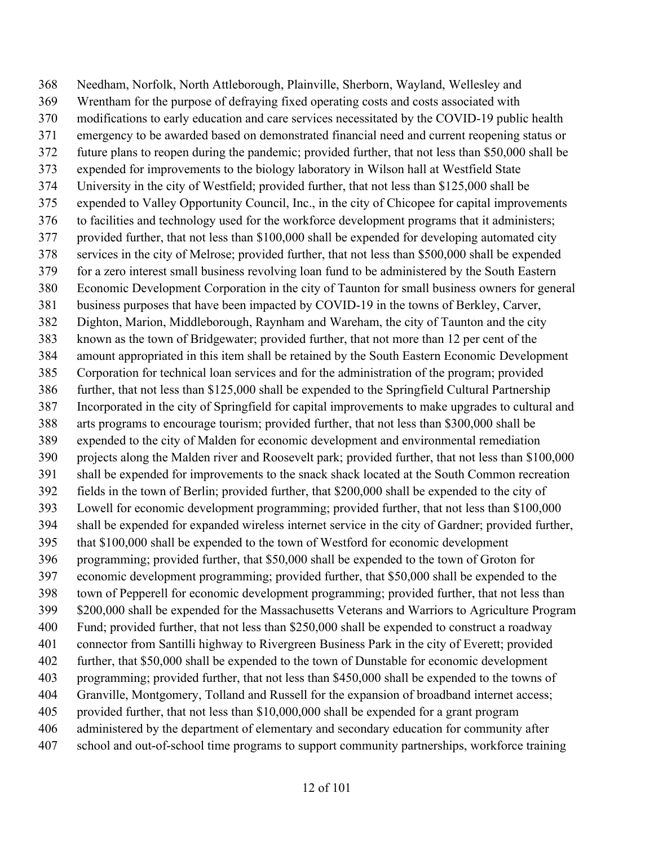Needham, Norfolk, North Attleborough, Plainville, Sherborn, Wayland, Wellesley and Wrentham for the purpose of defraying fixed operating costs and costs associated with modifications to early education and care services necessitated by the COVID-19 public health emergency to be awarded based on demonstrated financial need and current reopening status or future plans to reopen during the pandemic; provided further, that not less than \$50,000 shall be expended for improvements to the biology laboratory in Wilson hall at Westfield State University in the city of Westfield; provided further, that not less than \$125,000 shall be expended to Valley Opportunity Council, Inc., in the city of Chicopee for capital improvements to facilities and technology used for the workforce development programs that it administers; provided further, that not less than \$100,000 shall be expended for developing automated city services in the city of Melrose; provided further, that not less than \$500,000 shall be expended for a zero interest small business revolving loan fund to be administered by the South Eastern Economic Development Corporation in the city of Taunton for small business owners for general business purposes that have been impacted by COVID-19 in the towns of Berkley, Carver, Dighton, Marion, Middleborough, Raynham and Wareham, the city of Taunton and the city known as the town of Bridgewater; provided further, that not more than 12 per cent of the amount appropriated in this item shall be retained by the South Eastern Economic Development Corporation for technical loan services and for the administration of the program; provided further, that not less than \$125,000 shall be expended to the Springfield Cultural Partnership Incorporated in the city of Springfield for capital improvements to make upgrades to cultural and arts programs to encourage tourism; provided further, that not less than \$300,000 shall be expended to the city of Malden for economic development and environmental remediation projects along the Malden river and Roosevelt park; provided further, that not less than \$100,000 shall be expended for improvements to the snack shack located at the South Common recreation fields in the town of Berlin; provided further, that \$200,000 shall be expended to the city of Lowell for economic development programming; provided further, that not less than \$100,000 shall be expended for expanded wireless internet service in the city of Gardner; provided further, that \$100,000 shall be expended to the town of Westford for economic development programming; provided further, that \$50,000 shall be expended to the town of Groton for economic development programming; provided further, that \$50,000 shall be expended to the town of Pepperell for economic development programming; provided further, that not less than \$200,000 shall be expended for the Massachusetts Veterans and Warriors to Agriculture Program Fund; provided further, that not less than \$250,000 shall be expended to construct a roadway connector from Santilli highway to Rivergreen Business Park in the city of Everett; provided further, that \$50,000 shall be expended to the town of Dunstable for economic development programming; provided further, that not less than \$450,000 shall be expended to the towns of Granville, Montgomery, Tolland and Russell for the expansion of broadband internet access; provided further, that not less than \$10,000,000 shall be expended for a grant program administered by the department of elementary and secondary education for community after school and out-of-school time programs to support community partnerships, workforce training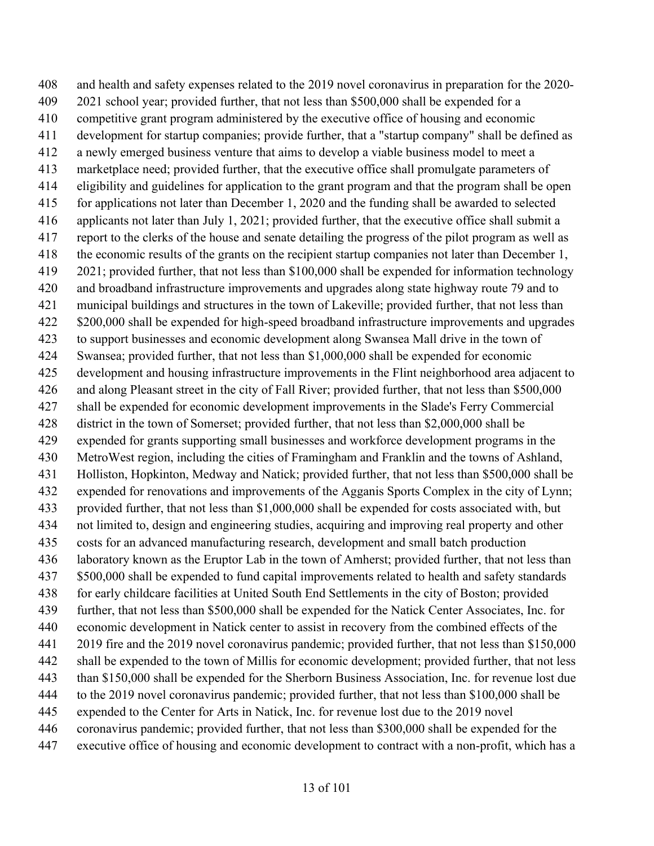and health and safety expenses related to the 2019 novel coronavirus in preparation for the 2020- 2021 school year; provided further, that not less than \$500,000 shall be expended for a competitive grant program administered by the executive office of housing and economic development for startup companies; provide further, that a "startup company" shall be defined as a newly emerged business venture that aims to develop a viable business model to meet a marketplace need; provided further, that the executive office shall promulgate parameters of eligibility and guidelines for application to the grant program and that the program shall be open for applications not later than December 1, 2020 and the funding shall be awarded to selected applicants not later than July 1, 2021; provided further, that the executive office shall submit a report to the clerks of the house and senate detailing the progress of the pilot program as well as the economic results of the grants on the recipient startup companies not later than December 1, 2021; provided further, that not less than \$100,000 shall be expended for information technology and broadband infrastructure improvements and upgrades along state highway route 79 and to municipal buildings and structures in the town of Lakeville; provided further, that not less than \$200,000 shall be expended for high-speed broadband infrastructure improvements and upgrades to support businesses and economic development along Swansea Mall drive in the town of Swansea; provided further, that not less than \$1,000,000 shall be expended for economic development and housing infrastructure improvements in the Flint neighborhood area adjacent to and along Pleasant street in the city of Fall River; provided further, that not less than \$500,000 shall be expended for economic development improvements in the Slade's Ferry Commercial district in the town of Somerset; provided further, that not less than \$2,000,000 shall be expended for grants supporting small businesses and workforce development programs in the MetroWest region, including the cities of Framingham and Franklin and the towns of Ashland, Holliston, Hopkinton, Medway and Natick; provided further, that not less than \$500,000 shall be expended for renovations and improvements of the Agganis Sports Complex in the city of Lynn; provided further, that not less than \$1,000,000 shall be expended for costs associated with, but not limited to, design and engineering studies, acquiring and improving real property and other costs for an advanced manufacturing research, development and small batch production laboratory known as the Eruptor Lab in the town of Amherst; provided further, that not less than \$500,000 shall be expended to fund capital improvements related to health and safety standards for early childcare facilities at United South End Settlements in the city of Boston; provided further, that not less than \$500,000 shall be expended for the Natick Center Associates, Inc. for economic development in Natick center to assist in recovery from the combined effects of the 2019 fire and the 2019 novel coronavirus pandemic; provided further, that not less than \$150,000 shall be expended to the town of Millis for economic development; provided further, that not less than \$150,000 shall be expended for the Sherborn Business Association, Inc. for revenue lost due to the 2019 novel coronavirus pandemic; provided further, that not less than \$100,000 shall be expended to the Center for Arts in Natick, Inc. for revenue lost due to the 2019 novel coronavirus pandemic; provided further, that not less than \$300,000 shall be expended for the executive office of housing and economic development to contract with a non-profit, which has a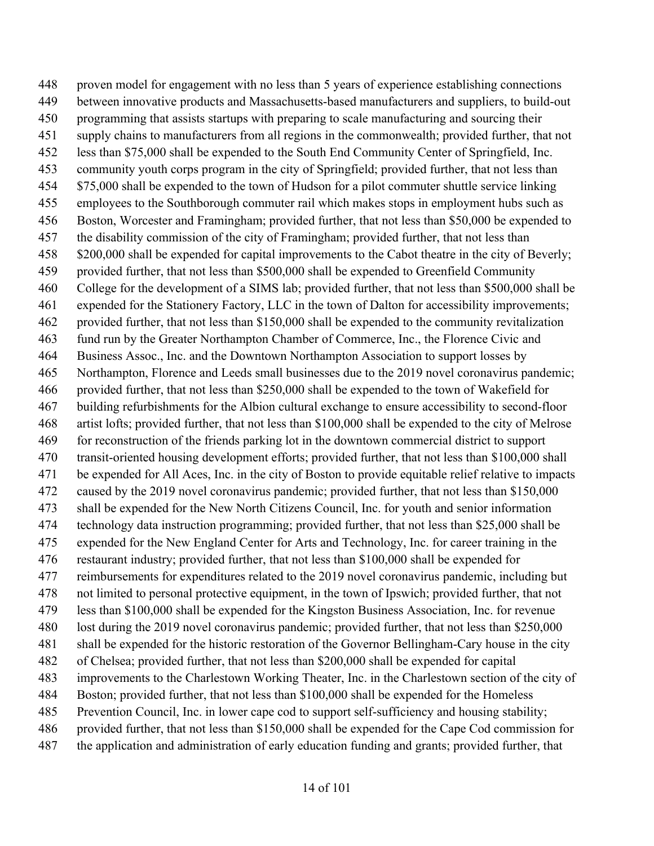proven model for engagement with no less than 5 years of experience establishing connections between innovative products and Massachusetts-based manufacturers and suppliers, to build-out programming that assists startups with preparing to scale manufacturing and sourcing their supply chains to manufacturers from all regions in the commonwealth; provided further, that not less than \$75,000 shall be expended to the South End Community Center of Springfield, Inc. community youth corps program in the city of Springfield; provided further, that not less than \$75,000 shall be expended to the town of Hudson for a pilot commuter shuttle service linking employees to the Southborough commuter rail which makes stops in employment hubs such as Boston, Worcester and Framingham; provided further, that not less than \$50,000 be expended to the disability commission of the city of Framingham; provided further, that not less than 458 \$200,000 shall be expended for capital improvements to the Cabot theatre in the city of Beverly; provided further, that not less than \$500,000 shall be expended to Greenfield Community College for the development of a SIMS lab; provided further, that not less than \$500,000 shall be expended for the Stationery Factory, LLC in the town of Dalton for accessibility improvements; provided further, that not less than \$150,000 shall be expended to the community revitalization fund run by the Greater Northampton Chamber of Commerce, Inc., the Florence Civic and Business Assoc., Inc. and the Downtown Northampton Association to support losses by Northampton, Florence and Leeds small businesses due to the 2019 novel coronavirus pandemic; provided further, that not less than \$250,000 shall be expended to the town of Wakefield for building refurbishments for the Albion cultural exchange to ensure accessibility to second-floor artist lofts; provided further, that not less than \$100,000 shall be expended to the city of Melrose for reconstruction of the friends parking lot in the downtown commercial district to support transit-oriented housing development efforts; provided further, that not less than \$100,000 shall be expended for All Aces, Inc. in the city of Boston to provide equitable relief relative to impacts caused by the 2019 novel coronavirus pandemic; provided further, that not less than \$150,000 shall be expended for the New North Citizens Council, Inc. for youth and senior information technology data instruction programming; provided further, that not less than \$25,000 shall be expended for the New England Center for Arts and Technology, Inc. for career training in the restaurant industry; provided further, that not less than \$100,000 shall be expended for reimbursements for expenditures related to the 2019 novel coronavirus pandemic, including but not limited to personal protective equipment, in the town of Ipswich; provided further, that not less than \$100,000 shall be expended for the Kingston Business Association, Inc. for revenue lost during the 2019 novel coronavirus pandemic; provided further, that not less than \$250,000 shall be expended for the historic restoration of the Governor Bellingham-Cary house in the city of Chelsea; provided further, that not less than \$200,000 shall be expended for capital improvements to the Charlestown Working Theater, Inc. in the Charlestown section of the city of Boston; provided further, that not less than \$100,000 shall be expended for the Homeless Prevention Council, Inc. in lower cape cod to support self-sufficiency and housing stability; provided further, that not less than \$150,000 shall be expended for the Cape Cod commission for the application and administration of early education funding and grants; provided further, that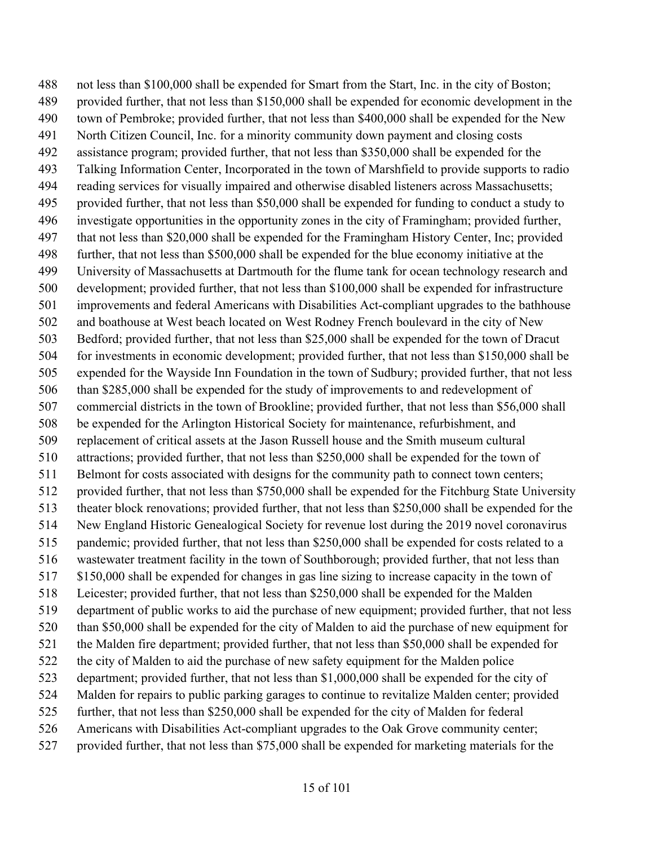not less than \$100,000 shall be expended for Smart from the Start, Inc. in the city of Boston; provided further, that not less than \$150,000 shall be expended for economic development in the town of Pembroke; provided further, that not less than \$400,000 shall be expended for the New North Citizen Council, Inc. for a minority community down payment and closing costs assistance program; provided further, that not less than \$350,000 shall be expended for the Talking Information Center, Incorporated in the town of Marshfield to provide supports to radio reading services for visually impaired and otherwise disabled listeners across Massachusetts; provided further, that not less than \$50,000 shall be expended for funding to conduct a study to investigate opportunities in the opportunity zones in the city of Framingham; provided further, that not less than \$20,000 shall be expended for the Framingham History Center, Inc; provided further, that not less than \$500,000 shall be expended for the blue economy initiative at the University of Massachusetts at Dartmouth for the flume tank for ocean technology research and development; provided further, that not less than \$100,000 shall be expended for infrastructure improvements and federal Americans with Disabilities Act-compliant upgrades to the bathhouse and boathouse at West beach located on West Rodney French boulevard in the city of New Bedford; provided further, that not less than \$25,000 shall be expended for the town of Dracut for investments in economic development; provided further, that not less than \$150,000 shall be expended for the Wayside Inn Foundation in the town of Sudbury; provided further, that not less than \$285,000 shall be expended for the study of improvements to and redevelopment of commercial districts in the town of Brookline; provided further, that not less than \$56,000 shall be expended for the Arlington Historical Society for maintenance, refurbishment, and replacement of critical assets at the Jason Russell house and the Smith museum cultural attractions; provided further, that not less than \$250,000 shall be expended for the town of 511 Belmont for costs associated with designs for the community path to connect town centers; provided further, that not less than \$750,000 shall be expended for the Fitchburg State University theater block renovations; provided further, that not less than \$250,000 shall be expended for the New England Historic Genealogical Society for revenue lost during the 2019 novel coronavirus pandemic; provided further, that not less than \$250,000 shall be expended for costs related to a wastewater treatment facility in the town of Southborough; provided further, that not less than \$150,000 shall be expended for changes in gas line sizing to increase capacity in the town of Leicester; provided further, that not less than \$250,000 shall be expended for the Malden department of public works to aid the purchase of new equipment; provided further, that not less than \$50,000 shall be expended for the city of Malden to aid the purchase of new equipment for the Malden fire department; provided further, that not less than \$50,000 shall be expended for the city of Malden to aid the purchase of new safety equipment for the Malden police department; provided further, that not less than \$1,000,000 shall be expended for the city of Malden for repairs to public parking garages to continue to revitalize Malden center; provided further, that not less than \$250,000 shall be expended for the city of Malden for federal Americans with Disabilities Act-compliant upgrades to the Oak Grove community center; provided further, that not less than \$75,000 shall be expended for marketing materials for the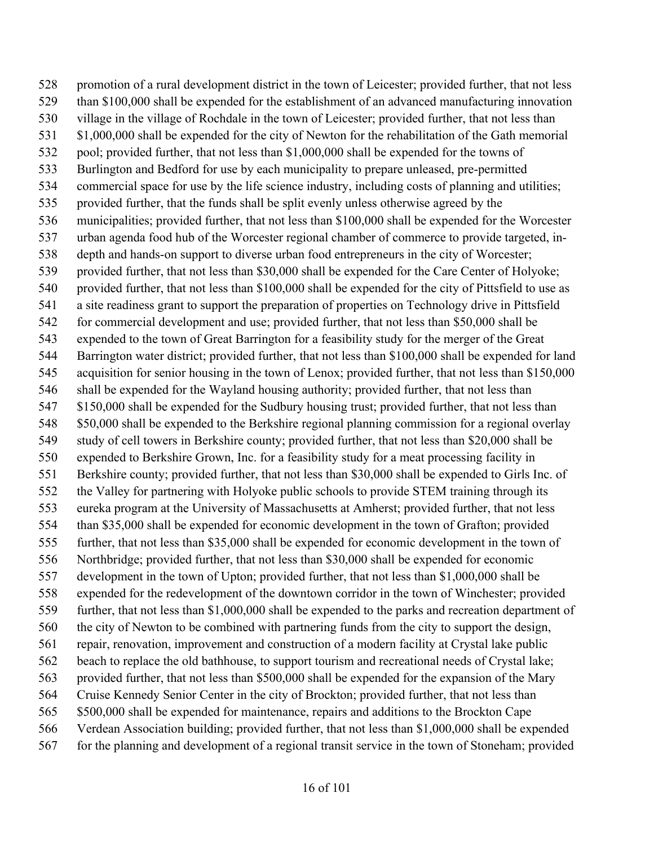promotion of a rural development district in the town of Leicester; provided further, that not less than \$100,000 shall be expended for the establishment of an advanced manufacturing innovation village in the village of Rochdale in the town of Leicester; provided further, that not less than 531 \$1,000,000 shall be expended for the city of Newton for the rehabilitation of the Gath memorial pool; provided further, that not less than \$1,000,000 shall be expended for the towns of Burlington and Bedford for use by each municipality to prepare unleased, pre-permitted commercial space for use by the life science industry, including costs of planning and utilities; provided further, that the funds shall be split evenly unless otherwise agreed by the municipalities; provided further, that not less than \$100,000 shall be expended for the Worcester urban agenda food hub of the Worcester regional chamber of commerce to provide targeted, in- depth and hands-on support to diverse urban food entrepreneurs in the city of Worcester; provided further, that not less than \$30,000 shall be expended for the Care Center of Holyoke; provided further, that not less than \$100,000 shall be expended for the city of Pittsfield to use as a site readiness grant to support the preparation of properties on Technology drive in Pittsfield 542 for commercial development and use; provided further, that not less than \$50,000 shall be expended to the town of Great Barrington for a feasibility study for the merger of the Great Barrington water district; provided further, that not less than \$100,000 shall be expended for land acquisition for senior housing in the town of Lenox; provided further, that not less than \$150,000 shall be expended for the Wayland housing authority; provided further, that not less than 547 \$150,000 shall be expended for the Sudbury housing trust; provided further, that not less than 548 \$50,000 shall be expended to the Berkshire regional planning commission for a regional overlay study of cell towers in Berkshire county; provided further, that not less than \$20,000 shall be expended to Berkshire Grown, Inc. for a feasibility study for a meat processing facility in Berkshire county; provided further, that not less than \$30,000 shall be expended to Girls Inc. of the Valley for partnering with Holyoke public schools to provide STEM training through its eureka program at the University of Massachusetts at Amherst; provided further, that not less than \$35,000 shall be expended for economic development in the town of Grafton; provided further, that not less than \$35,000 shall be expended for economic development in the town of Northbridge; provided further, that not less than \$30,000 shall be expended for economic development in the town of Upton; provided further, that not less than \$1,000,000 shall be expended for the redevelopment of the downtown corridor in the town of Winchester; provided further, that not less than \$1,000,000 shall be expended to the parks and recreation department of the city of Newton to be combined with partnering funds from the city to support the design, repair, renovation, improvement and construction of a modern facility at Crystal lake public beach to replace the old bathhouse, to support tourism and recreational needs of Crystal lake; provided further, that not less than \$500,000 shall be expended for the expansion of the Mary Cruise Kennedy Senior Center in the city of Brockton; provided further, that not less than \$500,000 shall be expended for maintenance, repairs and additions to the Brockton Cape Verdean Association building; provided further, that not less than \$1,000,000 shall be expended for the planning and development of a regional transit service in the town of Stoneham; provided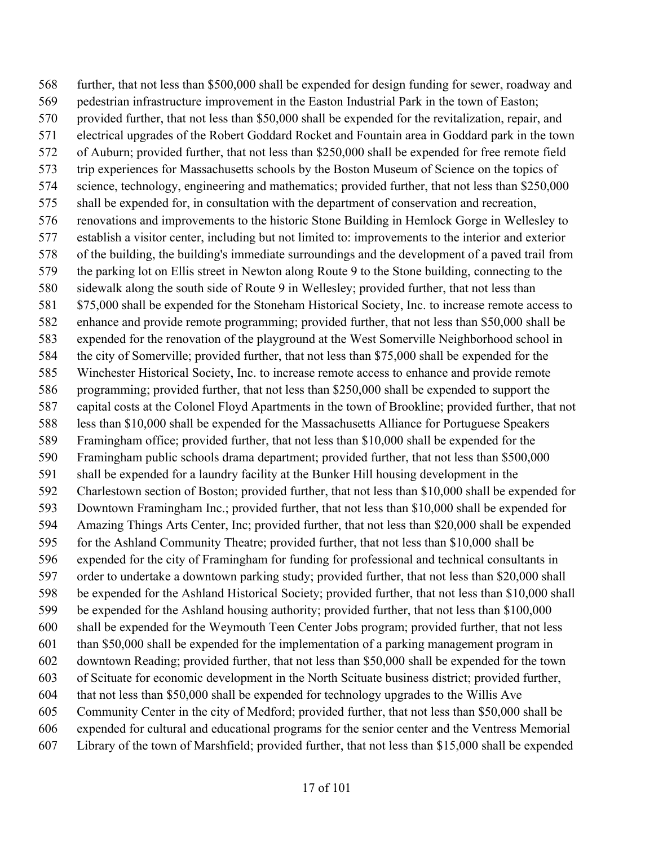further, that not less than \$500,000 shall be expended for design funding for sewer, roadway and pedestrian infrastructure improvement in the Easton Industrial Park in the town of Easton; provided further, that not less than \$50,000 shall be expended for the revitalization, repair, and electrical upgrades of the Robert Goddard Rocket and Fountain area in Goddard park in the town of Auburn; provided further, that not less than \$250,000 shall be expended for free remote field trip experiences for Massachusetts schools by the Boston Museum of Science on the topics of science, technology, engineering and mathematics; provided further, that not less than \$250,000 shall be expended for, in consultation with the department of conservation and recreation, renovations and improvements to the historic Stone Building in Hemlock Gorge in Wellesley to establish a visitor center, including but not limited to: improvements to the interior and exterior of the building, the building's immediate surroundings and the development of a paved trail from the parking lot on Ellis street in Newton along Route 9 to the Stone building, connecting to the sidewalk along the south side of Route 9 in Wellesley; provided further, that not less than 581 \$75,000 shall be expended for the Stoneham Historical Society, Inc. to increase remote access to enhance and provide remote programming; provided further, that not less than \$50,000 shall be expended for the renovation of the playground at the West Somerville Neighborhood school in the city of Somerville; provided further, that not less than \$75,000 shall be expended for the Winchester Historical Society, Inc. to increase remote access to enhance and provide remote programming; provided further, that not less than \$250,000 shall be expended to support the capital costs at the Colonel Floyd Apartments in the town of Brookline; provided further, that not less than \$10,000 shall be expended for the Massachusetts Alliance for Portuguese Speakers Framingham office; provided further, that not less than \$10,000 shall be expended for the Framingham public schools drama department; provided further, that not less than \$500,000 shall be expended for a laundry facility at the Bunker Hill housing development in the Charlestown section of Boston; provided further, that not less than \$10,000 shall be expended for Downtown Framingham Inc.; provided further, that not less than \$10,000 shall be expended for Amazing Things Arts Center, Inc; provided further, that not less than \$20,000 shall be expended for the Ashland Community Theatre; provided further, that not less than \$10,000 shall be expended for the city of Framingham for funding for professional and technical consultants in order to undertake a downtown parking study; provided further, that not less than \$20,000 shall be expended for the Ashland Historical Society; provided further, that not less than \$10,000 shall be expended for the Ashland housing authority; provided further, that not less than \$100,000 shall be expended for the Weymouth Teen Center Jobs program; provided further, that not less than \$50,000 shall be expended for the implementation of a parking management program in downtown Reading; provided further, that not less than \$50,000 shall be expended for the town of Scituate for economic development in the North Scituate business district; provided further, that not less than \$50,000 shall be expended for technology upgrades to the Willis Ave Community Center in the city of Medford; provided further, that not less than \$50,000 shall be expended for cultural and educational programs for the senior center and the Ventress Memorial Library of the town of Marshfield; provided further, that not less than \$15,000 shall be expended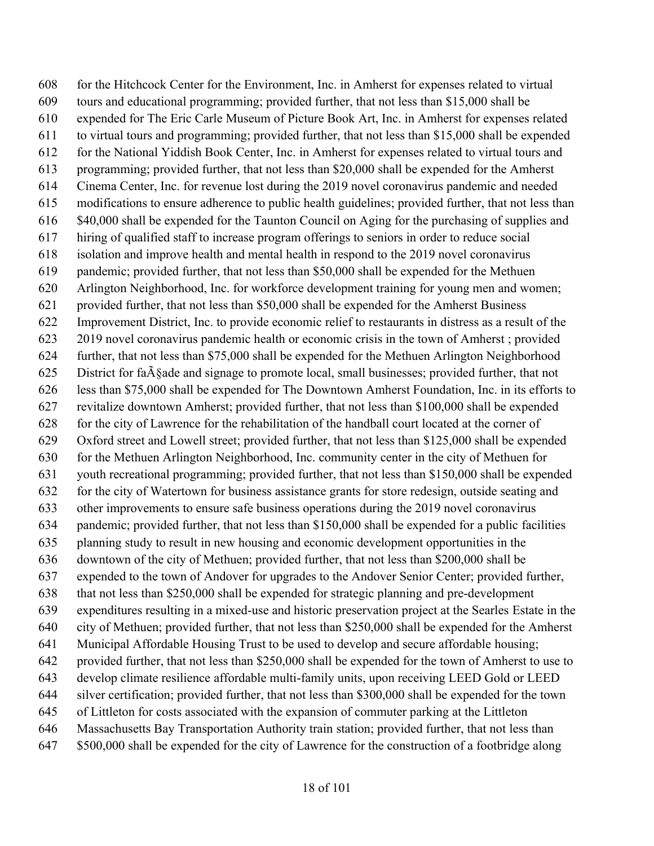for the Hitchcock Center for the Environment, Inc. in Amherst for expenses related to virtual tours and educational programming; provided further, that not less than \$15,000 shall be expended for The Eric Carle Museum of Picture Book Art, Inc. in Amherst for expenses related to virtual tours and programming; provided further, that not less than \$15,000 shall be expended for the National Yiddish Book Center, Inc. in Amherst for expenses related to virtual tours and programming; provided further, that not less than \$20,000 shall be expended for the Amherst Cinema Center, Inc. for revenue lost during the 2019 novel coronavirus pandemic and needed modifications to ensure adherence to public health guidelines; provided further, that not less than \$40,000 shall be expended for the Taunton Council on Aging for the purchasing of supplies and hiring of qualified staff to increase program offerings to seniors in order to reduce social isolation and improve health and mental health in respond to the 2019 novel coronavirus pandemic; provided further, that not less than \$50,000 shall be expended for the Methuen Arlington Neighborhood, Inc. for workforce development training for young men and women; provided further, that not less than \$50,000 shall be expended for the Amherst Business Improvement District, Inc. to provide economic relief to restaurants in distress as a result of the 2019 novel coronavirus pandemic health or economic crisis in the town of Amherst ; provided further, that not less than \$75,000 shall be expended for the Methuen Arlington Neighborhood 625 District for fa $\tilde{A}$ §ade and signage to promote local, small businesses; provided further, that not less than \$75,000 shall be expended for The Downtown Amherst Foundation, Inc. in its efforts to revitalize downtown Amherst; provided further, that not less than \$100,000 shall be expended for the city of Lawrence for the rehabilitation of the handball court located at the corner of Oxford street and Lowell street; provided further, that not less than \$125,000 shall be expended for the Methuen Arlington Neighborhood, Inc. community center in the city of Methuen for youth recreational programming; provided further, that not less than \$150,000 shall be expended for the city of Watertown for business assistance grants for store redesign, outside seating and other improvements to ensure safe business operations during the 2019 novel coronavirus pandemic; provided further, that not less than \$150,000 shall be expended for a public facilities planning study to result in new housing and economic development opportunities in the downtown of the city of Methuen; provided further, that not less than \$200,000 shall be expended to the town of Andover for upgrades to the Andover Senior Center; provided further, that not less than \$250,000 shall be expended for strategic planning and pre-development expenditures resulting in a mixed-use and historic preservation project at the Searles Estate in the city of Methuen; provided further, that not less than \$250,000 shall be expended for the Amherst Municipal Affordable Housing Trust to be used to develop and secure affordable housing; provided further, that not less than \$250,000 shall be expended for the town of Amherst to use to develop climate resilience affordable multi-family units, upon receiving LEED Gold or LEED silver certification; provided further, that not less than \$300,000 shall be expended for the town of Littleton for costs associated with the expansion of commuter parking at the Littleton Massachusetts Bay Transportation Authority train station; provided further, that not less than \$500,000 shall be expended for the city of Lawrence for the construction of a footbridge along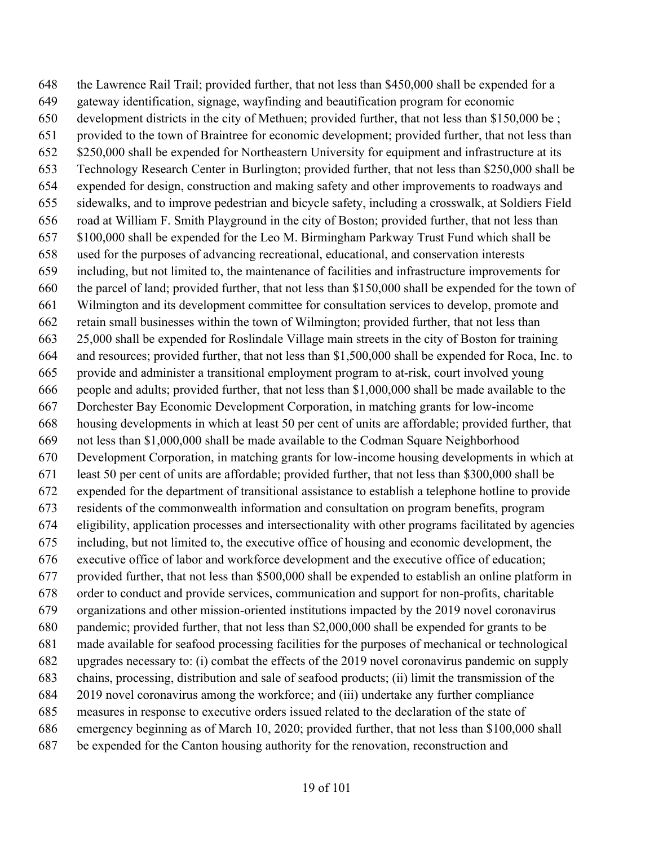the Lawrence Rail Trail; provided further, that not less than \$450,000 shall be expended for a gateway identification, signage, wayfinding and beautification program for economic development districts in the city of Methuen; provided further, that not less than \$150,000 be ; provided to the town of Braintree for economic development; provided further, that not less than \$250,000 shall be expended for Northeastern University for equipment and infrastructure at its Technology Research Center in Burlington; provided further, that not less than \$250,000 shall be expended for design, construction and making safety and other improvements to roadways and sidewalks, and to improve pedestrian and bicycle safety, including a crosswalk, at Soldiers Field road at William F. Smith Playground in the city of Boston; provided further, that not less than \$100,000 shall be expended for the Leo M. Birmingham Parkway Trust Fund which shall be used for the purposes of advancing recreational, educational, and conservation interests including, but not limited to, the maintenance of facilities and infrastructure improvements for the parcel of land; provided further, that not less than \$150,000 shall be expended for the town of Wilmington and its development committee for consultation services to develop, promote and retain small businesses within the town of Wilmington; provided further, that not less than 25,000 shall be expended for Roslindale Village main streets in the city of Boston for training and resources; provided further, that not less than \$1,500,000 shall be expended for Roca, Inc. to provide and administer a transitional employment program to at-risk, court involved young people and adults; provided further, that not less than \$1,000,000 shall be made available to the Dorchester Bay Economic Development Corporation, in matching grants for low-income housing developments in which at least 50 per cent of units are affordable; provided further, that not less than \$1,000,000 shall be made available to the Codman Square Neighborhood Development Corporation, in matching grants for low-income housing developments in which at least 50 per cent of units are affordable; provided further, that not less than \$300,000 shall be expended for the department of transitional assistance to establish a telephone hotline to provide residents of the commonwealth information and consultation on program benefits, program eligibility, application processes and intersectionality with other programs facilitated by agencies including, but not limited to, the executive office of housing and economic development, the executive office of labor and workforce development and the executive office of education; provided further, that not less than \$500,000 shall be expended to establish an online platform in order to conduct and provide services, communication and support for non-profits, charitable organizations and other mission-oriented institutions impacted by the 2019 novel coronavirus pandemic; provided further, that not less than \$2,000,000 shall be expended for grants to be made available for seafood processing facilities for the purposes of mechanical or technological upgrades necessary to: (i) combat the effects of the 2019 novel coronavirus pandemic on supply chains, processing, distribution and sale of seafood products; (ii) limit the transmission of the 2019 novel coronavirus among the workforce; and (iii) undertake any further compliance measures in response to executive orders issued related to the declaration of the state of emergency beginning as of March 10, 2020; provided further, that not less than \$100,000 shall be expended for the Canton housing authority for the renovation, reconstruction and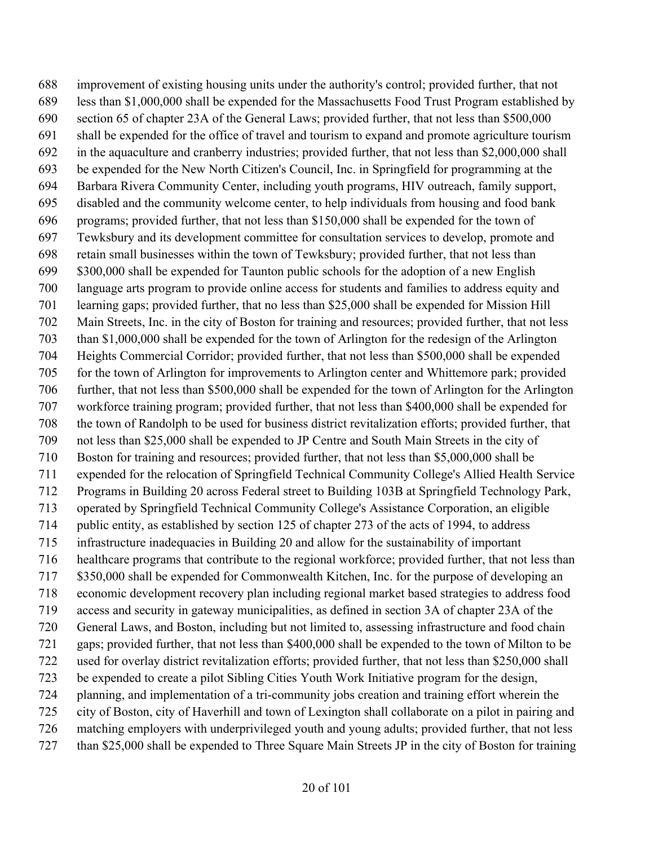improvement of existing housing units under the authority's control; provided further, that not less than \$1,000,000 shall be expended for the Massachusetts Food Trust Program established by section 65 of chapter 23A of the General Laws; provided further, that not less than \$500,000 shall be expended for the office of travel and tourism to expand and promote agriculture tourism in the aquaculture and cranberry industries; provided further, that not less than \$2,000,000 shall be expended for the New North Citizen's Council, Inc. in Springfield for programming at the Barbara Rivera Community Center, including youth programs, HIV outreach, family support, disabled and the community welcome center, to help individuals from housing and food bank programs; provided further, that not less than \$150,000 shall be expended for the town of Tewksbury and its development committee for consultation services to develop, promote and retain small businesses within the town of Tewksbury; provided further, that not less than \$300,000 shall be expended for Taunton public schools for the adoption of a new English language arts program to provide online access for students and families to address equity and learning gaps; provided further, that no less than \$25,000 shall be expended for Mission Hill Main Streets, Inc. in the city of Boston for training and resources; provided further, that not less than \$1,000,000 shall be expended for the town of Arlington for the redesign of the Arlington Heights Commercial Corridor; provided further, that not less than \$500,000 shall be expended for the town of Arlington for improvements to Arlington center and Whittemore park; provided further, that not less than \$500,000 shall be expended for the town of Arlington for the Arlington workforce training program; provided further, that not less than \$400,000 shall be expended for the town of Randolph to be used for business district revitalization efforts; provided further, that not less than \$25,000 shall be expended to JP Centre and South Main Streets in the city of Boston for training and resources; provided further, that not less than \$5,000,000 shall be expended for the relocation of Springfield Technical Community College's Allied Health Service Programs in Building 20 across Federal street to Building 103B at Springfield Technology Park, operated by Springfield Technical Community College's Assistance Corporation, an eligible public entity, as established by section 125 of chapter 273 of the acts of 1994, to address infrastructure inadequacies in Building 20 and allow for the sustainability of important healthcare programs that contribute to the regional workforce; provided further, that not less than \$350,000 shall be expended for Commonwealth Kitchen, Inc. for the purpose of developing an economic development recovery plan including regional market based strategies to address food access and security in gateway municipalities, as defined in section 3A of chapter 23A of the General Laws, and Boston, including but not limited to, assessing infrastructure and food chain gaps; provided further, that not less than \$400,000 shall be expended to the town of Milton to be used for overlay district revitalization efforts; provided further, that not less than \$250,000 shall be expended to create a pilot Sibling Cities Youth Work Initiative program for the design, planning, and implementation of a tri-community jobs creation and training effort wherein the city of Boston, city of Haverhill and town of Lexington shall collaborate on a pilot in pairing and matching employers with underprivileged youth and young adults; provided further, that not less than \$25,000 shall be expended to Three Square Main Streets JP in the city of Boston for training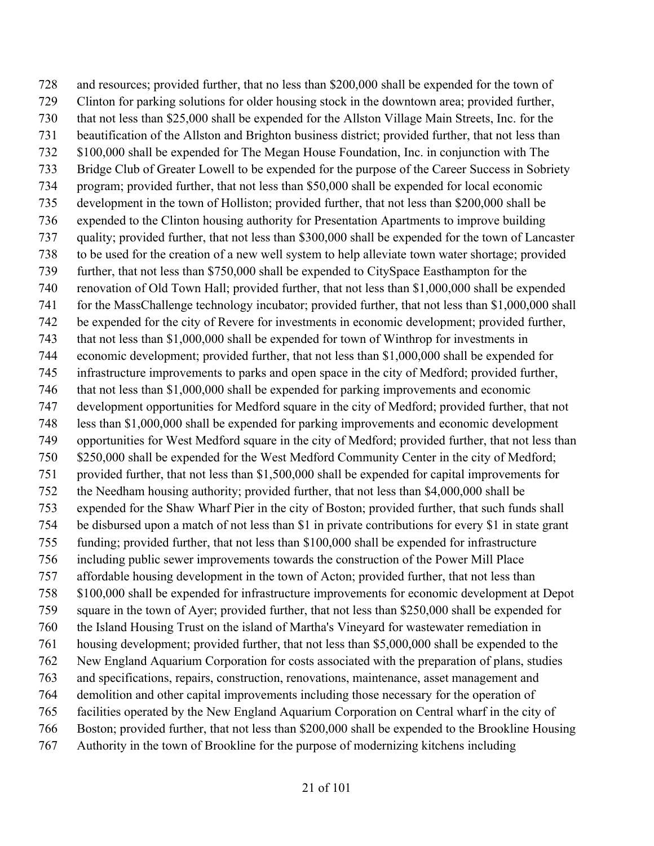and resources; provided further, that no less than \$200,000 shall be expended for the town of Clinton for parking solutions for older housing stock in the downtown area; provided further, that not less than \$25,000 shall be expended for the Allston Village Main Streets, Inc. for the beautification of the Allston and Brighton business district; provided further, that not less than \$100,000 shall be expended for The Megan House Foundation, Inc. in conjunction with The Bridge Club of Greater Lowell to be expended for the purpose of the Career Success in Sobriety program; provided further, that not less than \$50,000 shall be expended for local economic development in the town of Holliston; provided further, that not less than \$200,000 shall be expended to the Clinton housing authority for Presentation Apartments to improve building quality; provided further, that not less than \$300,000 shall be expended for the town of Lancaster to be used for the creation of a new well system to help alleviate town water shortage; provided further, that not less than \$750,000 shall be expended to CitySpace Easthampton for the renovation of Old Town Hall; provided further, that not less than \$1,000,000 shall be expended for the MassChallenge technology incubator; provided further, that not less than \$1,000,000 shall be expended for the city of Revere for investments in economic development; provided further, that not less than \$1,000,000 shall be expended for town of Winthrop for investments in economic development; provided further, that not less than \$1,000,000 shall be expended for infrastructure improvements to parks and open space in the city of Medford; provided further, that not less than \$1,000,000 shall be expended for parking improvements and economic development opportunities for Medford square in the city of Medford; provided further, that not less than \$1,000,000 shall be expended for parking improvements and economic development opportunities for West Medford square in the city of Medford; provided further, that not less than \$250,000 shall be expended for the West Medford Community Center in the city of Medford; provided further, that not less than \$1,500,000 shall be expended for capital improvements for the Needham housing authority; provided further, that not less than \$4,000,000 shall be expended for the Shaw Wharf Pier in the city of Boston; provided further, that such funds shall be disbursed upon a match of not less than \$1 in private contributions for every \$1 in state grant funding; provided further, that not less than \$100,000 shall be expended for infrastructure including public sewer improvements towards the construction of the Power Mill Place affordable housing development in the town of Acton; provided further, that not less than \$100,000 shall be expended for infrastructure improvements for economic development at Depot square in the town of Ayer; provided further, that not less than \$250,000 shall be expended for the Island Housing Trust on the island of Martha's Vineyard for wastewater remediation in housing development; provided further, that not less than \$5,000,000 shall be expended to the New England Aquarium Corporation for costs associated with the preparation of plans, studies and specifications, repairs, construction, renovations, maintenance, asset management and demolition and other capital improvements including those necessary for the operation of facilities operated by the New England Aquarium Corporation on Central wharf in the city of Boston; provided further, that not less than \$200,000 shall be expended to the Brookline Housing Authority in the town of Brookline for the purpose of modernizing kitchens including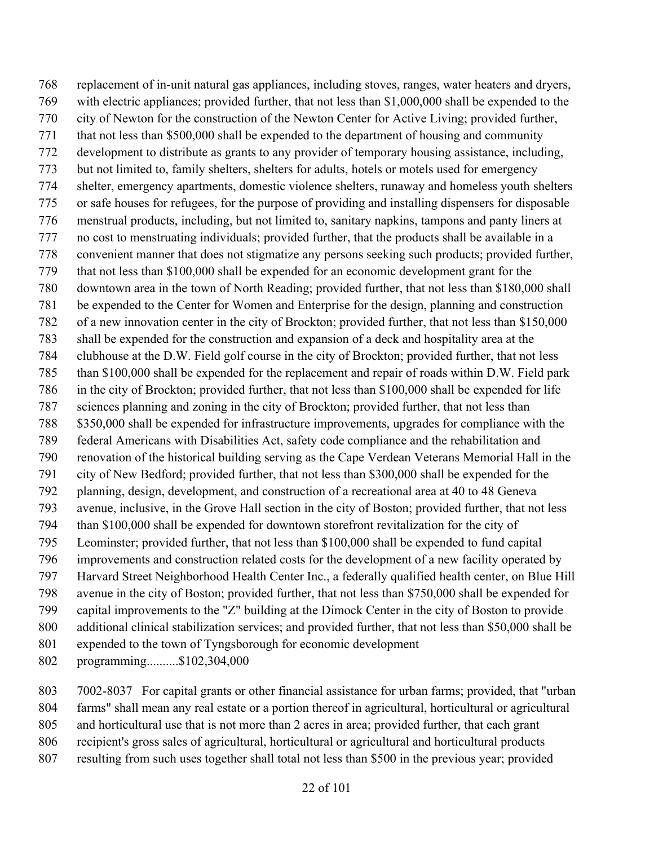replacement of in-unit natural gas appliances, including stoves, ranges, water heaters and dryers, with electric appliances; provided further, that not less than \$1,000,000 shall be expended to the city of Newton for the construction of the Newton Center for Active Living; provided further, that not less than \$500,000 shall be expended to the department of housing and community development to distribute as grants to any provider of temporary housing assistance, including, but not limited to, family shelters, shelters for adults, hotels or motels used for emergency shelter, emergency apartments, domestic violence shelters, runaway and homeless youth shelters or safe houses for refugees, for the purpose of providing and installing dispensers for disposable menstrual products, including, but not limited to, sanitary napkins, tampons and panty liners at no cost to menstruating individuals; provided further, that the products shall be available in a convenient manner that does not stigmatize any persons seeking such products; provided further, that not less than \$100,000 shall be expended for an economic development grant for the downtown area in the town of North Reading; provided further, that not less than \$180,000 shall be expended to the Center for Women and Enterprise for the design, planning and construction of a new innovation center in the city of Brockton; provided further, that not less than \$150,000 shall be expended for the construction and expansion of a deck and hospitality area at the clubhouse at the D.W. Field golf course in the city of Brockton; provided further, that not less than \$100,000 shall be expended for the replacement and repair of roads within D.W. Field park in the city of Brockton; provided further, that not less than \$100,000 shall be expended for life sciences planning and zoning in the city of Brockton; provided further, that not less than \$350,000 shall be expended for infrastructure improvements, upgrades for compliance with the federal Americans with Disabilities Act, safety code compliance and the rehabilitation and renovation of the historical building serving as the Cape Verdean Veterans Memorial Hall in the city of New Bedford; provided further, that not less than \$300,000 shall be expended for the planning, design, development, and construction of a recreational area at 40 to 48 Geneva avenue, inclusive, in the Grove Hall section in the city of Boston; provided further, that not less than \$100,000 shall be expended for downtown storefront revitalization for the city of Leominster; provided further, that not less than \$100,000 shall be expended to fund capital improvements and construction related costs for the development of a new facility operated by Harvard Street Neighborhood Health Center Inc., a federally qualified health center, on Blue Hill avenue in the city of Boston; provided further, that not less than \$750,000 shall be expended for capital improvements to the "Z" building at the Dimock Center in the city of Boston to provide additional clinical stabilization services; and provided further, that not less than \$50,000 shall be expended to the town of Tyngsborough for economic development programming..........\$102,304,000

 7002-8037 For capital grants or other financial assistance for urban farms; provided, that "urban farms" shall mean any real estate or a portion thereof in agricultural, horticultural or agricultural and horticultural use that is not more than 2 acres in area; provided further, that each grant recipient's gross sales of agricultural, horticultural or agricultural and horticultural products resulting from such uses together shall total not less than \$500 in the previous year; provided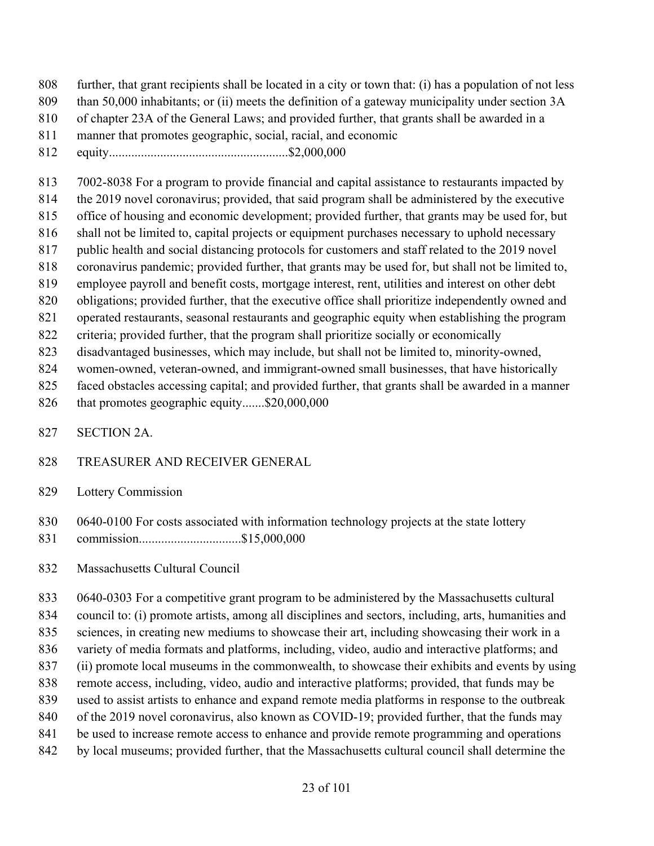- further, that grant recipients shall be located in a city or town that: (i) has a population of not less
- 809 than 50,000 inhabitants; or (ii) meets the definition of a gateway municipality under section 3A
- of chapter 23A of the General Laws; and provided further, that grants shall be awarded in a
- manner that promotes geographic, social, racial, and economic
- equity........................................................\$2,000,000

7002-8038 For a program to provide financial and capital assistance to restaurants impacted by

- the 2019 novel coronavirus; provided, that said program shall be administered by the executive
- office of housing and economic development; provided further, that grants may be used for, but shall not be limited to, capital projects or equipment purchases necessary to uphold necessary
- public health and social distancing protocols for customers and staff related to the 2019 novel
- coronavirus pandemic; provided further, that grants may be used for, but shall not be limited to,
- employee payroll and benefit costs, mortgage interest, rent, utilities and interest on other debt
- obligations; provided further, that the executive office shall prioritize independently owned and
- operated restaurants, seasonal restaurants and geographic equity when establishing the program
- criteria; provided further, that the program shall prioritize socially or economically
- disadvantaged businesses, which may include, but shall not be limited to, minority-owned,
- women-owned, veteran-owned, and immigrant-owned small businesses, that have historically
- faced obstacles accessing capital; and provided further, that grants shall be awarded in a manner
- that promotes geographic equity.......\$20,000,000
- SECTION 2A.
- TREASURER AND RECEIVER GENERAL
- Lottery Commission
- 830 0640-0100 For costs associated with information technology projects at the state lottery
- commission................................\$15,000,000
- Massachusetts Cultural Council

 0640-0303 For a competitive grant program to be administered by the Massachusetts cultural council to: (i) promote artists, among all disciplines and sectors, including, arts, humanities and sciences, in creating new mediums to showcase their art, including showcasing their work in a variety of media formats and platforms, including, video, audio and interactive platforms; and (ii) promote local museums in the commonwealth, to showcase their exhibits and events by using remote access, including, video, audio and interactive platforms; provided, that funds may be used to assist artists to enhance and expand remote media platforms in response to the outbreak 840 of the 2019 novel coronavirus, also known as COVID-19; provided further, that the funds may 841 be used to increase remote access to enhance and provide remote programming and operations by local museums; provided further, that the Massachusetts cultural council shall determine the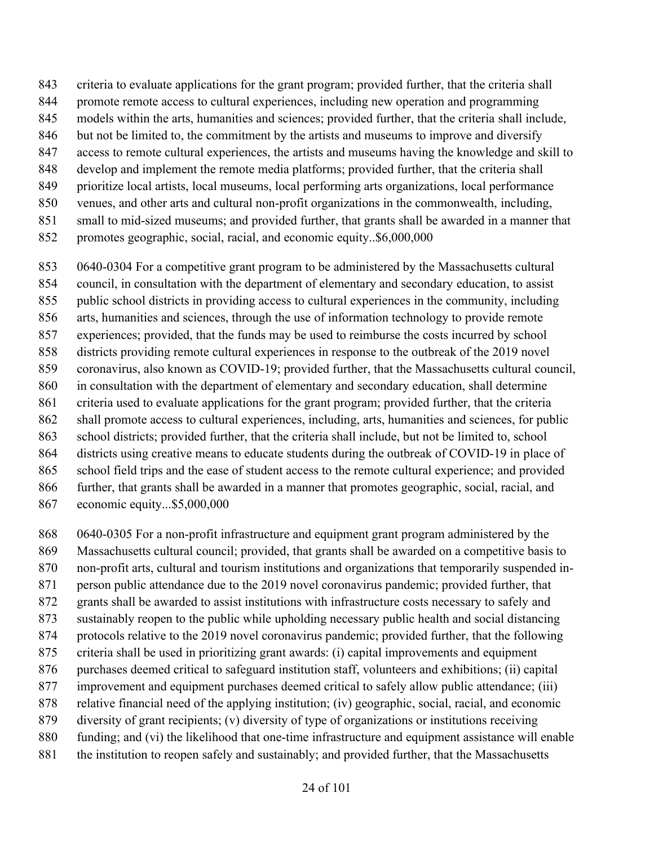- criteria to evaluate applications for the grant program; provided further, that the criteria shall
- promote remote access to cultural experiences, including new operation and programming
- models within the arts, humanities and sciences; provided further, that the criteria shall include,
- 846 but not be limited to, the commitment by the artists and museums to improve and diversify
- access to remote cultural experiences, the artists and museums having the knowledge and skill to
- develop and implement the remote media platforms; provided further, that the criteria shall
- prioritize local artists, local museums, local performing arts organizations, local performance
- venues, and other arts and cultural non-profit organizations in the commonwealth, including, small to mid-sized museums; and provided further, that grants shall be awarded in a manner that
- promotes geographic, social, racial, and economic equity..\$6,000,000
- 0640-0304 For a competitive grant program to be administered by the Massachusetts cultural council, in consultation with the department of elementary and secondary education, to assist public school districts in providing access to cultural experiences in the community, including arts, humanities and sciences, through the use of information technology to provide remote experiences; provided, that the funds may be used to reimburse the costs incurred by school districts providing remote cultural experiences in response to the outbreak of the 2019 novel coronavirus, also known as COVID-19; provided further, that the Massachusetts cultural council, in consultation with the department of elementary and secondary education, shall determine
- criteria used to evaluate applications for the grant program; provided further, that the criteria
- shall promote access to cultural experiences, including, arts, humanities and sciences, for public
- school districts; provided further, that the criteria shall include, but not be limited to, school
- districts using creative means to educate students during the outbreak of COVID-19 in place of
- school field trips and the ease of student access to the remote cultural experience; and provided
- further, that grants shall be awarded in a manner that promotes geographic, social, racial, and
- economic equity...\$5,000,000
- 0640-0305 For a non-profit infrastructure and equipment grant program administered by the
- Massachusetts cultural council; provided, that grants shall be awarded on a competitive basis to
- non-profit arts, cultural and tourism institutions and organizations that temporarily suspended in-
- person public attendance due to the 2019 novel coronavirus pandemic; provided further, that
- grants shall be awarded to assist institutions with infrastructure costs necessary to safely and
- sustainably reopen to the public while upholding necessary public health and social distancing
- protocols relative to the 2019 novel coronavirus pandemic; provided further, that the following criteria shall be used in prioritizing grant awards: (i) capital improvements and equipment
- purchases deemed critical to safeguard institution staff, volunteers and exhibitions; (ii) capital
- improvement and equipment purchases deemed critical to safely allow public attendance; (iii)
- relative financial need of the applying institution; (iv) geographic, social, racial, and economic
- diversity of grant recipients; (v) diversity of type of organizations or institutions receiving
- funding; and (vi) the likelihood that one-time infrastructure and equipment assistance will enable
- 881 the institution to reopen safely and sustainably; and provided further, that the Massachusetts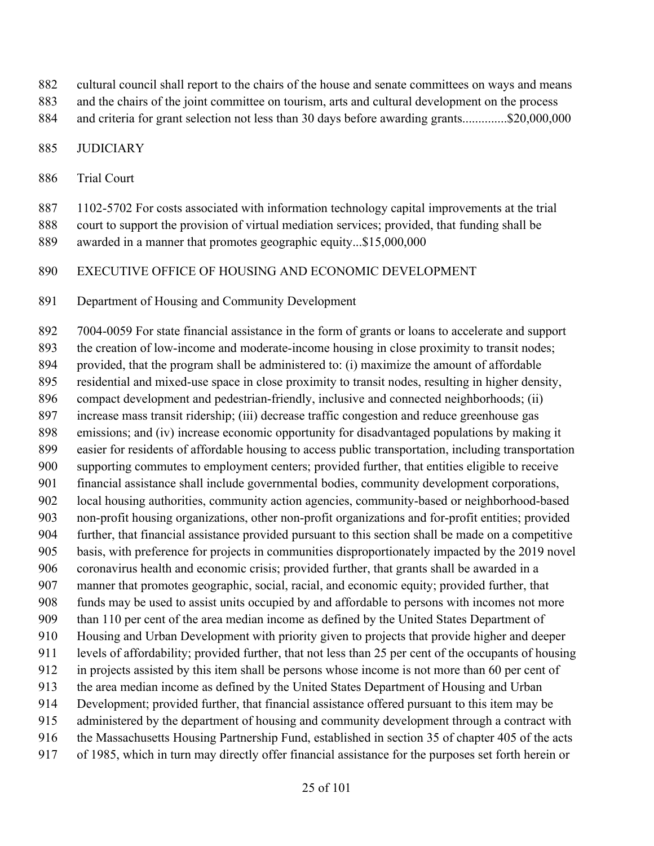- cultural council shall report to the chairs of the house and senate committees on ways and means
- and the chairs of the joint committee on tourism, arts and cultural development on the process
- and criteria for grant selection not less than 30 days before awarding grants..............\$20,000,000

#### JUDICIARY

Trial Court

1102-5702 For costs associated with information technology capital improvements at the trial

- court to support the provision of virtual mediation services; provided, that funding shall be awarded in a manner that promotes geographic equity...\$15,000,000
- EXECUTIVE OFFICE OF HOUSING AND ECONOMIC DEVELOPMENT
- Department of Housing and Community Development

 7004-0059 For state financial assistance in the form of grants or loans to accelerate and support the creation of low-income and moderate-income housing in close proximity to transit nodes; provided, that the program shall be administered to: (i) maximize the amount of affordable residential and mixed-use space in close proximity to transit nodes, resulting in higher density, compact development and pedestrian-friendly, inclusive and connected neighborhoods; (ii) increase mass transit ridership; (iii) decrease traffic congestion and reduce greenhouse gas emissions; and (iv) increase economic opportunity for disadvantaged populations by making it easier for residents of affordable housing to access public transportation, including transportation supporting commutes to employment centers; provided further, that entities eligible to receive financial assistance shall include governmental bodies, community development corporations, local housing authorities, community action agencies, community-based or neighborhood-based non-profit housing organizations, other non-profit organizations and for-profit entities; provided further, that financial assistance provided pursuant to this section shall be made on a competitive basis, with preference for projects in communities disproportionately impacted by the 2019 novel coronavirus health and economic crisis; provided further, that grants shall be awarded in a manner that promotes geographic, social, racial, and economic equity; provided further, that funds may be used to assist units occupied by and affordable to persons with incomes not more than 110 per cent of the area median income as defined by the United States Department of Housing and Urban Development with priority given to projects that provide higher and deeper levels of affordability; provided further, that not less than 25 per cent of the occupants of housing in projects assisted by this item shall be persons whose income is not more than 60 per cent of the area median income as defined by the United States Department of Housing and Urban Development; provided further, that financial assistance offered pursuant to this item may be administered by the department of housing and community development through a contract with the Massachusetts Housing Partnership Fund, established in section 35 of chapter 405 of the acts of 1985, which in turn may directly offer financial assistance for the purposes set forth herein or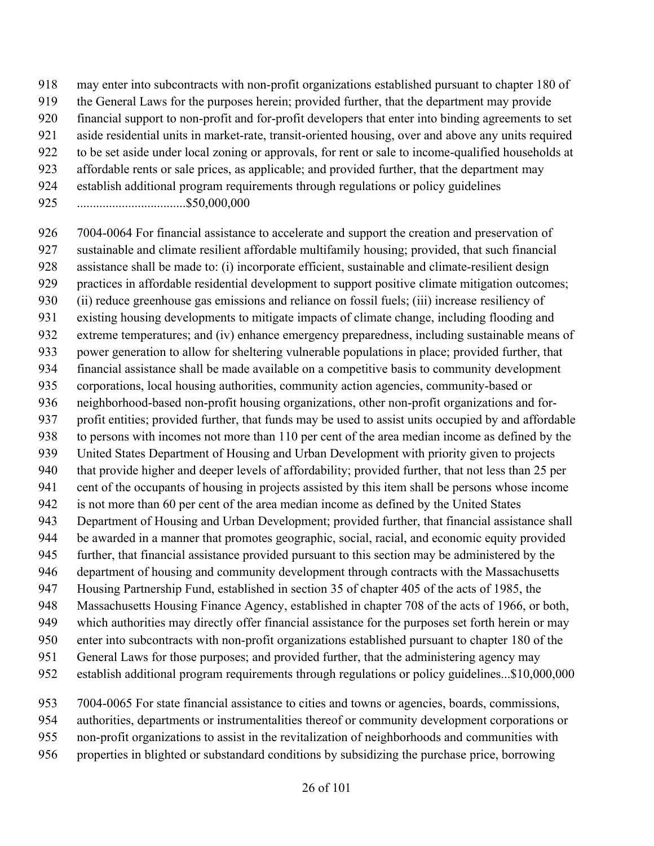- may enter into subcontracts with non-profit organizations established pursuant to chapter 180 of
- the General Laws for the purposes herein; provided further, that the department may provide
- financial support to non-profit and for-profit developers that enter into binding agreements to set
- aside residential units in market-rate, transit-oriented housing, over and above any units required
- to be set aside under local zoning or approvals, for rent or sale to income-qualified households at
- affordable rents or sale prices, as applicable; and provided further, that the department may
- establish additional program requirements through regulations or policy guidelines
- ..................................\$50,000,000

 7004-0064 For financial assistance to accelerate and support the creation and preservation of sustainable and climate resilient affordable multifamily housing; provided, that such financial assistance shall be made to: (i) incorporate efficient, sustainable and climate-resilient design practices in affordable residential development to support positive climate mitigation outcomes; (ii) reduce greenhouse gas emissions and reliance on fossil fuels; (iii) increase resiliency of existing housing developments to mitigate impacts of climate change, including flooding and extreme temperatures; and (iv) enhance emergency preparedness, including sustainable means of power generation to allow for sheltering vulnerable populations in place; provided further, that financial assistance shall be made available on a competitive basis to community development corporations, local housing authorities, community action agencies, community-based or neighborhood-based non-profit housing organizations, other non-profit organizations and for- profit entities; provided further, that funds may be used to assist units occupied by and affordable to persons with incomes not more than 110 per cent of the area median income as defined by the United States Department of Housing and Urban Development with priority given to projects that provide higher and deeper levels of affordability; provided further, that not less than 25 per cent of the occupants of housing in projects assisted by this item shall be persons whose income is not more than 60 per cent of the area median income as defined by the United States Department of Housing and Urban Development; provided further, that financial assistance shall be awarded in a manner that promotes geographic, social, racial, and economic equity provided further, that financial assistance provided pursuant to this section may be administered by the department of housing and community development through contracts with the Massachusetts Housing Partnership Fund, established in section 35 of chapter 405 of the acts of 1985, the Massachusetts Housing Finance Agency, established in chapter 708 of the acts of 1966, or both, which authorities may directly offer financial assistance for the purposes set forth herein or may enter into subcontracts with non-profit organizations established pursuant to chapter 180 of the General Laws for those purposes; and provided further, that the administering agency may establish additional program requirements through regulations or policy guidelines...\$10,000,000

- 7004-0065 For state financial assistance to cities and towns or agencies, boards, commissions,
- authorities, departments or instrumentalities thereof or community development corporations or
- non-profit organizations to assist in the revitalization of neighborhoods and communities with
- properties in blighted or substandard conditions by subsidizing the purchase price, borrowing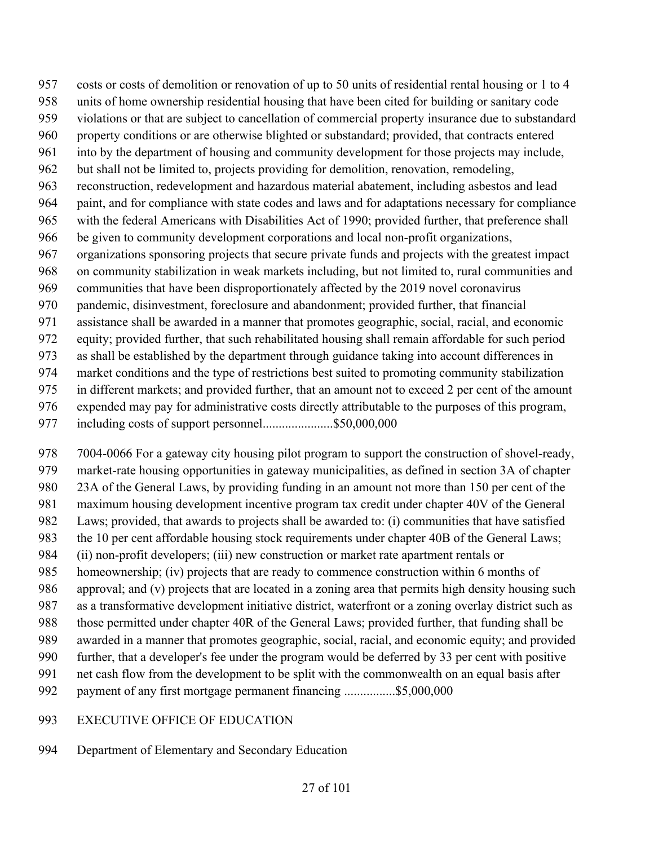costs or costs of demolition or renovation of up to 50 units of residential rental housing or 1 to 4 units of home ownership residential housing that have been cited for building or sanitary code violations or that are subject to cancellation of commercial property insurance due to substandard property conditions or are otherwise blighted or substandard; provided, that contracts entered into by the department of housing and community development for those projects may include, but shall not be limited to, projects providing for demolition, renovation, remodeling, reconstruction, redevelopment and hazardous material abatement, including asbestos and lead paint, and for compliance with state codes and laws and for adaptations necessary for compliance with the federal Americans with Disabilities Act of 1990; provided further, that preference shall be given to community development corporations and local non-profit organizations, organizations sponsoring projects that secure private funds and projects with the greatest impact on community stabilization in weak markets including, but not limited to, rural communities and communities that have been disproportionately affected by the 2019 novel coronavirus pandemic, disinvestment, foreclosure and abandonment; provided further, that financial assistance shall be awarded in a manner that promotes geographic, social, racial, and economic equity; provided further, that such rehabilitated housing shall remain affordable for such period as shall be established by the department through guidance taking into account differences in market conditions and the type of restrictions best suited to promoting community stabilization in different markets; and provided further, that an amount not to exceed 2 per cent of the amount expended may pay for administrative costs directly attributable to the purposes of this program,

including costs of support personnel......................\$50,000,000

 7004-0066 For a gateway city housing pilot program to support the construction of shovel-ready, market-rate housing opportunities in gateway municipalities, as defined in section 3A of chapter 23A of the General Laws, by providing funding in an amount not more than 150 per cent of the maximum housing development incentive program tax credit under chapter 40V of the General Laws; provided, that awards to projects shall be awarded to: (i) communities that have satisfied the 10 per cent affordable housing stock requirements under chapter 40B of the General Laws; (ii) non-profit developers; (iii) new construction or market rate apartment rentals or homeownership; (iv) projects that are ready to commence construction within 6 months of approval; and (v) projects that are located in a zoning area that permits high density housing such as a transformative development initiative district, waterfront or a zoning overlay district such as those permitted under chapter 40R of the General Laws; provided further, that funding shall be awarded in a manner that promotes geographic, social, racial, and economic equity; and provided further, that a developer's fee under the program would be deferred by 33 per cent with positive net cash flow from the development to be split with the commonwealth on an equal basis after payment of any first mortgage permanent financing ................\$5,000,000

#### EXECUTIVE OFFICE OF EDUCATION

### Department of Elementary and Secondary Education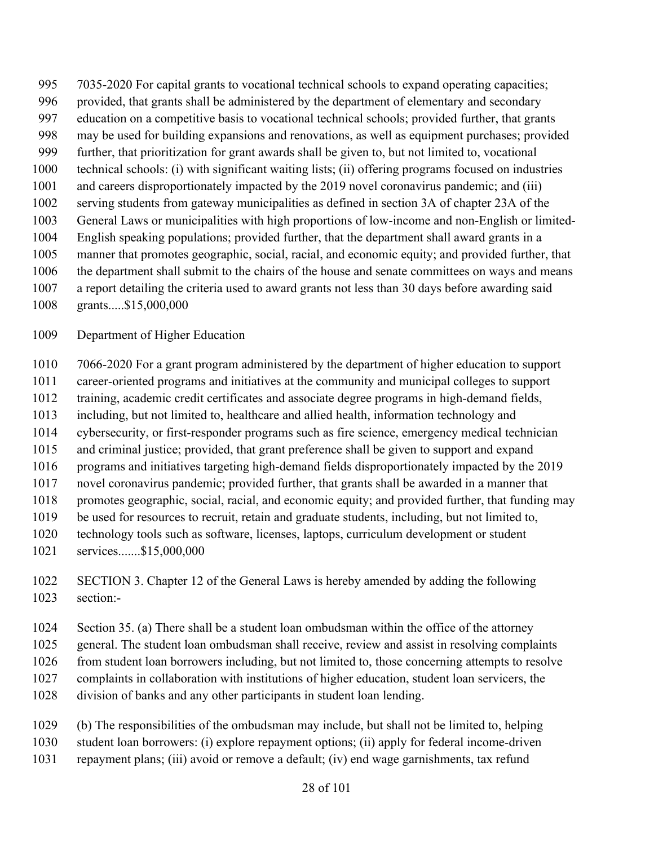7035-2020 For capital grants to vocational technical schools to expand operating capacities; provided, that grants shall be administered by the department of elementary and secondary education on a competitive basis to vocational technical schools; provided further, that grants may be used for building expansions and renovations, as well as equipment purchases; provided further, that prioritization for grant awards shall be given to, but not limited to, vocational technical schools: (i) with significant waiting lists; (ii) offering programs focused on industries and careers disproportionately impacted by the 2019 novel coronavirus pandemic; and (iii) serving students from gateway municipalities as defined in section 3A of chapter 23A of the General Laws or municipalities with high proportions of low-income and non-English or limited- English speaking populations; provided further, that the department shall award grants in a manner that promotes geographic, social, racial, and economic equity; and provided further, that the department shall submit to the chairs of the house and senate committees on ways and means a report detailing the criteria used to award grants not less than 30 days before awarding said grants.....\$15,000,000

Department of Higher Education

7066-2020 For a grant program administered by the department of higher education to support

career-oriented programs and initiatives at the community and municipal colleges to support

training, academic credit certificates and associate degree programs in high-demand fields,

including, but not limited to, healthcare and allied health, information technology and

cybersecurity, or first-responder programs such as fire science, emergency medical technician

 and criminal justice; provided, that grant preference shall be given to support and expand programs and initiatives targeting high-demand fields disproportionately impacted by the 2019

novel coronavirus pandemic; provided further, that grants shall be awarded in a manner that

promotes geographic, social, racial, and economic equity; and provided further, that funding may

be used for resources to recruit, retain and graduate students, including, but not limited to,

- technology tools such as software, licenses, laptops, curriculum development or student
- services.......\$15,000,000

 SECTION 3. Chapter 12 of the General Laws is hereby amended by adding the following section:-

Section 35. (a) There shall be a student loan ombudsman within the office of the attorney

general. The student loan ombudsman shall receive, review and assist in resolving complaints

from student loan borrowers including, but not limited to, those concerning attempts to resolve

- complaints in collaboration with institutions of higher education, student loan servicers, the
- division of banks and any other participants in student loan lending.
- (b) The responsibilities of the ombudsman may include, but shall not be limited to, helping student loan borrowers: (i) explore repayment options; (ii) apply for federal income-driven
- repayment plans; (iii) avoid or remove a default; (iv) end wage garnishments, tax refund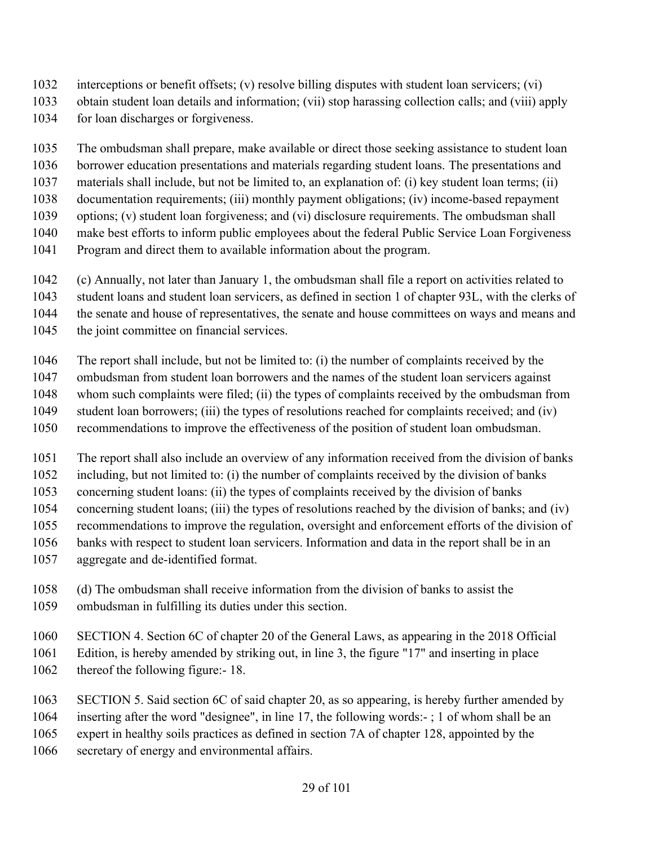- interceptions or benefit offsets; (v) resolve billing disputes with student loan servicers; (vi)
- obtain student loan details and information; (vii) stop harassing collection calls; and (viii) apply
- for loan discharges or forgiveness.

The ombudsman shall prepare, make available or direct those seeking assistance to student loan

borrower education presentations and materials regarding student loans. The presentations and

- materials shall include, but not be limited to, an explanation of: (i) key student loan terms; (ii)
- documentation requirements; (iii) monthly payment obligations; (iv) income-based repayment options; (v) student loan forgiveness; and (vi) disclosure requirements. The ombudsman shall
- make best efforts to inform public employees about the federal Public Service Loan Forgiveness
- Program and direct them to available information about the program.
- (c) Annually, not later than January 1, the ombudsman shall file a report on activities related to
- student loans and student loan servicers, as defined in section 1 of chapter 93L, with the clerks of
- the senate and house of representatives, the senate and house committees on ways and means and
- 1045 the joint committee on financial services.
- The report shall include, but not be limited to: (i) the number of complaints received by the
- ombudsman from student loan borrowers and the names of the student loan servicers against
- whom such complaints were filed; (ii) the types of complaints received by the ombudsman from
- student loan borrowers; (iii) the types of resolutions reached for complaints received; and (iv) recommendations to improve the effectiveness of the position of student loan ombudsman.
- 
- The report shall also include an overview of any information received from the division of banks
- including, but not limited to: (i) the number of complaints received by the division of banks
- concerning student loans: (ii) the types of complaints received by the division of banks
- concerning student loans; (iii) the types of resolutions reached by the division of banks; and (iv)
- recommendations to improve the regulation, oversight and enforcement efforts of the division of
- banks with respect to student loan servicers. Information and data in the report shall be in an
- aggregate and de-identified format.
- (d) The ombudsman shall receive information from the division of banks to assist the ombudsman in fulfilling its duties under this section.
- SECTION 4. Section 6C of chapter 20 of the General Laws, as appearing in the 2018 Official Edition, is hereby amended by striking out, in line 3, the figure "17" and inserting in place 1062 thereof the following figure: 18.
- SECTION 5. Said section 6C of said chapter 20, as so appearing, is hereby further amended by inserting after the word "designee", in line 17, the following words:- ; 1 of whom shall be an expert in healthy soils practices as defined in section 7A of chapter 128, appointed by the secretary of energy and environmental affairs.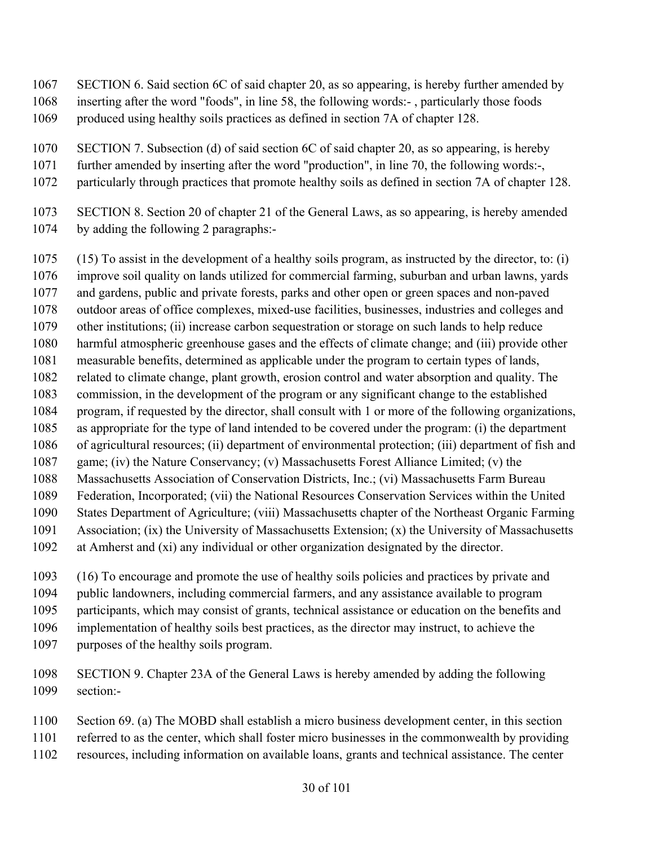- SECTION 6. Said section 6C of said chapter 20, as so appearing, is hereby further amended by inserting after the word "foods", in line 58, the following words:- , particularly those foods
- produced using healthy soils practices as defined in section 7A of chapter 128.
- SECTION 7. Subsection (d) of said section 6C of said chapter 20, as so appearing, is hereby
- further amended by inserting after the word "production", in line 70, the following words:-,
- particularly through practices that promote healthy soils as defined in section 7A of chapter 128.
- SECTION 8. Section 20 of chapter 21 of the General Laws, as so appearing, is hereby amended by adding the following 2 paragraphs:-

 (15) To assist in the development of a healthy soils program, as instructed by the director, to: (i) improve soil quality on lands utilized for commercial farming, suburban and urban lawns, yards and gardens, public and private forests, parks and other open or green spaces and non-paved outdoor areas of office complexes, mixed-use facilities, businesses, industries and colleges and other institutions; (ii) increase carbon sequestration or storage on such lands to help reduce harmful atmospheric greenhouse gases and the effects of climate change; and (iii) provide other measurable benefits, determined as applicable under the program to certain types of lands, related to climate change, plant growth, erosion control and water absorption and quality. The commission, in the development of the program or any significant change to the established program, if requested by the director, shall consult with 1 or more of the following organizations, as appropriate for the type of land intended to be covered under the program: (i) the department of agricultural resources; (ii) department of environmental protection; (iii) department of fish and game; (iv) the Nature Conservancy; (v) Massachusetts Forest Alliance Limited; (v) the Massachusetts Association of Conservation Districts, Inc.; (vi) Massachusetts Farm Bureau Federation, Incorporated; (vii) the National Resources Conservation Services within the United States Department of Agriculture; (viii) Massachusetts chapter of the Northeast Organic Farming Association; (ix) the University of Massachusetts Extension; (x) the University of Massachusetts at Amherst and (xi) any individual or other organization designated by the director.

 (16) To encourage and promote the use of healthy soils policies and practices by private and public landowners, including commercial farmers, and any assistance available to program participants, which may consist of grants, technical assistance or education on the benefits and implementation of healthy soils best practices, as the director may instruct, to achieve the purposes of the healthy soils program.

- SECTION 9. Chapter 23A of the General Laws is hereby amended by adding the following section:-
- Section 69. (a) The MOBD shall establish a micro business development center, in this section
- referred to as the center, which shall foster micro businesses in the commonwealth by providing
- resources, including information on available loans, grants and technical assistance. The center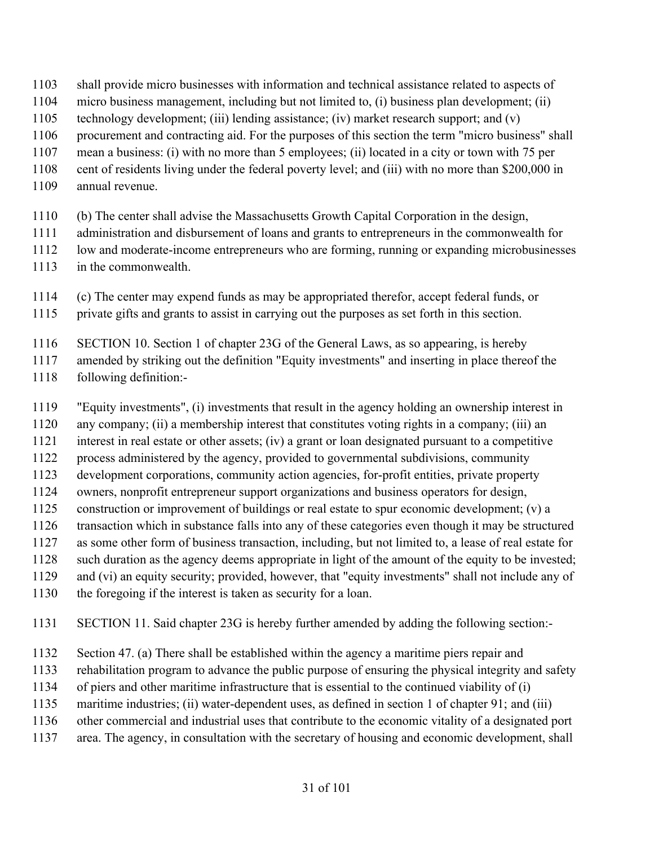- shall provide micro businesses with information and technical assistance related to aspects of
- micro business management, including but not limited to, (i) business plan development; (ii)
- technology development; (iii) lending assistance; (iv) market research support; and (v)
- procurement and contracting aid. For the purposes of this section the term "micro business" shall
- mean a business: (i) with no more than 5 employees; (ii) located in a city or town with 75 per
- cent of residents living under the federal poverty level; and (iii) with no more than \$200,000 in
- annual revenue.
- (b) The center shall advise the Massachusetts Growth Capital Corporation in the design,
- administration and disbursement of loans and grants to entrepreneurs in the commonwealth for
- low and moderate-income entrepreneurs who are forming, running or expanding microbusinesses
- in the commonwealth.
- (c) The center may expend funds as may be appropriated therefor, accept federal funds, or
- private gifts and grants to assist in carrying out the purposes as set forth in this section.
- SECTION 10. Section 1 of chapter 23G of the General Laws, as so appearing, is hereby
- amended by striking out the definition "Equity investments" and inserting in place thereof the
- following definition:-
- "Equity investments", (i) investments that result in the agency holding an ownership interest in
- any company; (ii) a membership interest that constitutes voting rights in a company; (iii) an
- interest in real estate or other assets; (iv) a grant or loan designated pursuant to a competitive
- process administered by the agency, provided to governmental subdivisions, community
- development corporations, community action agencies, for-profit entities, private property
- owners, nonprofit entrepreneur support organizations and business operators for design,
- construction or improvement of buildings or real estate to spur economic development; (v) a
- transaction which in substance falls into any of these categories even though it may be structured
- as some other form of business transaction, including, but not limited to, a lease of real estate for
- such duration as the agency deems appropriate in light of the amount of the equity to be invested;
- and (vi) an equity security; provided, however, that "equity investments" shall not include any of
- the foregoing if the interest is taken as security for a loan.
- SECTION 11. Said chapter 23G is hereby further amended by adding the following section:-
- Section 47. (a) There shall be established within the agency a maritime piers repair and
- rehabilitation program to advance the public purpose of ensuring the physical integrity and safety
- of piers and other maritime infrastructure that is essential to the continued viability of (i)
- maritime industries; (ii) water-dependent uses, as defined in section 1 of chapter 91; and (iii)
- other commercial and industrial uses that contribute to the economic vitality of a designated port
- area. The agency, in consultation with the secretary of housing and economic development, shall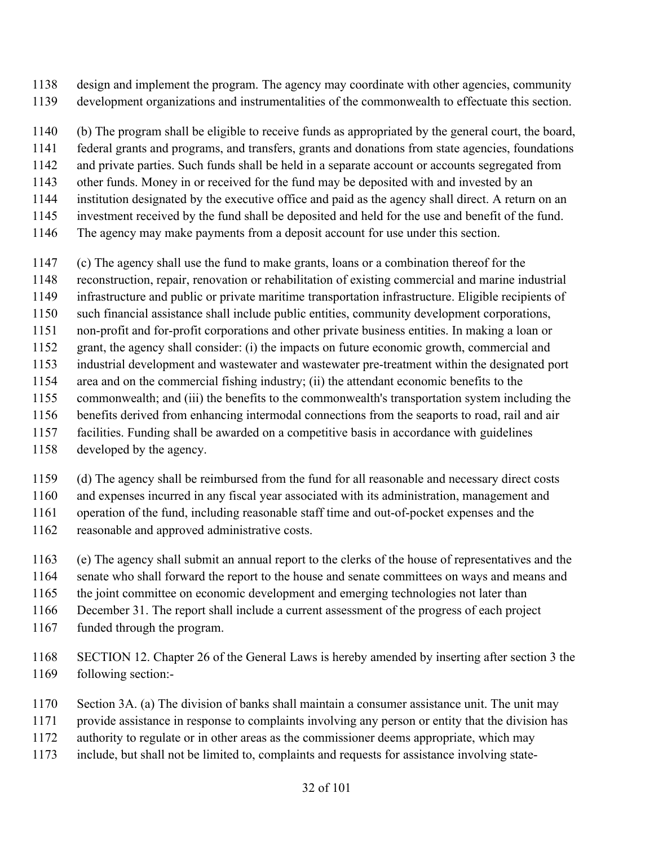- design and implement the program. The agency may coordinate with other agencies, community
- development organizations and instrumentalities of the commonwealth to effectuate this section.
- (b) The program shall be eligible to receive funds as appropriated by the general court, the board,
- federal grants and programs, and transfers, grants and donations from state agencies, foundations
- and private parties. Such funds shall be held in a separate account or accounts segregated from
- other funds. Money in or received for the fund may be deposited with and invested by an
- institution designated by the executive office and paid as the agency shall direct. A return on an
- investment received by the fund shall be deposited and held for the use and benefit of the fund.
- The agency may make payments from a deposit account for use under this section.
- (c) The agency shall use the fund to make grants, loans or a combination thereof for the
- reconstruction, repair, renovation or rehabilitation of existing commercial and marine industrial
- infrastructure and public or private maritime transportation infrastructure. Eligible recipients of
- such financial assistance shall include public entities, community development corporations,
- non-profit and for-profit corporations and other private business entities. In making a loan or
- grant, the agency shall consider: (i) the impacts on future economic growth, commercial and
- industrial development and wastewater and wastewater pre-treatment within the designated port
- area and on the commercial fishing industry; (ii) the attendant economic benefits to the
- commonwealth; and (iii) the benefits to the commonwealth's transportation system including the
- benefits derived from enhancing intermodal connections from the seaports to road, rail and air
- facilities. Funding shall be awarded on a competitive basis in accordance with guidelines
- developed by the agency.
- (d) The agency shall be reimbursed from the fund for all reasonable and necessary direct costs
- and expenses incurred in any fiscal year associated with its administration, management and
- operation of the fund, including reasonable staff time and out-of-pocket expenses and the
- reasonable and approved administrative costs.
- (e) The agency shall submit an annual report to the clerks of the house of representatives and the
- senate who shall forward the report to the house and senate committees on ways and means and
- the joint committee on economic development and emerging technologies not later than
- December 31. The report shall include a current assessment of the progress of each project
- funded through the program.
- SECTION 12. Chapter 26 of the General Laws is hereby amended by inserting after section 3 the following section:-
- Section 3A. (a) The division of banks shall maintain a consumer assistance unit. The unit may
- provide assistance in response to complaints involving any person or entity that the division has
- authority to regulate or in other areas as the commissioner deems appropriate, which may
- include, but shall not be limited to, complaints and requests for assistance involving state-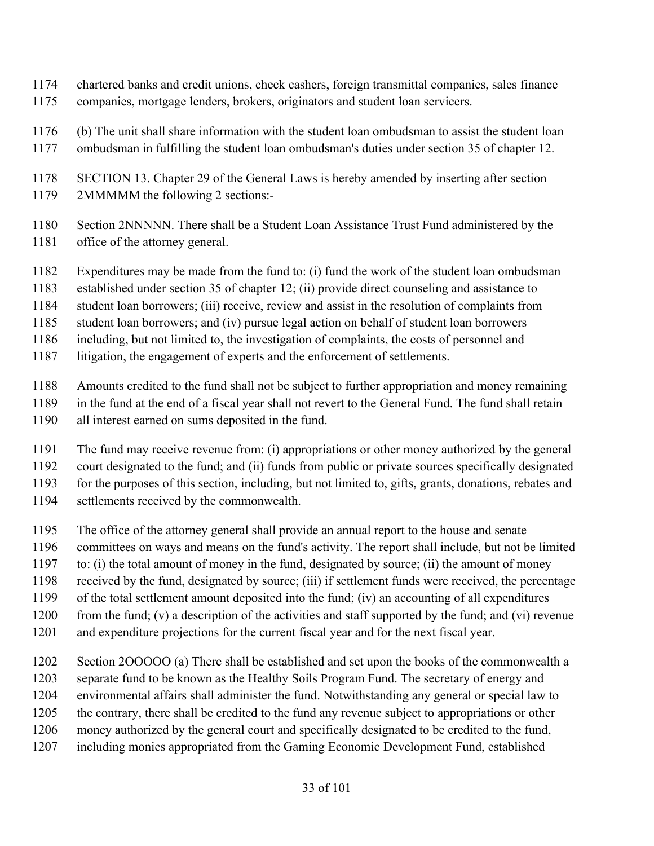- chartered banks and credit unions, check cashers, foreign transmittal companies, sales finance companies, mortgage lenders, brokers, originators and student loan servicers.
- (b) The unit shall share information with the student loan ombudsman to assist the student loan
- ombudsman in fulfilling the student loan ombudsman's duties under section 35 of chapter 12.

- Section 2NNNNN. There shall be a Student Loan Assistance Trust Fund administered by the office of the attorney general.
- Expenditures may be made from the fund to: (i) fund the work of the student loan ombudsman
- established under section 35 of chapter 12; (ii) provide direct counseling and assistance to
- student loan borrowers; (iii) receive, review and assist in the resolution of complaints from
- student loan borrowers; and (iv) pursue legal action on behalf of student loan borrowers
- including, but not limited to, the investigation of complaints, the costs of personnel and
- litigation, the engagement of experts and the enforcement of settlements.
- Amounts credited to the fund shall not be subject to further appropriation and money remaining
- in the fund at the end of a fiscal year shall not revert to the General Fund. The fund shall retain
- all interest earned on sums deposited in the fund.
- The fund may receive revenue from: (i) appropriations or other money authorized by the general court designated to the fund; and (ii) funds from public or private sources specifically designated for the purposes of this section, including, but not limited to, gifts, grants, donations, rebates and settlements received by the commonwealth.
- The office of the attorney general shall provide an annual report to the house and senate
- committees on ways and means on the fund's activity. The report shall include, but not be limited
- to: (i) the total amount of money in the fund, designated by source; (ii) the amount of money
- received by the fund, designated by source; (iii) if settlement funds were received, the percentage
- of the total settlement amount deposited into the fund; (iv) an accounting of all expenditures
- from the fund; (v) a description of the activities and staff supported by the fund; and (vi) revenue
- and expenditure projections for the current fiscal year and for the next fiscal year.
- Section 2OOOOO (a) There shall be established and set upon the books of the commonwealth a
- separate fund to be known as the Healthy Soils Program Fund. The secretary of energy and
- environmental affairs shall administer the fund. Notwithstanding any general or special law to
- the contrary, there shall be credited to the fund any revenue subject to appropriations or other
- money authorized by the general court and specifically designated to be credited to the fund,
- including monies appropriated from the Gaming Economic Development Fund, established

 SECTION 13. Chapter 29 of the General Laws is hereby amended by inserting after section 2MMMMM the following 2 sections:-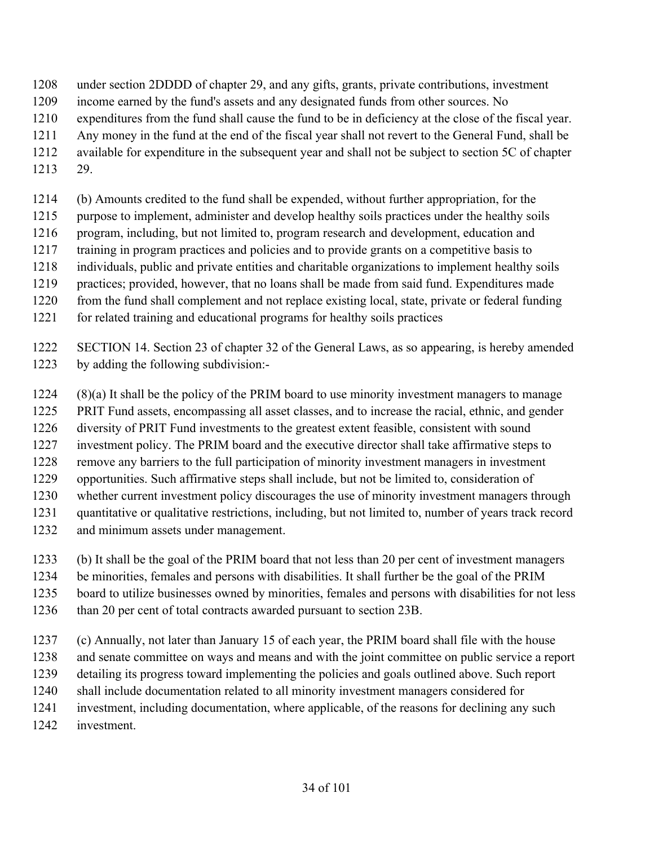- under section 2DDDD of chapter 29, and any gifts, grants, private contributions, investment
- income earned by the fund's assets and any designated funds from other sources. No
- expenditures from the fund shall cause the fund to be in deficiency at the close of the fiscal year.
- Any money in the fund at the end of the fiscal year shall not revert to the General Fund, shall be
- available for expenditure in the subsequent year and shall not be subject to section 5C of chapter
- 29.
- (b) Amounts credited to the fund shall be expended, without further appropriation, for the
- purpose to implement, administer and develop healthy soils practices under the healthy soils
- program, including, but not limited to, program research and development, education and
- training in program practices and policies and to provide grants on a competitive basis to
- individuals, public and private entities and charitable organizations to implement healthy soils
- practices; provided, however, that no loans shall be made from said fund. Expenditures made
- from the fund shall complement and not replace existing local, state, private or federal funding
- for related training and educational programs for healthy soils practices
- SECTION 14. Section 23 of chapter 32 of the General Laws, as so appearing, is hereby amended by adding the following subdivision:-
- (8)(a) It shall be the policy of the PRIM board to use minority investment managers to manage
- PRIT Fund assets, encompassing all asset classes, and to increase the racial, ethnic, and gender
- diversity of PRIT Fund investments to the greatest extent feasible, consistent with sound
- investment policy. The PRIM board and the executive director shall take affirmative steps to
- remove any barriers to the full participation of minority investment managers in investment
- opportunities. Such affirmative steps shall include, but not be limited to, consideration of
- whether current investment policy discourages the use of minority investment managers through
- quantitative or qualitative restrictions, including, but not limited to, number of years track record
- and minimum assets under management.
- (b) It shall be the goal of the PRIM board that not less than 20 per cent of investment managers
- be minorities, females and persons with disabilities. It shall further be the goal of the PRIM
- board to utilize businesses owned by minorities, females and persons with disabilities for not less
- 1236 than 20 per cent of total contracts awarded pursuant to section 23B.
- (c) Annually, not later than January 15 of each year, the PRIM board shall file with the house
- and senate committee on ways and means and with the joint committee on public service a report
- detailing its progress toward implementing the policies and goals outlined above. Such report
- shall include documentation related to all minority investment managers considered for
- investment, including documentation, where applicable, of the reasons for declining any such
- investment.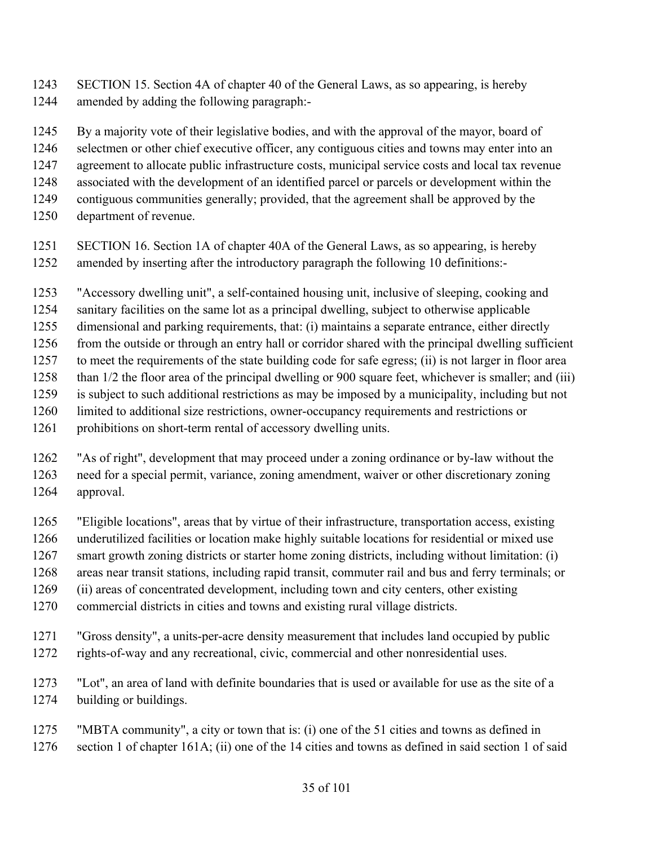SECTION 15. Section 4A of chapter 40 of the General Laws, as so appearing, is hereby amended by adding the following paragraph:-

By a majority vote of their legislative bodies, and with the approval of the mayor, board of

selectmen or other chief executive officer, any contiguous cities and towns may enter into an

- agreement to allocate public infrastructure costs, municipal service costs and local tax revenue
- associated with the development of an identified parcel or parcels or development within the
- contiguous communities generally; provided, that the agreement shall be approved by the
- department of revenue.
- SECTION 16. Section 1A of chapter 40A of the General Laws, as so appearing, is hereby amended by inserting after the introductory paragraph the following 10 definitions:-
- "Accessory dwelling unit", a self-contained housing unit, inclusive of sleeping, cooking and
- sanitary facilities on the same lot as a principal dwelling, subject to otherwise applicable
- dimensional and parking requirements, that: (i) maintains a separate entrance, either directly
- from the outside or through an entry hall or corridor shared with the principal dwelling sufficient
- to meet the requirements of the state building code for safe egress; (ii) is not larger in floor area than 1/2 the floor area of the principal dwelling or 900 square feet, whichever is smaller; and (iii)
- is subject to such additional restrictions as may be imposed by a municipality, including but not
- limited to additional size restrictions, owner-occupancy requirements and restrictions or
- prohibitions on short-term rental of accessory dwelling units.
- "As of right", development that may proceed under a zoning ordinance or by-law without the need for a special permit, variance, zoning amendment, waiver or other discretionary zoning approval.
- "Eligible locations", areas that by virtue of their infrastructure, transportation access, existing underutilized facilities or location make highly suitable locations for residential or mixed use smart growth zoning districts or starter home zoning districts, including without limitation: (i) areas near transit stations, including rapid transit, commuter rail and bus and ferry terminals; or
- (ii) areas of concentrated development, including town and city centers, other existing
- commercial districts in cities and towns and existing rural village districts.
- "Gross density", a units-per-acre density measurement that includes land occupied by public rights-of-way and any recreational, civic, commercial and other nonresidential uses.
- "Lot", an area of land with definite boundaries that is used or available for use as the site of a building or buildings.
- "MBTA community", a city or town that is: (i) one of the 51 cities and towns as defined in section 1 of chapter 161A; (ii) one of the 14 cities and towns as defined in said section 1 of said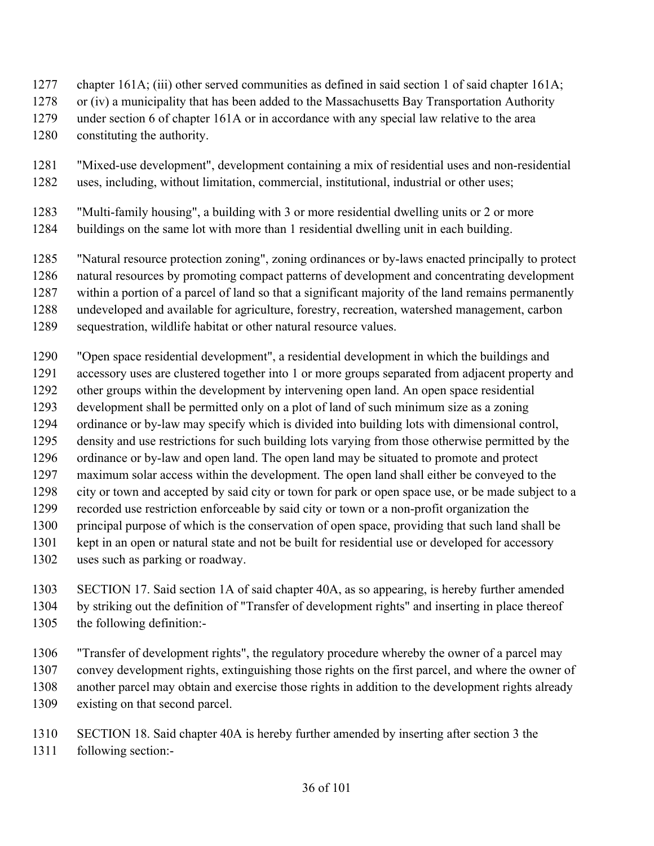- chapter 161A; (iii) other served communities as defined in said section 1 of said chapter 161A;
- or (iv) a municipality that has been added to the Massachusetts Bay Transportation Authority
- under section 6 of chapter 161A or in accordance with any special law relative to the area
- constituting the authority.
- "Mixed-use development", development containing a mix of residential uses and non-residential uses, including, without limitation, commercial, institutional, industrial or other uses;
- "Multi-family housing", a building with 3 or more residential dwelling units or 2 or more buildings on the same lot with more than 1 residential dwelling unit in each building.
- "Natural resource protection zoning", zoning ordinances or by-laws enacted principally to protect
- natural resources by promoting compact patterns of development and concentrating development
- within a portion of a parcel of land so that a significant majority of the land remains permanently
- undeveloped and available for agriculture, forestry, recreation, watershed management, carbon
- sequestration, wildlife habitat or other natural resource values.
- "Open space residential development", a residential development in which the buildings and
- accessory uses are clustered together into 1 or more groups separated from adjacent property and
- other groups within the development by intervening open land. An open space residential
- development shall be permitted only on a plot of land of such minimum size as a zoning
- ordinance or by-law may specify which is divided into building lots with dimensional control,
- density and use restrictions for such building lots varying from those otherwise permitted by the
- ordinance or by-law and open land. The open land may be situated to promote and protect
- maximum solar access within the development. The open land shall either be conveyed to the
- city or town and accepted by said city or town for park or open space use, or be made subject to a
- recorded use restriction enforceable by said city or town or a non-profit organization the
- principal purpose of which is the conservation of open space, providing that such land shall be
- kept in an open or natural state and not be built for residential use or developed for accessory
- uses such as parking or roadway.
- SECTION 17. Said section 1A of said chapter 40A, as so appearing, is hereby further amended by striking out the definition of "Transfer of development rights" and inserting in place thereof the following definition:-
- "Transfer of development rights", the regulatory procedure whereby the owner of a parcel may convey development rights, extinguishing those rights on the first parcel, and where the owner of another parcel may obtain and exercise those rights in addition to the development rights already existing on that second parcel.
- SECTION 18. Said chapter 40A is hereby further amended by inserting after section 3 the
- following section:-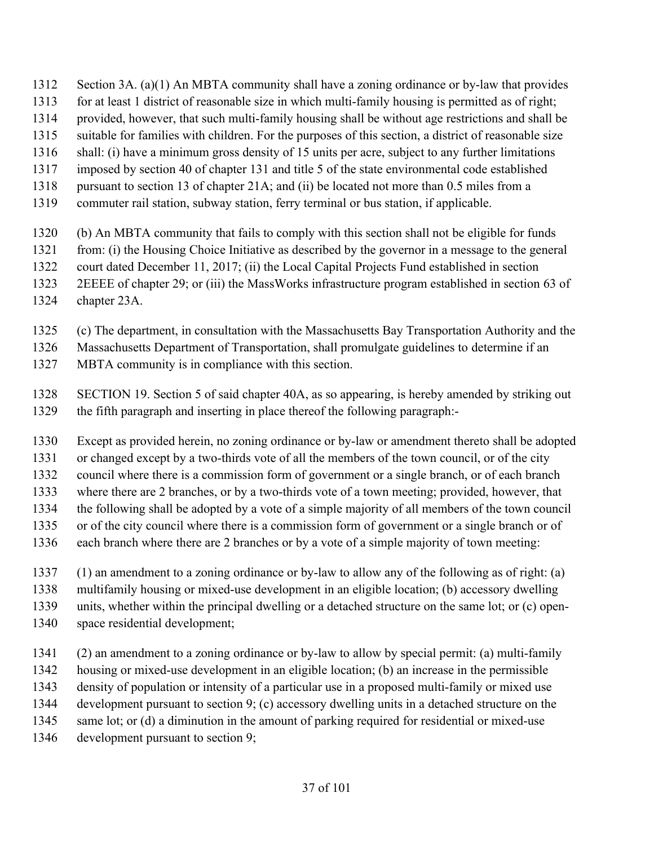- Section 3A. (a)(1) An MBTA community shall have a zoning ordinance or by-law that provides
- for at least 1 district of reasonable size in which multi-family housing is permitted as of right;
- provided, however, that such multi-family housing shall be without age restrictions and shall be
- suitable for families with children. For the purposes of this section, a district of reasonable size
- shall: (i) have a minimum gross density of 15 units per acre, subject to any further limitations
- imposed by section 40 of chapter 131 and title 5 of the state environmental code established
- 1318 pursuant to section 13 of chapter 21A; and (ii) be located not more than 0.5 miles from a
- commuter rail station, subway station, ferry terminal or bus station, if applicable.
- (b) An MBTA community that fails to comply with this section shall not be eligible for funds
- from: (i) the Housing Choice Initiative as described by the governor in a message to the general
- court dated December 11, 2017; (ii) the Local Capital Projects Fund established in section
- 2EEEE of chapter 29; or (iii) the MassWorks infrastructure program established in section 63 of
- chapter 23A.
- (c) The department, in consultation with the Massachusetts Bay Transportation Authority and the
- Massachusetts Department of Transportation, shall promulgate guidelines to determine if an
- MBTA community is in compliance with this section.
- SECTION 19. Section 5 of said chapter 40A, as so appearing, is hereby amended by striking out the fifth paragraph and inserting in place thereof the following paragraph:-
- Except as provided herein, no zoning ordinance or by-law or amendment thereto shall be adopted
- or changed except by a two-thirds vote of all the members of the town council, or of the city
- council where there is a commission form of government or a single branch, or of each branch
- where there are 2 branches, or by a two-thirds vote of a town meeting; provided, however, that
- the following shall be adopted by a vote of a simple majority of all members of the town council
- or of the city council where there is a commission form of government or a single branch or of
- each branch where there are 2 branches or by a vote of a simple majority of town meeting:
- (1) an amendment to a zoning ordinance or by-law to allow any of the following as of right: (a)
- multifamily housing or mixed-use development in an eligible location; (b) accessory dwelling
- units, whether within the principal dwelling or a detached structure on the same lot; or (c) open-
- space residential development;
- (2) an amendment to a zoning ordinance or by-law to allow by special permit: (a) multi-family
- housing or mixed-use development in an eligible location; (b) an increase in the permissible
- density of population or intensity of a particular use in a proposed multi-family or mixed use
- development pursuant to section 9; (c) accessory dwelling units in a detached structure on the
- 1345 same lot; or (d) a diminution in the amount of parking required for residential or mixed-use
- development pursuant to section 9;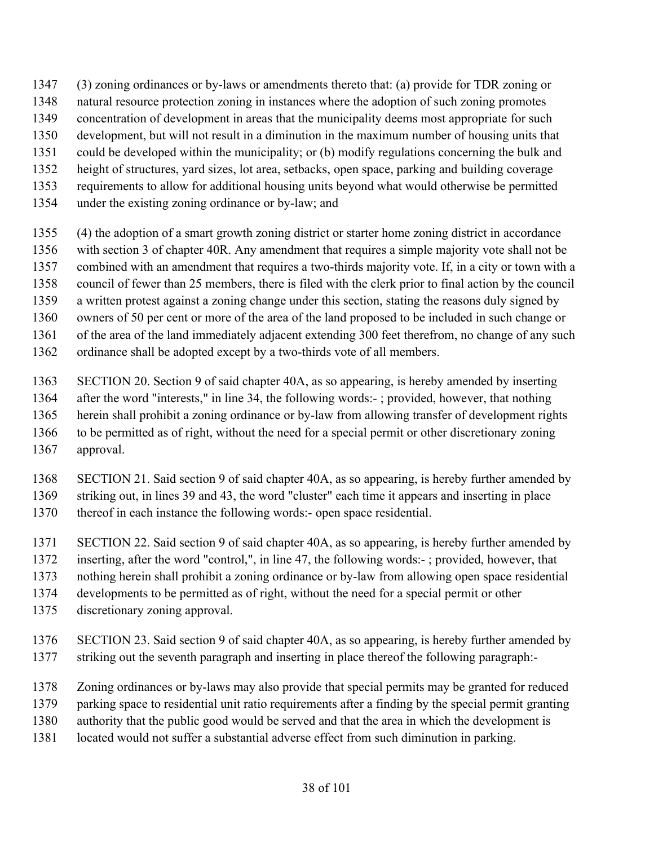- (3) zoning ordinances or by-laws or amendments thereto that: (a) provide for TDR zoning or
- natural resource protection zoning in instances where the adoption of such zoning promotes
- concentration of development in areas that the municipality deems most appropriate for such
- development, but will not result in a diminution in the maximum number of housing units that
- could be developed within the municipality; or (b) modify regulations concerning the bulk and
- height of structures, yard sizes, lot area, setbacks, open space, parking and building coverage
- requirements to allow for additional housing units beyond what would otherwise be permitted
- under the existing zoning ordinance or by-law; and
- (4) the adoption of a smart growth zoning district or starter home zoning district in accordance with section 3 of chapter 40R. Any amendment that requires a simple majority vote shall not be combined with an amendment that requires a two-thirds majority vote. If, in a city or town with a council of fewer than 25 members, there is filed with the clerk prior to final action by the council a written protest against a zoning change under this section, stating the reasons duly signed by owners of 50 per cent or more of the area of the land proposed to be included in such change or of the area of the land immediately adjacent extending 300 feet therefrom, no change of any such
- ordinance shall be adopted except by a two-thirds vote of all members.
	- SECTION 20. Section 9 of said chapter 40A, as so appearing, is hereby amended by inserting after the word "interests," in line 34, the following words:- ; provided, however, that nothing herein shall prohibit a zoning ordinance or by-law from allowing transfer of development rights to be permitted as of right, without the need for a special permit or other discretionary zoning approval.
	- SECTION 21. Said section 9 of said chapter 40A, as so appearing, is hereby further amended by striking out, in lines 39 and 43, the word "cluster" each time it appears and inserting in place thereof in each instance the following words:- open space residential.
	- SECTION 22. Said section 9 of said chapter 40A, as so appearing, is hereby further amended by
	- inserting, after the word "control,", in line 47, the following words:- ; provided, however, that
	- nothing herein shall prohibit a zoning ordinance or by-law from allowing open space residential
- developments to be permitted as of right, without the need for a special permit or other
- discretionary zoning approval.
- SECTION 23. Said section 9 of said chapter 40A, as so appearing, is hereby further amended by striking out the seventh paragraph and inserting in place thereof the following paragraph:-
- Zoning ordinances or by-laws may also provide that special permits may be granted for reduced
- parking space to residential unit ratio requirements after a finding by the special permit granting
- authority that the public good would be served and that the area in which the development is
- located would not suffer a substantial adverse effect from such diminution in parking.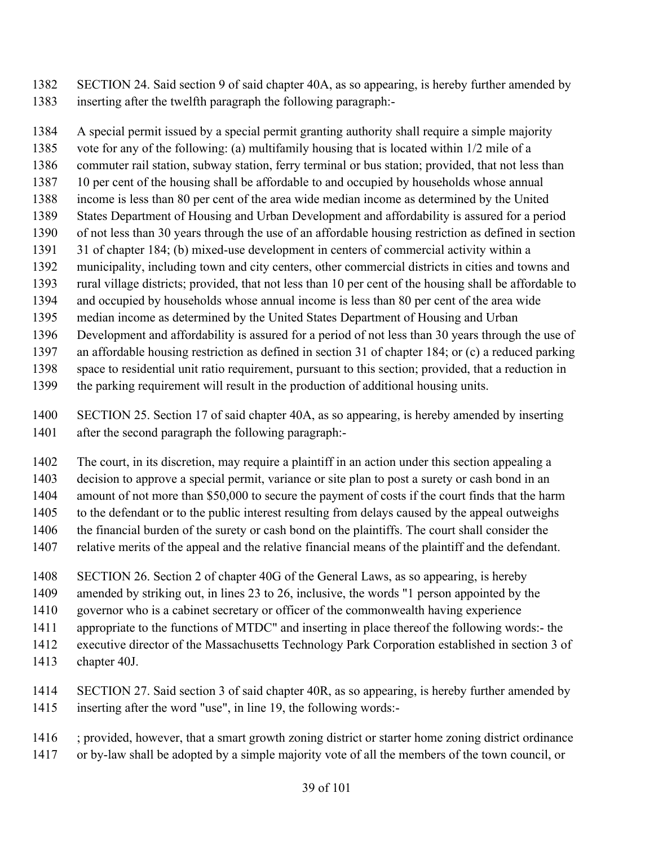SECTION 24. Said section 9 of said chapter 40A, as so appearing, is hereby further amended by inserting after the twelfth paragraph the following paragraph:-

 A special permit issued by a special permit granting authority shall require a simple majority vote for any of the following: (a) multifamily housing that is located within 1/2 mile of a commuter rail station, subway station, ferry terminal or bus station; provided, that not less than 10 per cent of the housing shall be affordable to and occupied by households whose annual income is less than 80 per cent of the area wide median income as determined by the United States Department of Housing and Urban Development and affordability is assured for a period of not less than 30 years through the use of an affordable housing restriction as defined in section 31 of chapter 184; (b) mixed-use development in centers of commercial activity within a municipality, including town and city centers, other commercial districts in cities and towns and rural village districts; provided, that not less than 10 per cent of the housing shall be affordable to and occupied by households whose annual income is less than 80 per cent of the area wide median income as determined by the United States Department of Housing and Urban Development and affordability is assured for a period of not less than 30 years through the use of

an affordable housing restriction as defined in section 31 of chapter 184; or (c) a reduced parking

space to residential unit ratio requirement, pursuant to this section; provided, that a reduction in

the parking requirement will result in the production of additional housing units.

 SECTION 25. Section 17 of said chapter 40A, as so appearing, is hereby amended by inserting after the second paragraph the following paragraph:-

 The court, in its discretion, may require a plaintiff in an action under this section appealing a decision to approve a special permit, variance or site plan to post a surety or cash bond in an amount of not more than \$50,000 to secure the payment of costs if the court finds that the harm to the defendant or to the public interest resulting from delays caused by the appeal outweighs the financial burden of the surety or cash bond on the plaintiffs. The court shall consider the relative merits of the appeal and the relative financial means of the plaintiff and the defendant.

SECTION 26. Section 2 of chapter 40G of the General Laws, as so appearing, is hereby

amended by striking out, in lines 23 to 26, inclusive, the words "1 person appointed by the

governor who is a cabinet secretary or officer of the commonwealth having experience

appropriate to the functions of MTDC" and inserting in place thereof the following words:- the

executive director of the Massachusetts Technology Park Corporation established in section 3 of

chapter 40J.

 SECTION 27. Said section 3 of said chapter 40R, as so appearing, is hereby further amended by inserting after the word "use", in line 19, the following words:-

; provided, however, that a smart growth zoning district or starter home zoning district ordinance

or by-law shall be adopted by a simple majority vote of all the members of the town council, or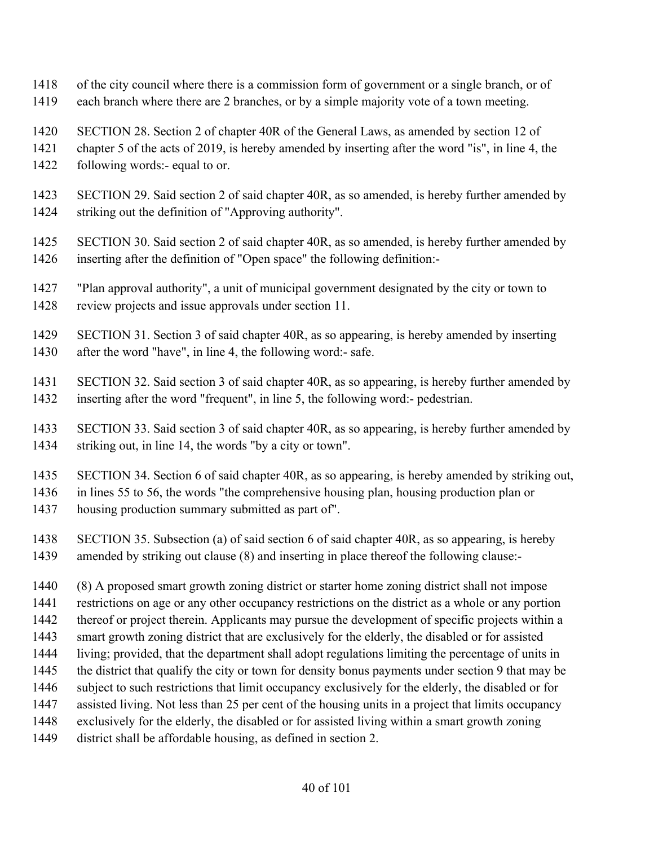- of the city council where there is a commission form of government or a single branch, or of
- each branch where there are 2 branches, or by a simple majority vote of a town meeting.
- SECTION 28. Section 2 of chapter 40R of the General Laws, as amended by section 12 of
- chapter 5 of the acts of 2019, is hereby amended by inserting after the word "is", in line 4, the
- following words:- equal to or.
- SECTION 29. Said section 2 of said chapter 40R, as so amended, is hereby further amended by striking out the definition of "Approving authority".
- SECTION 30. Said section 2 of said chapter 40R, as so amended, is hereby further amended by inserting after the definition of "Open space" the following definition:-
- "Plan approval authority", a unit of municipal government designated by the city or town to review projects and issue approvals under section 11.
- SECTION 31. Section 3 of said chapter 40R, as so appearing, is hereby amended by inserting 1430 after the word "have", in line 4, the following word:- safe.
- SECTION 32. Said section 3 of said chapter 40R, as so appearing, is hereby further amended by inserting after the word "frequent", in line 5, the following word:- pedestrian.
- SECTION 33. Said section 3 of said chapter 40R, as so appearing, is hereby further amended by striking out, in line 14, the words "by a city or town".
- SECTION 34. Section 6 of said chapter 40R, as so appearing, is hereby amended by striking out,

in lines 55 to 56, the words "the comprehensive housing plan, housing production plan or

- housing production summary submitted as part of".
- SECTION 35. Subsection (a) of said section 6 of said chapter 40R, as so appearing, is hereby amended by striking out clause (8) and inserting in place thereof the following clause:-
- (8) A proposed smart growth zoning district or starter home zoning district shall not impose restrictions on age or any other occupancy restrictions on the district as a whole or any portion thereof or project therein. Applicants may pursue the development of specific projects within a smart growth zoning district that are exclusively for the elderly, the disabled or for assisted living; provided, that the department shall adopt regulations limiting the percentage of units in the district that qualify the city or town for density bonus payments under section 9 that may be subject to such restrictions that limit occupancy exclusively for the elderly, the disabled or for assisted living. Not less than 25 per cent of the housing units in a project that limits occupancy exclusively for the elderly, the disabled or for assisted living within a smart growth zoning district shall be affordable housing, as defined in section 2.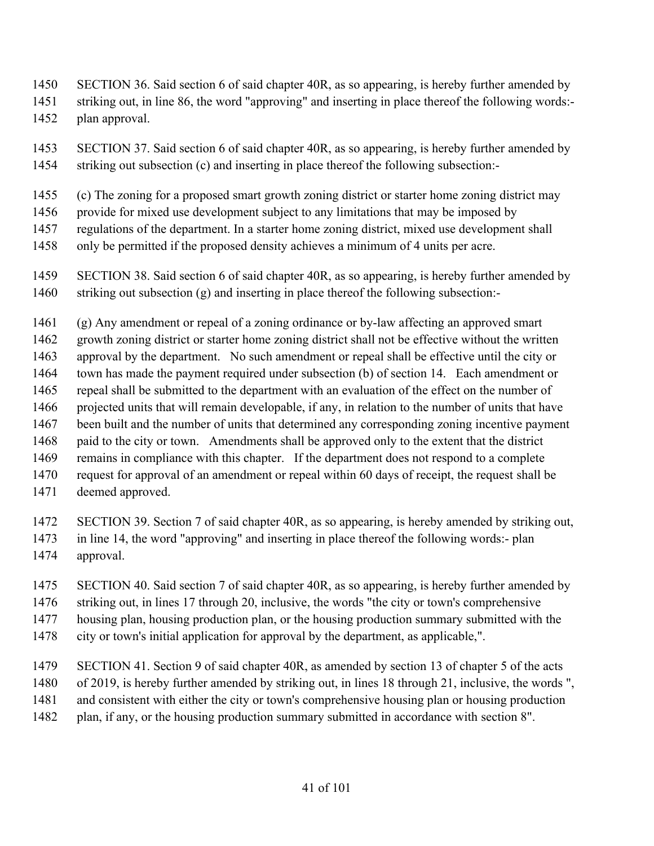- SECTION 36. Said section 6 of said chapter 40R, as so appearing, is hereby further amended by
- striking out, in line 86, the word "approving" and inserting in place thereof the following words:-
- plan approval.
- SECTION 37. Said section 6 of said chapter 40R, as so appearing, is hereby further amended by striking out subsection (c) and inserting in place thereof the following subsection:-
- (c) The zoning for a proposed smart growth zoning district or starter home zoning district may
- provide for mixed use development subject to any limitations that may be imposed by
- regulations of the department. In a starter home zoning district, mixed use development shall
- only be permitted if the proposed density achieves a minimum of 4 units per acre.
- SECTION 38. Said section 6 of said chapter 40R, as so appearing, is hereby further amended by striking out subsection (g) and inserting in place thereof the following subsection:-
- (g) Any amendment or repeal of a zoning ordinance or by-law affecting an approved smart growth zoning district or starter home zoning district shall not be effective without the written approval by the department. No such amendment or repeal shall be effective until the city or town has made the payment required under subsection (b) of section 14. Each amendment or repeal shall be submitted to the department with an evaluation of the effect on the number of projected units that will remain developable, if any, in relation to the number of units that have been built and the number of units that determined any corresponding zoning incentive payment paid to the city or town. Amendments shall be approved only to the extent that the district remains in compliance with this chapter. If the department does not respond to a complete request for approval of an amendment or repeal within 60 days of receipt, the request shall be
- deemed approved.
- SECTION 39. Section 7 of said chapter 40R, as so appearing, is hereby amended by striking out, in line 14, the word "approving" and inserting in place thereof the following words:- plan approval.
- SECTION 40. Said section 7 of said chapter 40R, as so appearing, is hereby further amended by striking out, in lines 17 through 20, inclusive, the words "the city or town's comprehensive housing plan, housing production plan, or the housing production summary submitted with the
- city or town's initial application for approval by the department, as applicable,".
- SECTION 41. Section 9 of said chapter 40R, as amended by section 13 of chapter 5 of the acts
- of 2019, is hereby further amended by striking out, in lines 18 through 21, inclusive, the words ",
- and consistent with either the city or town's comprehensive housing plan or housing production
- 1482 plan, if any, or the housing production summary submitted in accordance with section 8".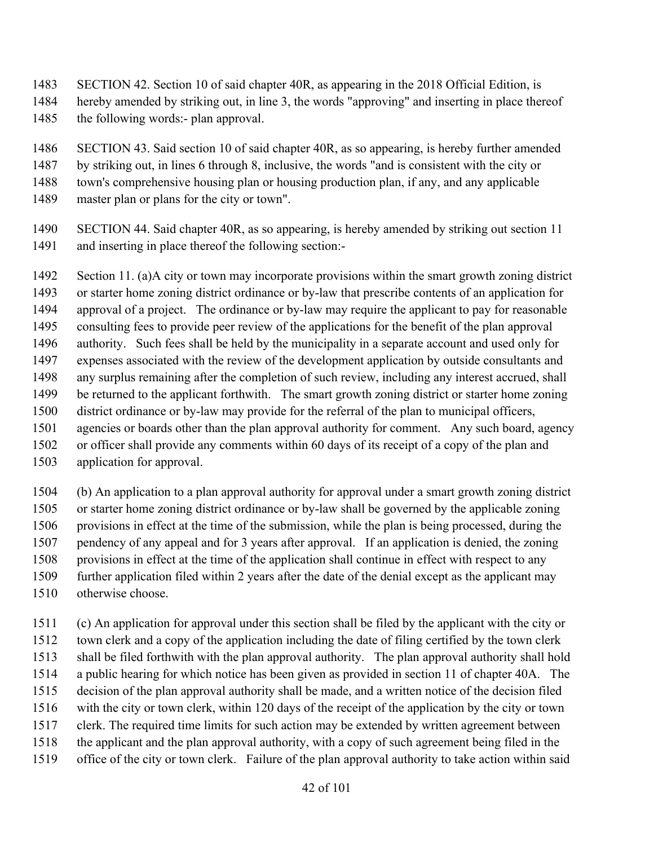- SECTION 42. Section 10 of said chapter 40R, as appearing in the 2018 Official Edition, is
- hereby amended by striking out, in line 3, the words "approving" and inserting in place thereof
- the following words:- plan approval.
- SECTION 43. Said section 10 of said chapter 40R, as so appearing, is hereby further amended
- by striking out, in lines 6 through 8, inclusive, the words "and is consistent with the city or
- town's comprehensive housing plan or housing production plan, if any, and any applicable
- master plan or plans for the city or town".
- SECTION 44. Said chapter 40R, as so appearing, is hereby amended by striking out section 11 and inserting in place thereof the following section:-

 Section 11. (a)A city or town may incorporate provisions within the smart growth zoning district or starter home zoning district ordinance or by-law that prescribe contents of an application for approval of a project. The ordinance or by-law may require the applicant to pay for reasonable consulting fees to provide peer review of the applications for the benefit of the plan approval authority. Such fees shall be held by the municipality in a separate account and used only for expenses associated with the review of the development application by outside consultants and any surplus remaining after the completion of such review, including any interest accrued, shall be returned to the applicant forthwith. The smart growth zoning district or starter home zoning district ordinance or by-law may provide for the referral of the plan to municipal officers, agencies or boards other than the plan approval authority for comment. Any such board, agency or officer shall provide any comments within 60 days of its receipt of a copy of the plan and

application for approval.

 (b) An application to a plan approval authority for approval under a smart growth zoning district or starter home zoning district ordinance or by-law shall be governed by the applicable zoning provisions in effect at the time of the submission, while the plan is being processed, during the pendency of any appeal and for 3 years after approval. If an application is denied, the zoning provisions in effect at the time of the application shall continue in effect with respect to any further application filed within 2 years after the date of the denial except as the applicant may otherwise choose.

 (c) An application for approval under this section shall be filed by the applicant with the city or town clerk and a copy of the application including the date of filing certified by the town clerk shall be filed forthwith with the plan approval authority. The plan approval authority shall hold a public hearing for which notice has been given as provided in section 11 of chapter 40A. The decision of the plan approval authority shall be made, and a written notice of the decision filed with the city or town clerk, within 120 days of the receipt of the application by the city or town clerk. The required time limits for such action may be extended by written agreement between the applicant and the plan approval authority, with a copy of such agreement being filed in the office of the city or town clerk. Failure of the plan approval authority to take action within said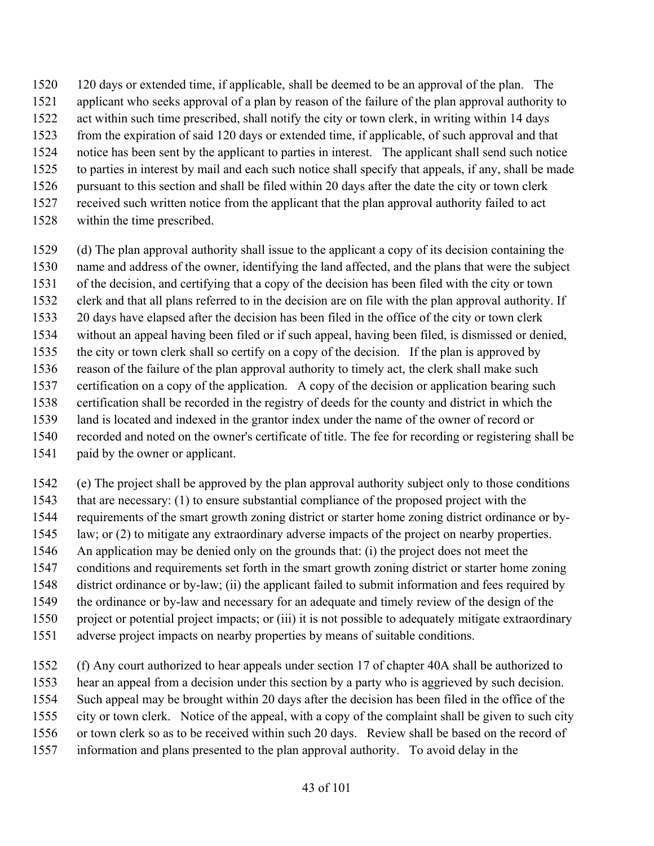- 120 days or extended time, if applicable, shall be deemed to be an approval of the plan. The
- applicant who seeks approval of a plan by reason of the failure of the plan approval authority to
- act within such time prescribed, shall notify the city or town clerk, in writing within 14 days
- from the expiration of said 120 days or extended time, if applicable, of such approval and that
- notice has been sent by the applicant to parties in interest. The applicant shall send such notice
- to parties in interest by mail and each such notice shall specify that appeals, if any, shall be made
- pursuant to this section and shall be filed within 20 days after the date the city or town clerk received such written notice from the applicant that the plan approval authority failed to act
- within the time prescribed.
	- (d) The plan approval authority shall issue to the applicant a copy of its decision containing the name and address of the owner, identifying the land affected, and the plans that were the subject
	- of the decision, and certifying that a copy of the decision has been filed with the city or town
- clerk and that all plans referred to in the decision are on file with the plan approval authority. If
- 20 days have elapsed after the decision has been filed in the office of the city or town clerk
- without an appeal having been filed or if such appeal, having been filed, is dismissed or denied,
- the city or town clerk shall so certify on a copy of the decision. If the plan is approved by
- reason of the failure of the plan approval authority to timely act, the clerk shall make such
- certification on a copy of the application. A copy of the decision or application bearing such certification shall be recorded in the registry of deeds for the county and district in which the
- land is located and indexed in the grantor index under the name of the owner of record or
- recorded and noted on the owner's certificate of title. The fee for recording or registering shall be
- paid by the owner or applicant.
- (e) The project shall be approved by the plan approval authority subject only to those conditions that are necessary: (1) to ensure substantial compliance of the proposed project with the requirements of the smart growth zoning district or starter home zoning district ordinance or by- law; or (2) to mitigate any extraordinary adverse impacts of the project on nearby properties. An application may be denied only on the grounds that: (i) the project does not meet the conditions and requirements set forth in the smart growth zoning district or starter home zoning district ordinance or by-law; (ii) the applicant failed to submit information and fees required by the ordinance or by-law and necessary for an adequate and timely review of the design of the project or potential project impacts; or (iii) it is not possible to adequately mitigate extraordinary adverse project impacts on nearby properties by means of suitable conditions.
- (f) Any court authorized to hear appeals under section 17 of chapter 40A shall be authorized to hear an appeal from a decision under this section by a party who is aggrieved by such decision. Such appeal may be brought within 20 days after the decision has been filed in the office of the city or town clerk. Notice of the appeal, with a copy of the complaint shall be given to such city or town clerk so as to be received within such 20 days. Review shall be based on the record of information and plans presented to the plan approval authority. To avoid delay in the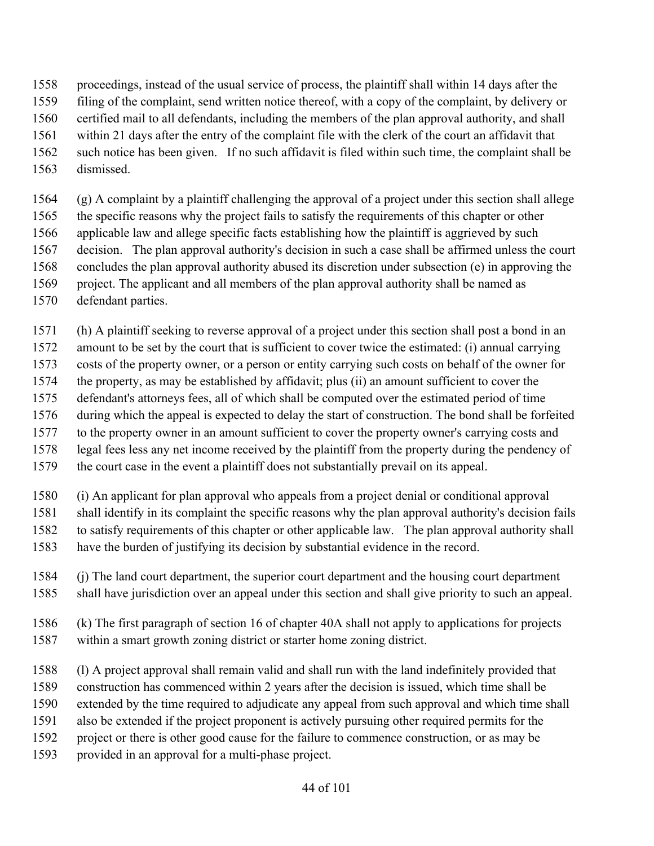proceedings, instead of the usual service of process, the plaintiff shall within 14 days after the

- filing of the complaint, send written notice thereof, with a copy of the complaint, by delivery or
- certified mail to all defendants, including the members of the plan approval authority, and shall
- within 21 days after the entry of the complaint file with the clerk of the court an affidavit that
- such notice has been given. If no such affidavit is filed within such time, the complaint shall be
- dismissed.

 (g) A complaint by a plaintiff challenging the approval of a project under this section shall allege the specific reasons why the project fails to satisfy the requirements of this chapter or other applicable law and allege specific facts establishing how the plaintiff is aggrieved by such decision. The plan approval authority's decision in such a case shall be affirmed unless the court concludes the plan approval authority abused its discretion under subsection (e) in approving the project. The applicant and all members of the plan approval authority shall be named as defendant parties.

(h) A plaintiff seeking to reverse approval of a project under this section shall post a bond in an

amount to be set by the court that is sufficient to cover twice the estimated: (i) annual carrying

costs of the property owner, or a person or entity carrying such costs on behalf of the owner for

the property, as may be established by affidavit; plus (ii) an amount sufficient to cover the

defendant's attorneys fees, all of which shall be computed over the estimated period of time

 during which the appeal is expected to delay the start of construction. The bond shall be forfeited to the property owner in an amount sufficient to cover the property owner's carrying costs and

legal fees less any net income received by the plaintiff from the property during the pendency of

the court case in the event a plaintiff does not substantially prevail on its appeal.

(i) An applicant for plan approval who appeals from a project denial or conditional approval

- shall identify in its complaint the specific reasons why the plan approval authority's decision fails
- to satisfy requirements of this chapter or other applicable law. The plan approval authority shall

have the burden of justifying its decision by substantial evidence in the record.

- (j) The land court department, the superior court department and the housing court department shall have jurisdiction over an appeal under this section and shall give priority to such an appeal.
- (k) The first paragraph of section 16 of chapter 40A shall not apply to applications for projects within a smart growth zoning district or starter home zoning district.
- (l) A project approval shall remain valid and shall run with the land indefinitely provided that
- construction has commenced within 2 years after the decision is issued, which time shall be
- extended by the time required to adjudicate any appeal from such approval and which time shall
- also be extended if the project proponent is actively pursuing other required permits for the
- project or there is other good cause for the failure to commence construction, or as may be
- provided in an approval for a multi-phase project.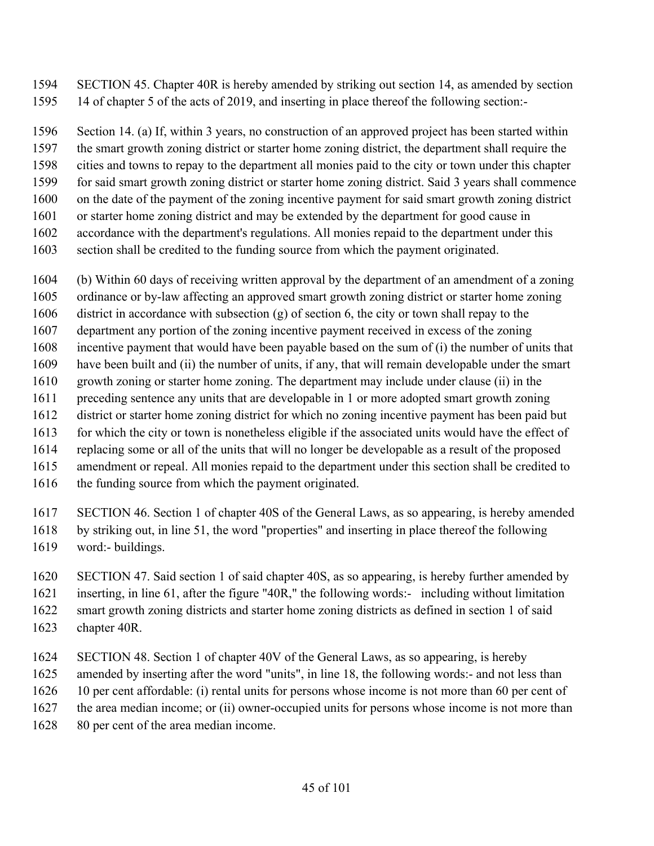SECTION 45. Chapter 40R is hereby amended by striking out section 14, as amended by section 14 of chapter 5 of the acts of 2019, and inserting in place thereof the following section:-

 Section 14. (a) If, within 3 years, no construction of an approved project has been started within the smart growth zoning district or starter home zoning district, the department shall require the

cities and towns to repay to the department all monies paid to the city or town under this chapter

- for said smart growth zoning district or starter home zoning district. Said 3 years shall commence
- on the date of the payment of the zoning incentive payment for said smart growth zoning district
- or starter home zoning district and may be extended by the department for good cause in
- accordance with the department's regulations. All monies repaid to the department under this
- section shall be credited to the funding source from which the payment originated.
- (b) Within 60 days of receiving written approval by the department of an amendment of a zoning
- ordinance or by-law affecting an approved smart growth zoning district or starter home zoning
- district in accordance with subsection (g) of section 6, the city or town shall repay to the
- department any portion of the zoning incentive payment received in excess of the zoning
- incentive payment that would have been payable based on the sum of (i) the number of units that
- have been built and (ii) the number of units, if any, that will remain developable under the smart
- growth zoning or starter home zoning. The department may include under clause (ii) in the preceding sentence any units that are developable in 1 or more adopted smart growth zoning
- district or starter home zoning district for which no zoning incentive payment has been paid but
- 1613 for which the city or town is nonetheless eligible if the associated units would have the effect of
- replacing some or all of the units that will no longer be developable as a result of the proposed
- amendment or repeal. All monies repaid to the department under this section shall be credited to
- 1616 the funding source from which the payment originated.
- SECTION 46. Section 1 of chapter 40S of the General Laws, as so appearing, is hereby amended by striking out, in line 51, the word "properties" and inserting in place thereof the following
- word:- buildings.
- SECTION 47. Said section 1 of said chapter 40S, as so appearing, is hereby further amended by
- inserting, in line 61, after the figure "40R," the following words:- including without limitation
- smart growth zoning districts and starter home zoning districts as defined in section 1 of said
- chapter 40R.
- SECTION 48. Section 1 of chapter 40V of the General Laws, as so appearing, is hereby amended by inserting after the word "units", in line 18, the following words:- and not less than 10 per cent affordable: (i) rental units for persons whose income is not more than 60 per cent of the area median income; or (ii) owner-occupied units for persons whose income is not more than
- 80 per cent of the area median income.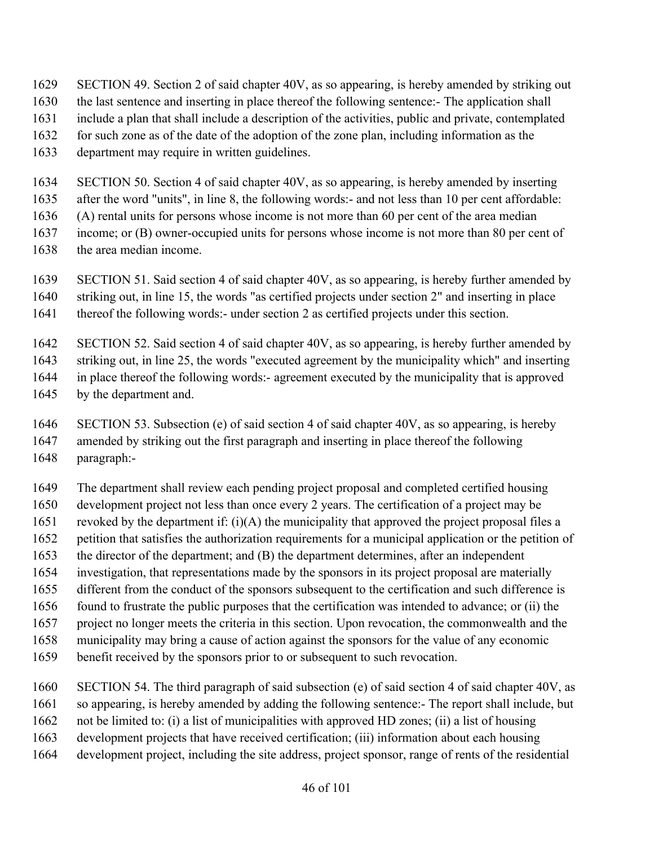- SECTION 49. Section 2 of said chapter 40V, as so appearing, is hereby amended by striking out
- the last sentence and inserting in place thereof the following sentence:- The application shall
- include a plan that shall include a description of the activities, public and private, contemplated
- 1632 for such zone as of the date of the adoption of the zone plan, including information as the
- department may require in written guidelines.
- SECTION 50. Section 4 of said chapter 40V, as so appearing, is hereby amended by inserting
- after the word "units", in line 8, the following words:- and not less than 10 per cent affordable:
- (A) rental units for persons whose income is not more than 60 per cent of the area median
- income; or (B) owner-occupied units for persons whose income is not more than 80 per cent of
- the area median income.
- SECTION 51. Said section 4 of said chapter 40V, as so appearing, is hereby further amended by
- striking out, in line 15, the words "as certified projects under section 2" and inserting in place
- 1641 thereof the following words:- under section 2 as certified projects under this section.
- SECTION 52. Said section 4 of said chapter 40V, as so appearing, is hereby further amended by
- striking out, in line 25, the words "executed agreement by the municipality which" and inserting
- in place thereof the following words:- agreement executed by the municipality that is approved
- by the department and.
- SECTION 53. Subsection (e) of said section 4 of said chapter 40V, as so appearing, is hereby amended by striking out the first paragraph and inserting in place thereof the following paragraph:-
- The department shall review each pending project proposal and completed certified housing
- development project not less than once every 2 years. The certification of a project may be
- 1651 revoked by the department if:  $(i)(A)$  the municipality that approved the project proposal files a
- petition that satisfies the authorization requirements for a municipal application or the petition of
- the director of the department; and (B) the department determines, after an independent
- investigation, that representations made by the sponsors in its project proposal are materially
- different from the conduct of the sponsors subsequent to the certification and such difference is found to frustrate the public purposes that the certification was intended to advance; or (ii) the
- project no longer meets the criteria in this section. Upon revocation, the commonwealth and the
- municipality may bring a cause of action against the sponsors for the value of any economic
- benefit received by the sponsors prior to or subsequent to such revocation.
- SECTION 54. The third paragraph of said subsection (e) of said section 4 of said chapter 40V, as
- so appearing, is hereby amended by adding the following sentence:- The report shall include, but
- not be limited to: (i) a list of municipalities with approved HD zones; (ii) a list of housing
- development projects that have received certification; (iii) information about each housing
- development project, including the site address, project sponsor, range of rents of the residential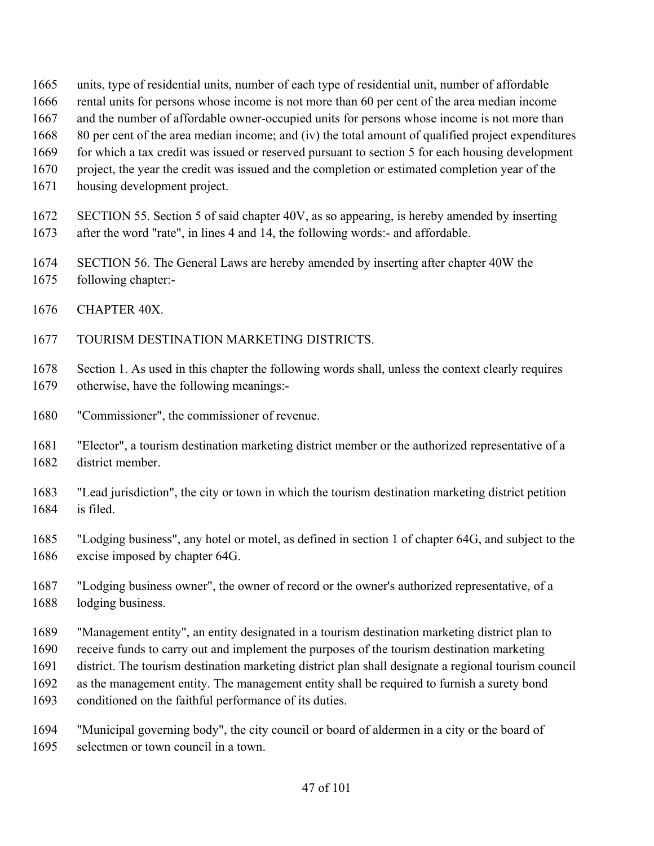- units, type of residential units, number of each type of residential unit, number of affordable
- rental units for persons whose income is not more than 60 per cent of the area median income
- and the number of affordable owner-occupied units for persons whose income is not more than
- 80 per cent of the area median income; and (iv) the total amount of qualified project expenditures
- 1669 for which a tax credit was issued or reserved pursuant to section 5 for each housing development
- project, the year the credit was issued and the completion or estimated completion year of the
- housing development project.
- SECTION 55. Section 5 of said chapter 40V, as so appearing, is hereby amended by inserting
- after the word "rate", in lines 4 and 14, the following words:- and affordable.
- SECTION 56. The General Laws are hereby amended by inserting after chapter 40W the
- following chapter:-
- CHAPTER 40X.
- TOURISM DESTINATION MARKETING DISTRICTS.
- Section 1. As used in this chapter the following words shall, unless the context clearly requires otherwise, have the following meanings:-
- "Commissioner", the commissioner of revenue.
- "Elector", a tourism destination marketing district member or the authorized representative of a district member.
- "Lead jurisdiction", the city or town in which the tourism destination marketing district petition is filed.
- "Lodging business", any hotel or motel, as defined in section 1 of chapter 64G, and subject to the excise imposed by chapter 64G.
- "Lodging business owner", the owner of record or the owner's authorized representative, of a lodging business.
- "Management entity", an entity designated in a tourism destination marketing district plan to
- receive funds to carry out and implement the purposes of the tourism destination marketing
- district. The tourism destination marketing district plan shall designate a regional tourism council
- as the management entity. The management entity shall be required to furnish a surety bond
- conditioned on the faithful performance of its duties.
- "Municipal governing body", the city council or board of aldermen in a city or the board of selectmen or town council in a town.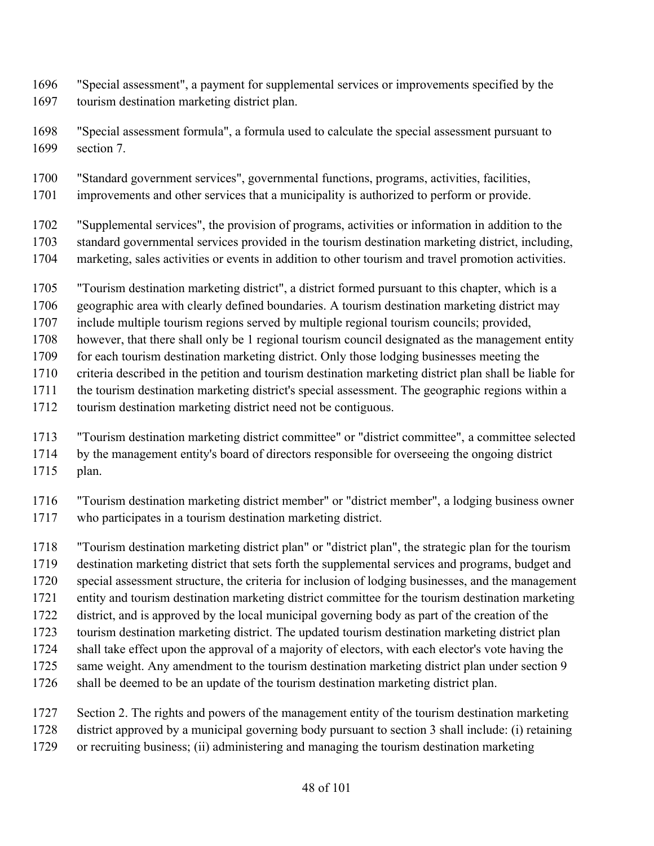- "Special assessment", a payment for supplemental services or improvements specified by the tourism destination marketing district plan.
- "Special assessment formula", a formula used to calculate the special assessment pursuant to section 7.
- "Standard government services", governmental functions, programs, activities, facilities,
- improvements and other services that a municipality is authorized to perform or provide.
- "Supplemental services", the provision of programs, activities or information in addition to the standard governmental services provided in the tourism destination marketing district, including, marketing, sales activities or events in addition to other tourism and travel promotion activities.
- "Tourism destination marketing district", a district formed pursuant to this chapter, which is a
- geographic area with clearly defined boundaries. A tourism destination marketing district may
- include multiple tourism regions served by multiple regional tourism councils; provided,
- however, that there shall only be 1 regional tourism council designated as the management entity
- for each tourism destination marketing district. Only those lodging businesses meeting the
- criteria described in the petition and tourism destination marketing district plan shall be liable for
- the tourism destination marketing district's special assessment. The geographic regions within a
- tourism destination marketing district need not be contiguous.
- "Tourism destination marketing district committee" or "district committee", a committee selected
- by the management entity's board of directors responsible for overseeing the ongoing district plan.
- "Tourism destination marketing district member" or "district member", a lodging business owner who participates in a tourism destination marketing district.
- "Tourism destination marketing district plan" or "district plan", the strategic plan for the tourism
- destination marketing district that sets forth the supplemental services and programs, budget and
- special assessment structure, the criteria for inclusion of lodging businesses, and the management
- entity and tourism destination marketing district committee for the tourism destination marketing
- district, and is approved by the local municipal governing body as part of the creation of the
- tourism destination marketing district. The updated tourism destination marketing district plan
- shall take effect upon the approval of a majority of electors, with each elector's vote having the
- 1725 same weight. Any amendment to the tourism destination marketing district plan under section 9
- shall be deemed to be an update of the tourism destination marketing district plan.
- Section 2. The rights and powers of the management entity of the tourism destination marketing
- district approved by a municipal governing body pursuant to section 3 shall include: (i) retaining
- or recruiting business; (ii) administering and managing the tourism destination marketing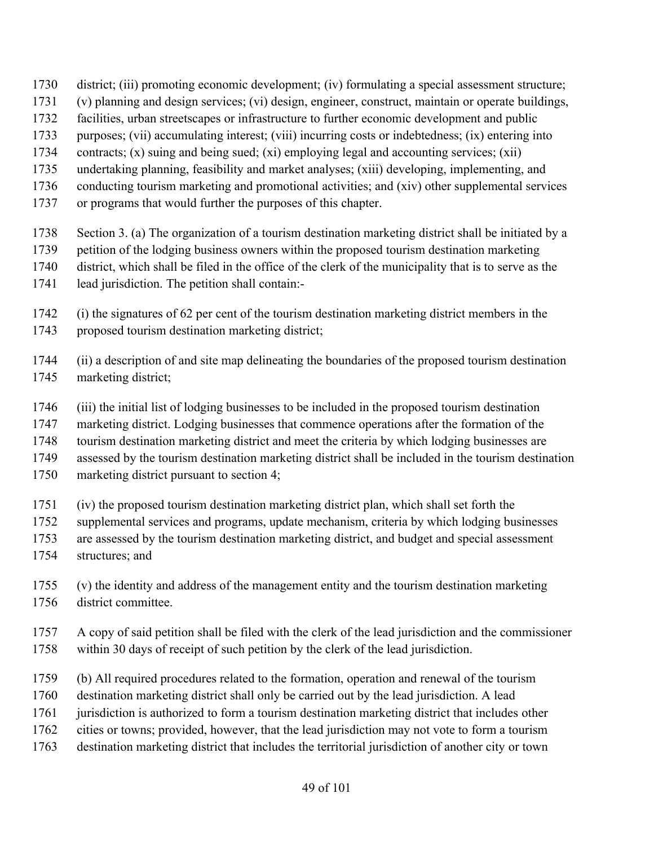- district; (iii) promoting economic development; (iv) formulating a special assessment structure;
- (v) planning and design services; (vi) design, engineer, construct, maintain or operate buildings,
- facilities, urban streetscapes or infrastructure to further economic development and public
- purposes; (vii) accumulating interest; (viii) incurring costs or indebtedness; (ix) entering into
- contracts; (x) suing and being sued; (xi) employing legal and accounting services; (xii)
- undertaking planning, feasibility and market analyses; (xiii) developing, implementing, and
- conducting tourism marketing and promotional activities; and (xiv) other supplemental services
- or programs that would further the purposes of this chapter.
- Section 3. (a) The organization of a tourism destination marketing district shall be initiated by a
- petition of the lodging business owners within the proposed tourism destination marketing
- district, which shall be filed in the office of the clerk of the municipality that is to serve as the
- lead jurisdiction. The petition shall contain:-
- (i) the signatures of 62 per cent of the tourism destination marketing district members in the proposed tourism destination marketing district;
- (ii) a description of and site map delineating the boundaries of the proposed tourism destination marketing district;
- (iii) the initial list of lodging businesses to be included in the proposed tourism destination
- marketing district. Lodging businesses that commence operations after the formation of the
- tourism destination marketing district and meet the criteria by which lodging businesses are
- assessed by the tourism destination marketing district shall be included in the tourism destination
- marketing district pursuant to section 4;
- (iv) the proposed tourism destination marketing district plan, which shall set forth the
- supplemental services and programs, update mechanism, criteria by which lodging businesses
- are assessed by the tourism destination marketing district, and budget and special assessment
- structures; and
- (v) the identity and address of the management entity and the tourism destination marketing district committee.
- A copy of said petition shall be filed with the clerk of the lead jurisdiction and the commissioner within 30 days of receipt of such petition by the clerk of the lead jurisdiction.
- (b) All required procedures related to the formation, operation and renewal of the tourism
- destination marketing district shall only be carried out by the lead jurisdiction. A lead
- jurisdiction is authorized to form a tourism destination marketing district that includes other
- cities or towns; provided, however, that the lead jurisdiction may not vote to form a tourism
- destination marketing district that includes the territorial jurisdiction of another city or town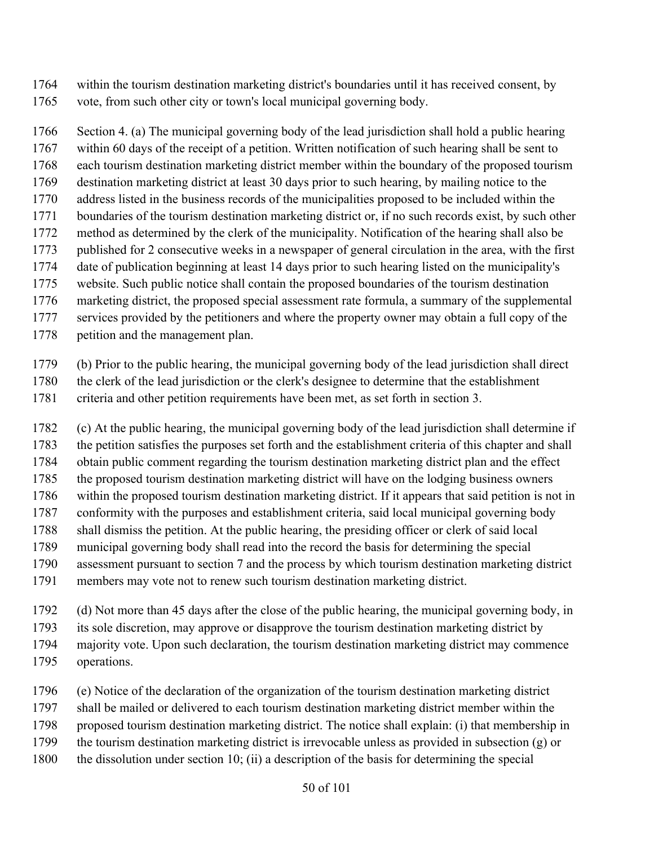- within the tourism destination marketing district's boundaries until it has received consent, by
- vote, from such other city or town's local municipal governing body.

 Section 4. (a) The municipal governing body of the lead jurisdiction shall hold a public hearing within 60 days of the receipt of a petition. Written notification of such hearing shall be sent to each tourism destination marketing district member within the boundary of the proposed tourism destination marketing district at least 30 days prior to such hearing, by mailing notice to the address listed in the business records of the municipalities proposed to be included within the boundaries of the tourism destination marketing district or, if no such records exist, by such other method as determined by the clerk of the municipality. Notification of the hearing shall also be published for 2 consecutive weeks in a newspaper of general circulation in the area, with the first date of publication beginning at least 14 days prior to such hearing listed on the municipality's website. Such public notice shall contain the proposed boundaries of the tourism destination marketing district, the proposed special assessment rate formula, a summary of the supplemental services provided by the petitioners and where the property owner may obtain a full copy of the

petition and the management plan.

(b) Prior to the public hearing, the municipal governing body of the lead jurisdiction shall direct

- the clerk of the lead jurisdiction or the clerk's designee to determine that the establishment
- criteria and other petition requirements have been met, as set forth in section 3.

 (c) At the public hearing, the municipal governing body of the lead jurisdiction shall determine if the petition satisfies the purposes set forth and the establishment criteria of this chapter and shall obtain public comment regarding the tourism destination marketing district plan and the effect the proposed tourism destination marketing district will have on the lodging business owners within the proposed tourism destination marketing district. If it appears that said petition is not in conformity with the purposes and establishment criteria, said local municipal governing body shall dismiss the petition. At the public hearing, the presiding officer or clerk of said local municipal governing body shall read into the record the basis for determining the special assessment pursuant to section 7 and the process by which tourism destination marketing district members may vote not to renew such tourism destination marketing district.

- (d) Not more than 45 days after the close of the public hearing, the municipal governing body, in
- its sole discretion, may approve or disapprove the tourism destination marketing district by
- majority vote. Upon such declaration, the tourism destination marketing district may commence
- operations.
- (e) Notice of the declaration of the organization of the tourism destination marketing district
- shall be mailed or delivered to each tourism destination marketing district member within the
- proposed tourism destination marketing district. The notice shall explain: (i) that membership in
- the tourism destination marketing district is irrevocable unless as provided in subsection (g) or
- the dissolution under section 10; (ii) a description of the basis for determining the special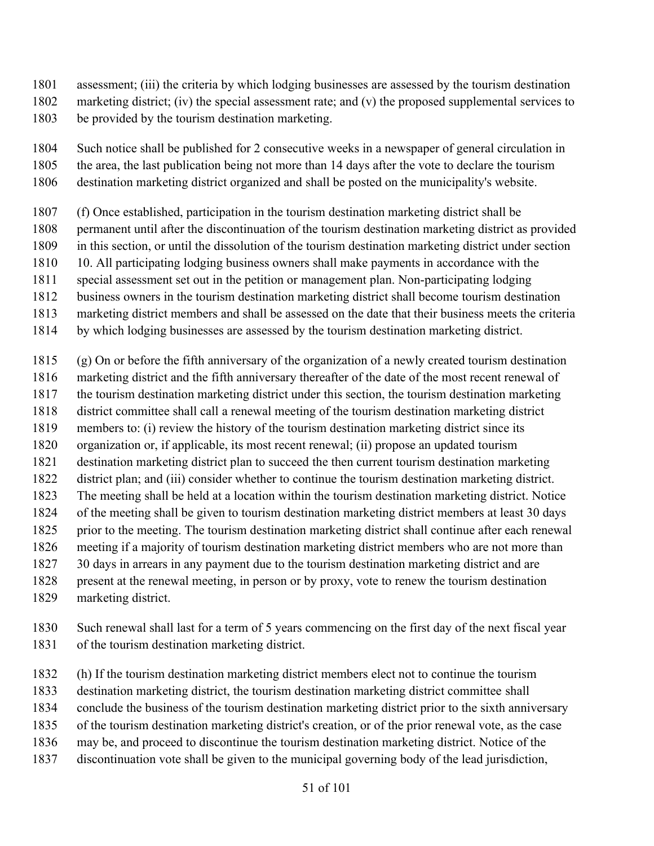- assessment; (iii) the criteria by which lodging businesses are assessed by the tourism destination
- marketing district; (iv) the special assessment rate; and (v) the proposed supplemental services to be provided by the tourism destination marketing.
- Such notice shall be published for 2 consecutive weeks in a newspaper of general circulation in
- the area, the last publication being not more than 14 days after the vote to declare the tourism
- destination marketing district organized and shall be posted on the municipality's website.
- (f) Once established, participation in the tourism destination marketing district shall be
- permanent until after the discontinuation of the tourism destination marketing district as provided
- in this section, or until the dissolution of the tourism destination marketing district under section
- 10. All participating lodging business owners shall make payments in accordance with the
- special assessment set out in the petition or management plan. Non-participating lodging
- business owners in the tourism destination marketing district shall become tourism destination
- marketing district members and shall be assessed on the date that their business meets the criteria
- by which lodging businesses are assessed by the tourism destination marketing district.

(g) On or before the fifth anniversary of the organization of a newly created tourism destination

- marketing district and the fifth anniversary thereafter of the date of the most recent renewal of
- the tourism destination marketing district under this section, the tourism destination marketing
- district committee shall call a renewal meeting of the tourism destination marketing district
- members to: (i) review the history of the tourism destination marketing district since its
- organization or, if applicable, its most recent renewal; (ii) propose an updated tourism
- destination marketing district plan to succeed the then current tourism destination marketing
- district plan; and (iii) consider whether to continue the tourism destination marketing district. The meeting shall be held at a location within the tourism destination marketing district. Notice
- of the meeting shall be given to tourism destination marketing district members at least 30 days
- prior to the meeting. The tourism destination marketing district shall continue after each renewal
- meeting if a majority of tourism destination marketing district members who are not more than
- 30 days in arrears in any payment due to the tourism destination marketing district and are
- present at the renewal meeting, in person or by proxy, vote to renew the tourism destination
- marketing district.
- Such renewal shall last for a term of 5 years commencing on the first day of the next fiscal year of the tourism destination marketing district.
- (h) If the tourism destination marketing district members elect not to continue the tourism
- destination marketing district, the tourism destination marketing district committee shall
- conclude the business of the tourism destination marketing district prior to the sixth anniversary
- of the tourism destination marketing district's creation, or of the prior renewal vote, as the case
- may be, and proceed to discontinue the tourism destination marketing district. Notice of the
- discontinuation vote shall be given to the municipal governing body of the lead jurisdiction,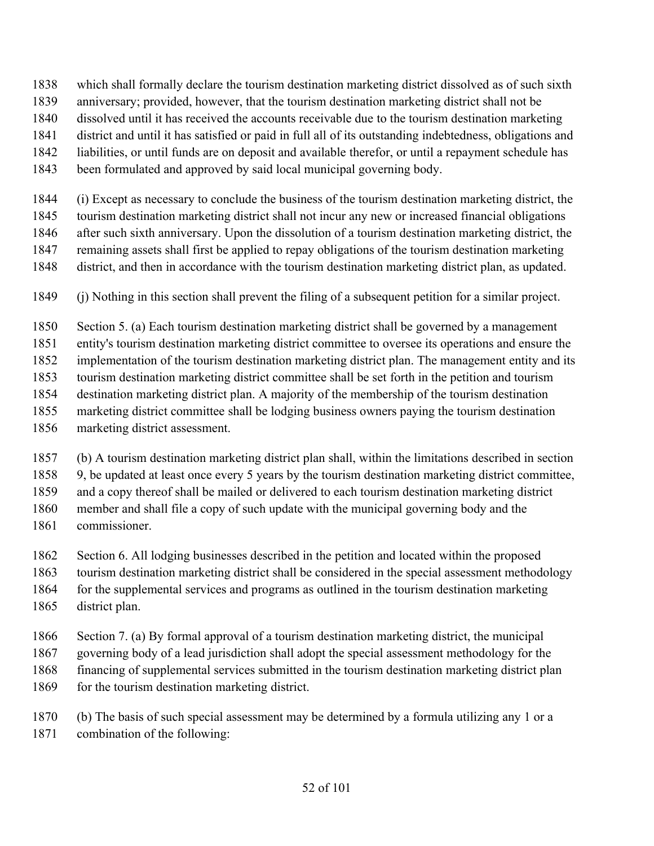- which shall formally declare the tourism destination marketing district dissolved as of such sixth
- anniversary; provided, however, that the tourism destination marketing district shall not be
- dissolved until it has received the accounts receivable due to the tourism destination marketing
- district and until it has satisfied or paid in full all of its outstanding indebtedness, obligations and
- liabilities, or until funds are on deposit and available therefor, or until a repayment schedule has
- been formulated and approved by said local municipal governing body.
- (i) Except as necessary to conclude the business of the tourism destination marketing district, the tourism destination marketing district shall not incur any new or increased financial obligations after such sixth anniversary. Upon the dissolution of a tourism destination marketing district, the remaining assets shall first be applied to repay obligations of the tourism destination marketing district, and then in accordance with the tourism destination marketing district plan, as updated.
- (j) Nothing in this section shall prevent the filing of a subsequent petition for a similar project.
- Section 5. (a) Each tourism destination marketing district shall be governed by a management
- entity's tourism destination marketing district committee to oversee its operations and ensure the
- implementation of the tourism destination marketing district plan. The management entity and its
- tourism destination marketing district committee shall be set forth in the petition and tourism
- destination marketing district plan. A majority of the membership of the tourism destination
- marketing district committee shall be lodging business owners paying the tourism destination
- marketing district assessment.
- (b) A tourism destination marketing district plan shall, within the limitations described in section
- 9, be updated at least once every 5 years by the tourism destination marketing district committee,
- and a copy thereof shall be mailed or delivered to each tourism destination marketing district
- member and shall file a copy of such update with the municipal governing body and the
- commissioner.
- Section 6. All lodging businesses described in the petition and located within the proposed
- tourism destination marketing district shall be considered in the special assessment methodology
- for the supplemental services and programs as outlined in the tourism destination marketing
- district plan.
- Section 7. (a) By formal approval of a tourism destination marketing district, the municipal
- governing body of a lead jurisdiction shall adopt the special assessment methodology for the
- financing of supplemental services submitted in the tourism destination marketing district plan
- 1869 for the tourism destination marketing district.
- (b) The basis of such special assessment may be determined by a formula utilizing any 1 or a combination of the following: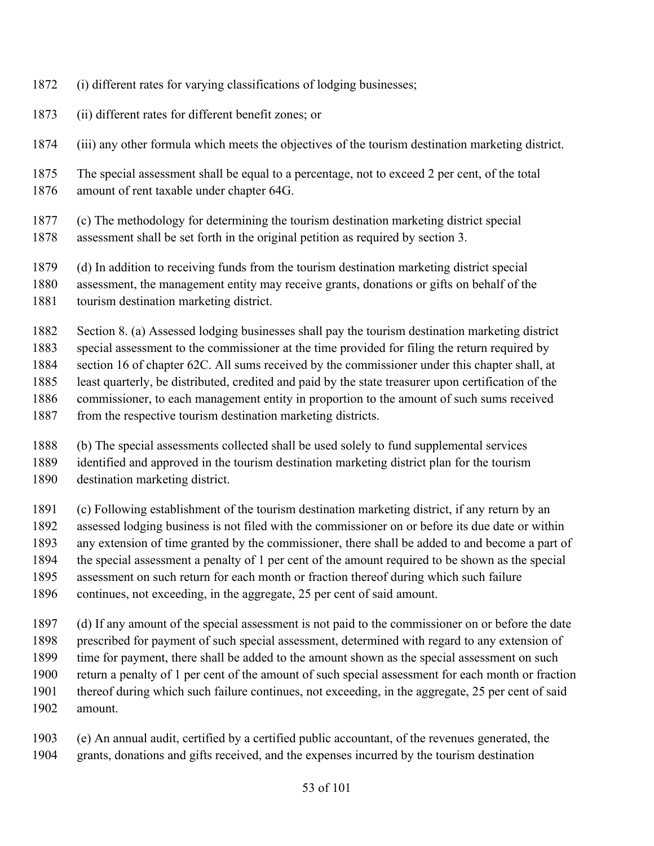- (i) different rates for varying classifications of lodging businesses;
- (ii) different rates for different benefit zones; or
- (iii) any other formula which meets the objectives of the tourism destination marketing district.
- The special assessment shall be equal to a percentage, not to exceed 2 per cent, of the total amount of rent taxable under chapter 64G.
- (c) The methodology for determining the tourism destination marketing district special assessment shall be set forth in the original petition as required by section 3.
- (d) In addition to receiving funds from the tourism destination marketing district special
- assessment, the management entity may receive grants, donations or gifts on behalf of the
- tourism destination marketing district.

Section 8. (a) Assessed lodging businesses shall pay the tourism destination marketing district

 special assessment to the commissioner at the time provided for filing the return required by section 16 of chapter 62C. All sums received by the commissioner under this chapter shall, at least quarterly, be distributed, credited and paid by the state treasurer upon certification of the

- commissioner, to each management entity in proportion to the amount of such sums received
- 1887 from the respective tourism destination marketing districts.
- (b) The special assessments collected shall be used solely to fund supplemental services
- identified and approved in the tourism destination marketing district plan for the tourism
- destination marketing district.
- (c) Following establishment of the tourism destination marketing district, if any return by an
- assessed lodging business is not filed with the commissioner on or before its due date or within
- any extension of time granted by the commissioner, there shall be added to and become a part of
- the special assessment a penalty of 1 per cent of the amount required to be shown as the special
- assessment on such return for each month or fraction thereof during which such failure
- continues, not exceeding, in the aggregate, 25 per cent of said amount.
- (d) If any amount of the special assessment is not paid to the commissioner on or before the date
- prescribed for payment of such special assessment, determined with regard to any extension of
- time for payment, there shall be added to the amount shown as the special assessment on such
- return a penalty of 1 per cent of the amount of such special assessment for each month or fraction
- thereof during which such failure continues, not exceeding, in the aggregate, 25 per cent of said
- amount.
- (e) An annual audit, certified by a certified public accountant, of the revenues generated, the grants, donations and gifts received, and the expenses incurred by the tourism destination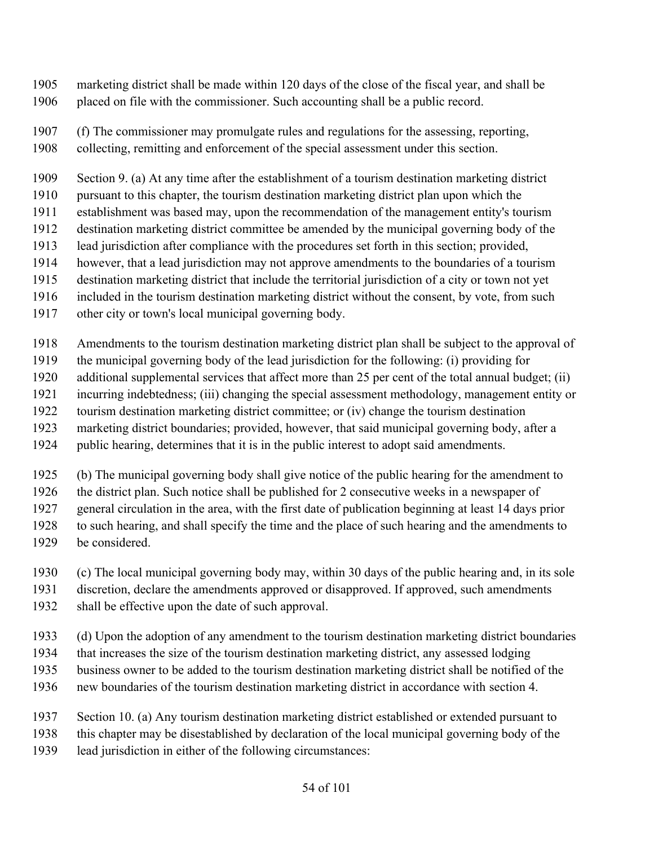- marketing district shall be made within 120 days of the close of the fiscal year, and shall be placed on file with the commissioner. Such accounting shall be a public record.
- (f) The commissioner may promulgate rules and regulations for the assessing, reporting,
- collecting, remitting and enforcement of the special assessment under this section.

Section 9. (a) At any time after the establishment of a tourism destination marketing district

- pursuant to this chapter, the tourism destination marketing district plan upon which the
- establishment was based may, upon the recommendation of the management entity's tourism
- destination marketing district committee be amended by the municipal governing body of the
- lead jurisdiction after compliance with the procedures set forth in this section; provided,
- however, that a lead jurisdiction may not approve amendments to the boundaries of a tourism
- destination marketing district that include the territorial jurisdiction of a city or town not yet
- included in the tourism destination marketing district without the consent, by vote, from such
- other city or town's local municipal governing body.
- Amendments to the tourism destination marketing district plan shall be subject to the approval of
- the municipal governing body of the lead jurisdiction for the following: (i) providing for
- additional supplemental services that affect more than 25 per cent of the total annual budget; (ii)
- incurring indebtedness; (iii) changing the special assessment methodology, management entity or
- tourism destination marketing district committee; or (iv) change the tourism destination
- marketing district boundaries; provided, however, that said municipal governing body, after a
- public hearing, determines that it is in the public interest to adopt said amendments.
- (b) The municipal governing body shall give notice of the public hearing for the amendment to
- the district plan. Such notice shall be published for 2 consecutive weeks in a newspaper of
- general circulation in the area, with the first date of publication beginning at least 14 days prior
- to such hearing, and shall specify the time and the place of such hearing and the amendments to
- be considered.
- (c) The local municipal governing body may, within 30 days of the public hearing and, in its sole
- discretion, declare the amendments approved or disapproved. If approved, such amendments
- shall be effective upon the date of such approval.
- (d) Upon the adoption of any amendment to the tourism destination marketing district boundaries
- that increases the size of the tourism destination marketing district, any assessed lodging
- business owner to be added to the tourism destination marketing district shall be notified of the
- new boundaries of the tourism destination marketing district in accordance with section 4.
- Section 10. (a) Any tourism destination marketing district established or extended pursuant to
- this chapter may be disestablished by declaration of the local municipal governing body of the
- lead jurisdiction in either of the following circumstances: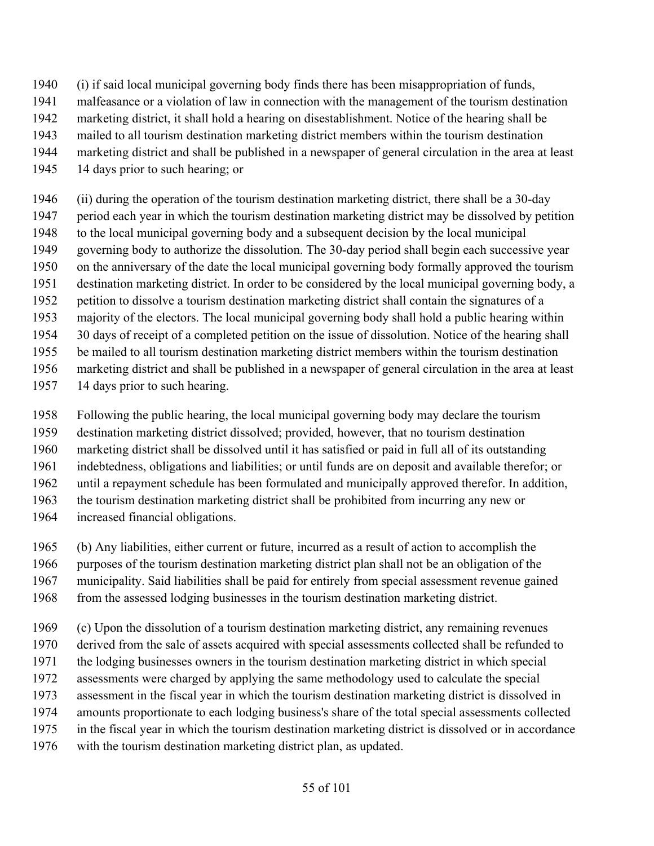- (i) if said local municipal governing body finds there has been misappropriation of funds,
- malfeasance or a violation of law in connection with the management of the tourism destination
- marketing district, it shall hold a hearing on disestablishment. Notice of the hearing shall be
- mailed to all tourism destination marketing district members within the tourism destination
- marketing district and shall be published in a newspaper of general circulation in the area at least
- 14 days prior to such hearing; or
- (ii) during the operation of the tourism destination marketing district, there shall be a 30-day period each year in which the tourism destination marketing district may be dissolved by petition to the local municipal governing body and a subsequent decision by the local municipal governing body to authorize the dissolution. The 30-day period shall begin each successive year on the anniversary of the date the local municipal governing body formally approved the tourism destination marketing district. In order to be considered by the local municipal governing body, a petition to dissolve a tourism destination marketing district shall contain the signatures of a majority of the electors. The local municipal governing body shall hold a public hearing within 30 days of receipt of a completed petition on the issue of dissolution. Notice of the hearing shall be mailed to all tourism destination marketing district members within the tourism destination marketing district and shall be published in a newspaper of general circulation in the area at least
- 14 days prior to such hearing.
- Following the public hearing, the local municipal governing body may declare the tourism
- destination marketing district dissolved; provided, however, that no tourism destination
- marketing district shall be dissolved until it has satisfied or paid in full all of its outstanding
- indebtedness, obligations and liabilities; or until funds are on deposit and available therefor; or
- until a repayment schedule has been formulated and municipally approved therefor. In addition,
- the tourism destination marketing district shall be prohibited from incurring any new or
- increased financial obligations.
- (b) Any liabilities, either current or future, incurred as a result of action to accomplish the
- purposes of the tourism destination marketing district plan shall not be an obligation of the
- municipality. Said liabilities shall be paid for entirely from special assessment revenue gained
- from the assessed lodging businesses in the tourism destination marketing district.
- (c) Upon the dissolution of a tourism destination marketing district, any remaining revenues
- derived from the sale of assets acquired with special assessments collected shall be refunded to
- the lodging businesses owners in the tourism destination marketing district in which special
- assessments were charged by applying the same methodology used to calculate the special
- assessment in the fiscal year in which the tourism destination marketing district is dissolved in
- amounts proportionate to each lodging business's share of the total special assessments collected
- in the fiscal year in which the tourism destination marketing district is dissolved or in accordance
- with the tourism destination marketing district plan, as updated.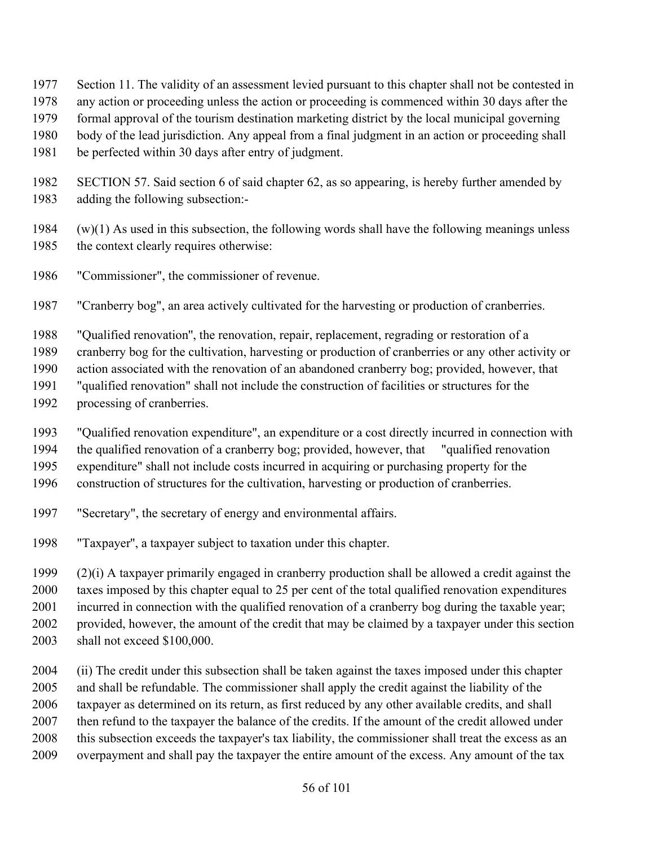- Section 11. The validity of an assessment levied pursuant to this chapter shall not be contested in
- any action or proceeding unless the action or proceeding is commenced within 30 days after the
- formal approval of the tourism destination marketing district by the local municipal governing
- body of the lead jurisdiction. Any appeal from a final judgment in an action or proceeding shall
- be perfected within 30 days after entry of judgment.
- SECTION 57. Said section 6 of said chapter 62, as so appearing, is hereby further amended by adding the following subsection:-
- 1984  $(w)(1)$  As used in this subsection, the following words shall have the following meanings unless the context clearly requires otherwise:
- "Commissioner", the commissioner of revenue.
- "Cranberry bog", an area actively cultivated for the harvesting or production of cranberries.
- "Qualified renovation'', the renovation, repair, replacement, regrading or restoration of a
- cranberry bog for the cultivation, harvesting or production of cranberries or any other activity or
- action associated with the renovation of an abandoned cranberry bog; provided, however, that
- "qualified renovation" shall not include the construction of facilities or structures for the
- processing of cranberries.
- "Qualified renovation expenditure", an expenditure or a cost directly incurred in connection with
- the qualified renovation of a cranberry bog; provided, however, that "qualified renovation
- expenditure" shall not include costs incurred in acquiring or purchasing property for the
- construction of structures for the cultivation, harvesting or production of cranberries.
- "Secretary", the secretary of energy and environmental affairs.
- "Taxpayer'', a taxpayer subject to taxation under this chapter.
- (2)(i) A taxpayer primarily engaged in cranberry production shall be allowed a credit against the taxes imposed by this chapter equal to 25 per cent of the total qualified renovation expenditures incurred in connection with the qualified renovation of a cranberry bog during the taxable year; provided, however, the amount of the credit that may be claimed by a taxpayer under this section shall not exceed \$100,000.
- (ii) The credit under this subsection shall be taken against the taxes imposed under this chapter and shall be refundable. The commissioner shall apply the credit against the liability of the taxpayer as determined on its return, as first reduced by any other available credits, and shall then refund to the taxpayer the balance of the credits. If the amount of the credit allowed under this subsection exceeds the taxpayer's tax liability, the commissioner shall treat the excess as an overpayment and shall pay the taxpayer the entire amount of the excess. Any amount of the tax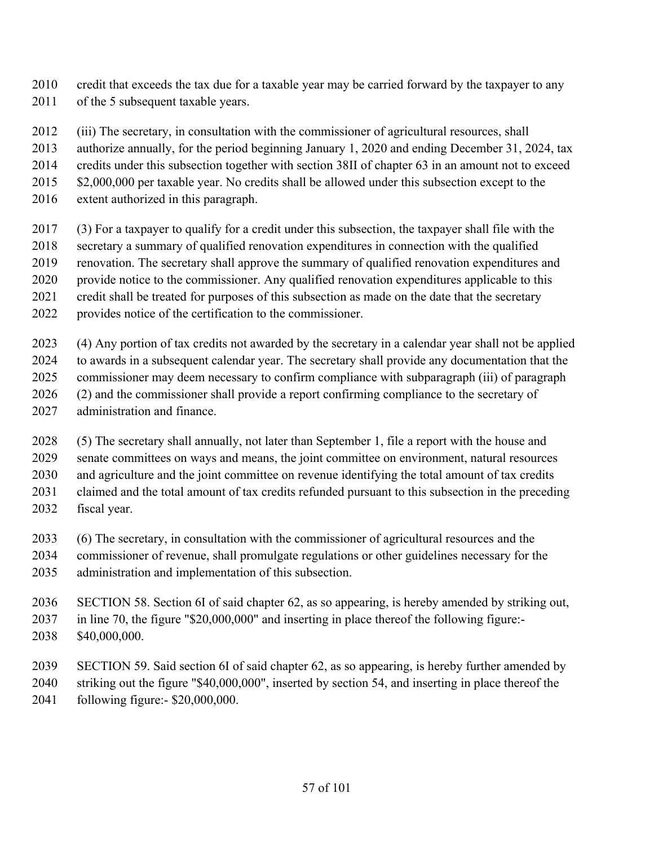- credit that exceeds the tax due for a taxable year may be carried forward by the taxpayer to any 2011 of the 5 subsequent taxable years.
- (iii) The secretary, in consultation with the commissioner of agricultural resources, shall
- authorize annually, for the period beginning January 1, 2020 and ending December 31, 2024, tax
- credits under this subsection together with section 38II of chapter 63 in an amount not to exceed
- 2015 \$2,000,000 per taxable year. No credits shall be allowed under this subsection except to the
- extent authorized in this paragraph.
- (3) For a taxpayer to qualify for a credit under this subsection, the taxpayer shall file with the
- secretary a summary of qualified renovation expenditures in connection with the qualified
- renovation. The secretary shall approve the summary of qualified renovation expenditures and
- provide notice to the commissioner. Any qualified renovation expenditures applicable to this
- credit shall be treated for purposes of this subsection as made on the date that the secretary
- provides notice of the certification to the commissioner.
- (4) Any portion of tax credits not awarded by the secretary in a calendar year shall not be applied to awards in a subsequent calendar year. The secretary shall provide any documentation that the commissioner may deem necessary to confirm compliance with subparagraph (iii) of paragraph (2) and the commissioner shall provide a report confirming compliance to the secretary of
- administration and finance.
- (5) The secretary shall annually, not later than September 1, file a report with the house and senate committees on ways and means, the joint committee on environment, natural resources and agriculture and the joint committee on revenue identifying the total amount of tax credits claimed and the total amount of tax credits refunded pursuant to this subsection in the preceding
- fiscal year.
- (6) The secretary, in consultation with the commissioner of agricultural resources and the commissioner of revenue, shall promulgate regulations or other guidelines necessary for the
- administration and implementation of this subsection.
- SECTION 58. Section 6I of said chapter 62, as so appearing, is hereby amended by striking out, in line 70, the figure "\$20,000,000" and inserting in place thereof the following figure:- \$40,000,000.
- SECTION 59. Said section 6I of said chapter 62, as so appearing, is hereby further amended by striking out the figure "\$40,000,000", inserted by section 54, and inserting in place thereof the
- following figure:- \$20,000,000.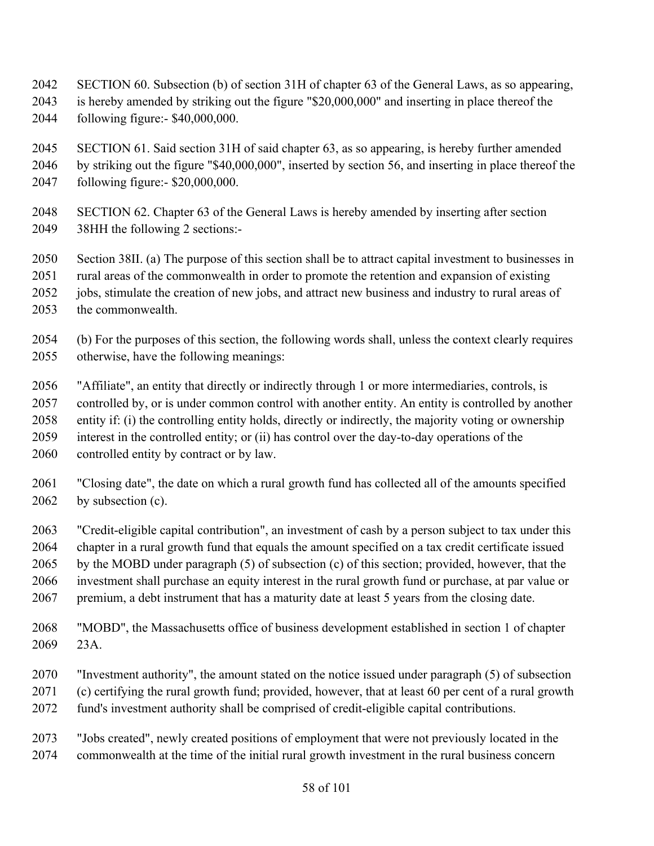- SECTION 60. Subsection (b) of section 31H of chapter 63 of the General Laws, as so appearing,
- is hereby amended by striking out the figure "\$20,000,000" and inserting in place thereof the following figure:- \$40,000,000.
- SECTION 61. Said section 31H of said chapter 63, as so appearing, is hereby further amended
- by striking out the figure "\$40,000,000", inserted by section 56, and inserting in place thereof the following figure:- \$20,000,000.
- SECTION 62. Chapter 63 of the General Laws is hereby amended by inserting after section 38HH the following 2 sections:-
- Section 38II. (a) The purpose of this section shall be to attract capital investment to businesses in
- rural areas of the commonwealth in order to promote the retention and expansion of existing
- jobs, stimulate the creation of new jobs, and attract new business and industry to rural areas of
- the commonwealth.
- (b) For the purposes of this section, the following words shall, unless the context clearly requires otherwise, have the following meanings:
- "Affiliate", an entity that directly or indirectly through 1 or more intermediaries, controls, is
- controlled by, or is under common control with another entity. An entity is controlled by another
- entity if: (i) the controlling entity holds, directly or indirectly, the majority voting or ownership
- interest in the controlled entity; or (ii) has control over the day-to-day operations of the
- controlled entity by contract or by law.
- "Closing date", the date on which a rural growth fund has collected all of the amounts specified 2062 by subsection (c).
- "Credit-eligible capital contribution", an investment of cash by a person subject to tax under this chapter in a rural growth fund that equals the amount specified on a tax credit certificate issued by the MOBD under paragraph (5) of subsection (c) of this section; provided, however, that the investment shall purchase an equity interest in the rural growth fund or purchase, at par value or premium, a debt instrument that has a maturity date at least 5 years from the closing date.
- "MOBD", the Massachusetts office of business development established in section 1 of chapter 23A.
- "Investment authority", the amount stated on the notice issued under paragraph (5) of subsection (c) certifying the rural growth fund; provided, however, that at least 60 per cent of a rural growth
- fund's investment authority shall be comprised of credit-eligible capital contributions.
- "Jobs created", newly created positions of employment that were not previously located in the commonwealth at the time of the initial rural growth investment in the rural business concern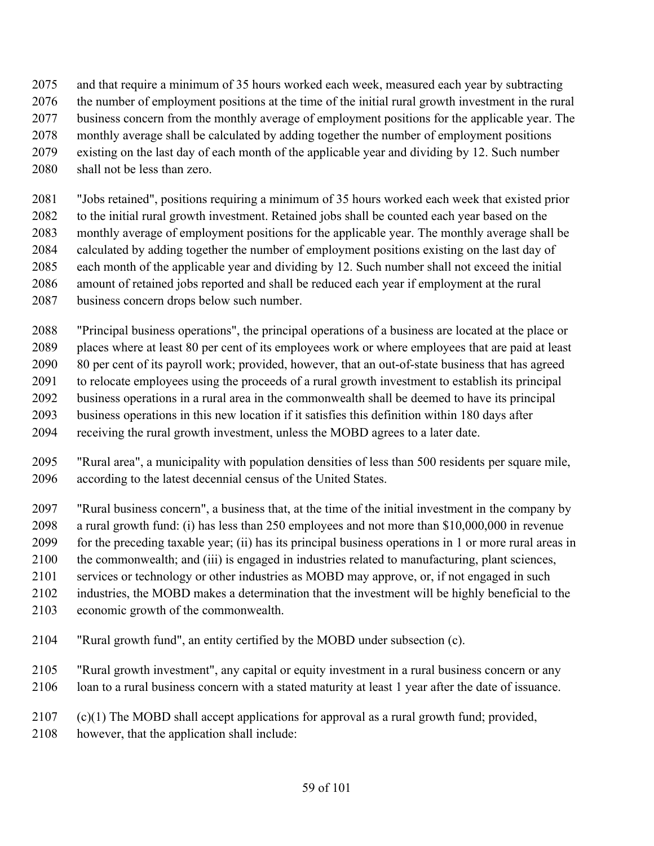- and that require a minimum of 35 hours worked each week, measured each year by subtracting
- the number of employment positions at the time of the initial rural growth investment in the rural
- 2077 business concern from the monthly average of employment positions for the applicable year. The
- monthly average shall be calculated by adding together the number of employment positions
- existing on the last day of each month of the applicable year and dividing by 12. Such number
- shall not be less than zero.
- "Jobs retained", positions requiring a minimum of 35 hours worked each week that existed prior to the initial rural growth investment. Retained jobs shall be counted each year based on the monthly average of employment positions for the applicable year. The monthly average shall be calculated by adding together the number of employment positions existing on the last day of each month of the applicable year and dividing by 12. Such number shall not exceed the initial amount of retained jobs reported and shall be reduced each year if employment at the rural business concern drops below such number.
- "Principal business operations", the principal operations of a business are located at the place or places where at least 80 per cent of its employees work or where employees that are paid at least 80 per cent of its payroll work; provided, however, that an out-of-state business that has agreed to relocate employees using the proceeds of a rural growth investment to establish its principal business operations in a rural area in the commonwealth shall be deemed to have its principal business operations in this new location if it satisfies this definition within 180 days after receiving the rural growth investment, unless the MOBD agrees to a later date.
- "Rural area", a municipality with population densities of less than 500 residents per square mile, according to the latest decennial census of the United States.
- "Rural business concern", a business that, at the time of the initial investment in the company by
- a rural growth fund: (i) has less than 250 employees and not more than \$10,000,000 in revenue
- for the preceding taxable year; (ii) has its principal business operations in 1 or more rural areas in
- the commonwealth; and (iii) is engaged in industries related to manufacturing, plant sciences,
- services or technology or other industries as MOBD may approve, or, if not engaged in such
- industries, the MOBD makes a determination that the investment will be highly beneficial to the
- economic growth of the commonwealth.
- "Rural growth fund", an entity certified by the MOBD under subsection (c).
- "Rural growth investment", any capital or equity investment in a rural business concern or any
- loan to a rural business concern with a stated maturity at least 1 year after the date of issuance.
- (c)(1) The MOBD shall accept applications for approval as a rural growth fund; provided,
- however, that the application shall include: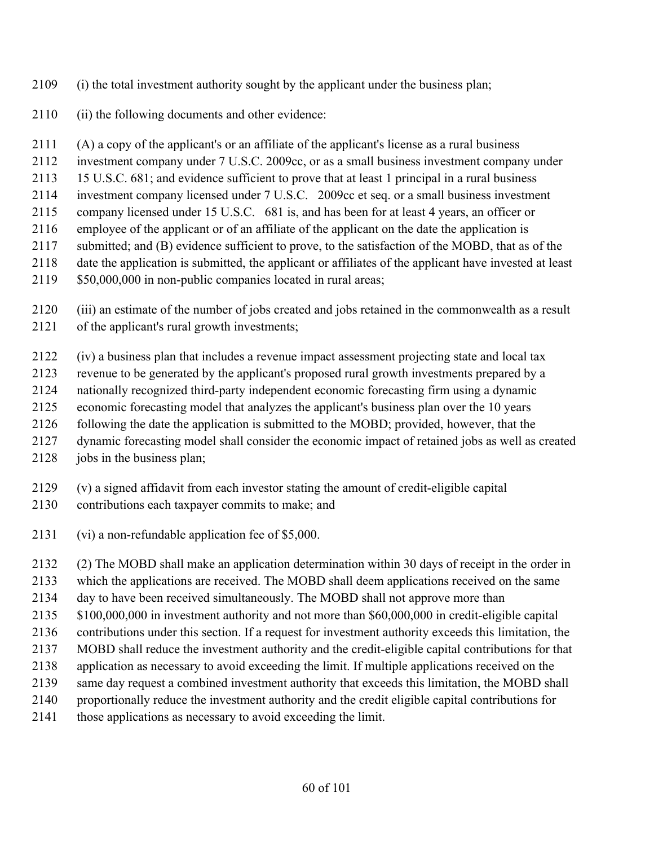- (i) the total investment authority sought by the applicant under the business plan;
- (ii) the following documents and other evidence:
- (A) a copy of the applicant's or an affiliate of the applicant's license as a rural business
- investment company under 7 U.S.C. 2009cc, or as a small business investment company under
- 15 U.S.C. 681; and evidence sufficient to prove that at least 1 principal in a rural business
- investment company licensed under 7 U.S.C. 2009cc et seq. or a small business investment
- company licensed under 15 U.S.C. 681 is, and has been for at least 4 years, an officer or
- employee of the applicant or of an affiliate of the applicant on the date the application is
- submitted; and (B) evidence sufficient to prove, to the satisfaction of the MOBD, that as of the
- date the application is submitted, the applicant or affiliates of the applicant have invested at least
- \$50,000,000 in non-public companies located in rural areas;
- (iii) an estimate of the number of jobs created and jobs retained in the commonwealth as a result of the applicant's rural growth investments;
- (iv) a business plan that includes a revenue impact assessment projecting state and local tax
- revenue to be generated by the applicant's proposed rural growth investments prepared by a
- nationally recognized third-party independent economic forecasting firm using a dynamic
- economic forecasting model that analyzes the applicant's business plan over the 10 years
- following the date the application is submitted to the MOBD; provided, however, that the
- dynamic forecasting model shall consider the economic impact of retained jobs as well as created
- 2128 jobs in the business plan;
- (v) a signed affidavit from each investor stating the amount of credit-eligible capital
- contributions each taxpayer commits to make; and
- (vi) a non-refundable application fee of \$5,000.
- (2) The MOBD shall make an application determination within 30 days of receipt in the order in
- which the applications are received. The MOBD shall deem applications received on the same
- day to have been received simultaneously. The MOBD shall not approve more than
- \$100,000,000 in investment authority and not more than \$60,000,000 in credit-eligible capital
- contributions under this section. If a request for investment authority exceeds this limitation, the
- MOBD shall reduce the investment authority and the credit-eligible capital contributions for that
- application as necessary to avoid exceeding the limit. If multiple applications received on the
- same day request a combined investment authority that exceeds this limitation, the MOBD shall
- proportionally reduce the investment authority and the credit eligible capital contributions for
- those applications as necessary to avoid exceeding the limit.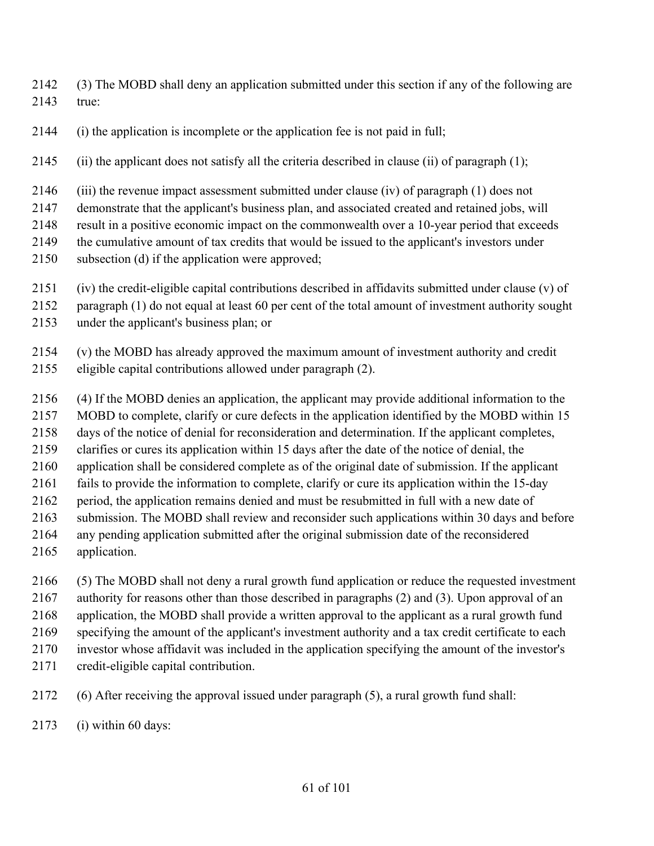(3) The MOBD shall deny an application submitted under this section if any of the following are true:

(i) the application is incomplete or the application fee is not paid in full;

(ii) the applicant does not satisfy all the criteria described in clause (ii) of paragraph (1);

(iii) the revenue impact assessment submitted under clause (iv) of paragraph (1) does not

demonstrate that the applicant's business plan, and associated created and retained jobs, will

result in a positive economic impact on the commonwealth over a 10-year period that exceeds

- the cumulative amount of tax credits that would be issued to the applicant's investors under
- subsection (d) if the application were approved;
- (iv) the credit-eligible capital contributions described in affidavits submitted under clause (v) of
- paragraph (1) do not equal at least 60 per cent of the total amount of investment authority sought
- under the applicant's business plan; or
- (v) the MOBD has already approved the maximum amount of investment authority and credit
- eligible capital contributions allowed under paragraph (2).
- (4) If the MOBD denies an application, the applicant may provide additional information to the
- MOBD to complete, clarify or cure defects in the application identified by the MOBD within 15
- days of the notice of denial for reconsideration and determination. If the applicant completes,
- clarifies or cures its application within 15 days after the date of the notice of denial, the
- application shall be considered complete as of the original date of submission. If the applicant
- fails to provide the information to complete, clarify or cure its application within the 15-day
- period, the application remains denied and must be resubmitted in full with a new date of
- submission. The MOBD shall review and reconsider such applications within 30 days and before
- any pending application submitted after the original submission date of the reconsidered
- application.
- (5) The MOBD shall not deny a rural growth fund application or reduce the requested investment
- authority for reasons other than those described in paragraphs (2) and (3). Upon approval of an
- application, the MOBD shall provide a written approval to the applicant as a rural growth fund
- specifying the amount of the applicant's investment authority and a tax credit certificate to each
- investor whose affidavit was included in the application specifying the amount of the investor's
- credit-eligible capital contribution.
- (6) After receiving the approval issued under paragraph (5), a rural growth fund shall:
- (i) within 60 days: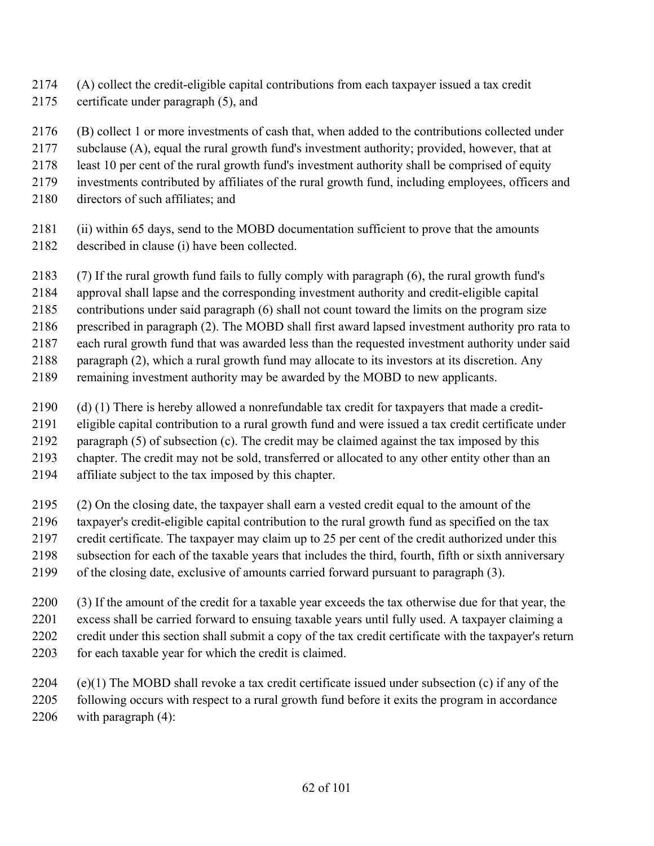- (A) collect the credit-eligible capital contributions from each taxpayer issued a tax credit
- certificate under paragraph (5), and
- (B) collect 1 or more investments of cash that, when added to the contributions collected under
- subclause (A), equal the rural growth fund's investment authority; provided, however, that at
- least 10 per cent of the rural growth fund's investment authority shall be comprised of equity
- investments contributed by affiliates of the rural growth fund, including employees, officers and
- directors of such affiliates; and
- (ii) within 65 days, send to the MOBD documentation sufficient to prove that the amounts described in clause (i) have been collected.
- (7) If the rural growth fund fails to fully comply with paragraph (6), the rural growth fund's
- approval shall lapse and the corresponding investment authority and credit-eligible capital
- contributions under said paragraph (6) shall not count toward the limits on the program size
- prescribed in paragraph (2). The MOBD shall first award lapsed investment authority pro rata to
- each rural growth fund that was awarded less than the requested investment authority under said
- paragraph (2), which a rural growth fund may allocate to its investors at its discretion. Any
- remaining investment authority may be awarded by the MOBD to new applicants.
- (d) (1) There is hereby allowed a nonrefundable tax credit for taxpayers that made a credit-
- eligible capital contribution to a rural growth fund and were issued a tax credit certificate under
- paragraph (5) of subsection (c). The credit may be claimed against the tax imposed by this
- chapter. The credit may not be sold, transferred or allocated to any other entity other than an
- affiliate subject to the tax imposed by this chapter.
- (2) On the closing date, the taxpayer shall earn a vested credit equal to the amount of the
- taxpayer's credit-eligible capital contribution to the rural growth fund as specified on the tax
- credit certificate. The taxpayer may claim up to 25 per cent of the credit authorized under this subsection for each of the taxable years that includes the third, fourth, fifth or sixth anniversary
- of the closing date, exclusive of amounts carried forward pursuant to paragraph (3).
- (3) If the amount of the credit for a taxable year exceeds the tax otherwise due for that year, the excess shall be carried forward to ensuing taxable years until fully used. A taxpayer claiming a credit under this section shall submit a copy of the tax credit certificate with the taxpayer's return 2203 for each taxable year for which the credit is claimed.
- (e)(1) The MOBD shall revoke a tax credit certificate issued under subsection (c) if any of the following occurs with respect to a rural growth fund before it exits the program in accordance with paragraph (4):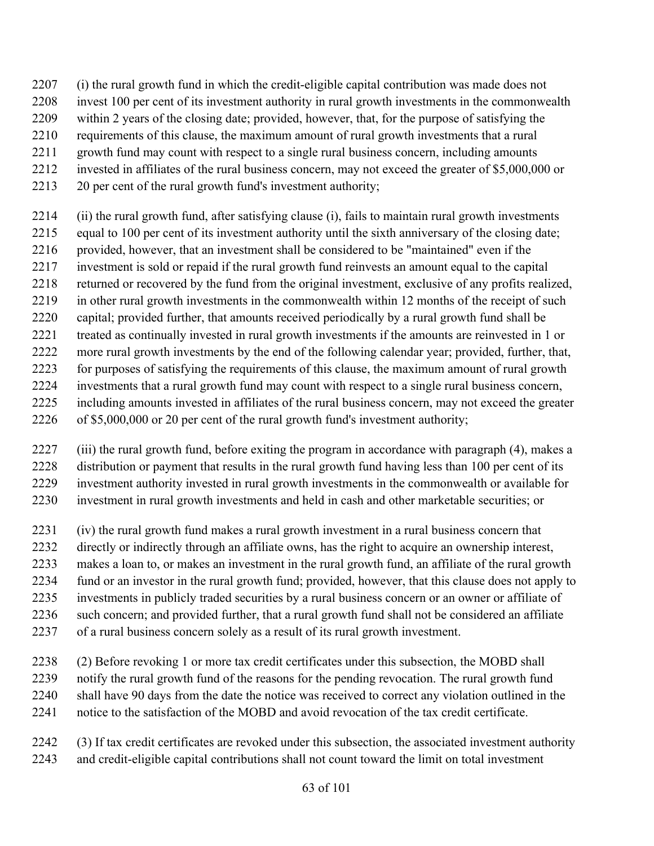- (i) the rural growth fund in which the credit-eligible capital contribution was made does not
- invest 100 per cent of its investment authority in rural growth investments in the commonwealth
- within 2 years of the closing date; provided, however, that, for the purpose of satisfying the
- requirements of this clause, the maximum amount of rural growth investments that a rural
- growth fund may count with respect to a single rural business concern, including amounts
- invested in affiliates of the rural business concern, may not exceed the greater of \$5,000,000 or
- 20 per cent of the rural growth fund's investment authority;
- (ii) the rural growth fund, after satisfying clause (i), fails to maintain rural growth investments
- equal to 100 per cent of its investment authority until the sixth anniversary of the closing date; 2216 provided, however, that an investment shall be considered to be "maintained" even if the
- investment is sold or repaid if the rural growth fund reinvests an amount equal to the capital
- returned or recovered by the fund from the original investment, exclusive of any profits realized,
- in other rural growth investments in the commonwealth within 12 months of the receipt of such
- capital; provided further, that amounts received periodically by a rural growth fund shall be
- treated as continually invested in rural growth investments if the amounts are reinvested in 1 or
- more rural growth investments by the end of the following calendar year; provided, further, that,
- for purposes of satisfying the requirements of this clause, the maximum amount of rural growth
- investments that a rural growth fund may count with respect to a single rural business concern,
- including amounts invested in affiliates of the rural business concern, may not exceed the greater
- of \$5,000,000 or 20 per cent of the rural growth fund's investment authority;
- (iii) the rural growth fund, before exiting the program in accordance with paragraph (4), makes a distribution or payment that results in the rural growth fund having less than 100 per cent of its investment authority invested in rural growth investments in the commonwealth or available for investment in rural growth investments and held in cash and other marketable securities; or
- (iv) the rural growth fund makes a rural growth investment in a rural business concern that
- directly or indirectly through an affiliate owns, has the right to acquire an ownership interest,
- makes a loan to, or makes an investment in the rural growth fund, an affiliate of the rural growth
- fund or an investor in the rural growth fund; provided, however, that this clause does not apply to
- investments in publicly traded securities by a rural business concern or an owner or affiliate of
- such concern; and provided further, that a rural growth fund shall not be considered an affiliate
- of a rural business concern solely as a result of its rural growth investment.
- (2) Before revoking 1 or more tax credit certificates under this subsection, the MOBD shall notify the rural growth fund of the reasons for the pending revocation. The rural growth fund shall have 90 days from the date the notice was received to correct any violation outlined in the notice to the satisfaction of the MOBD and avoid revocation of the tax credit certificate.
- (3) If tax credit certificates are revoked under this subsection, the associated investment authority and credit-eligible capital contributions shall not count toward the limit on total investment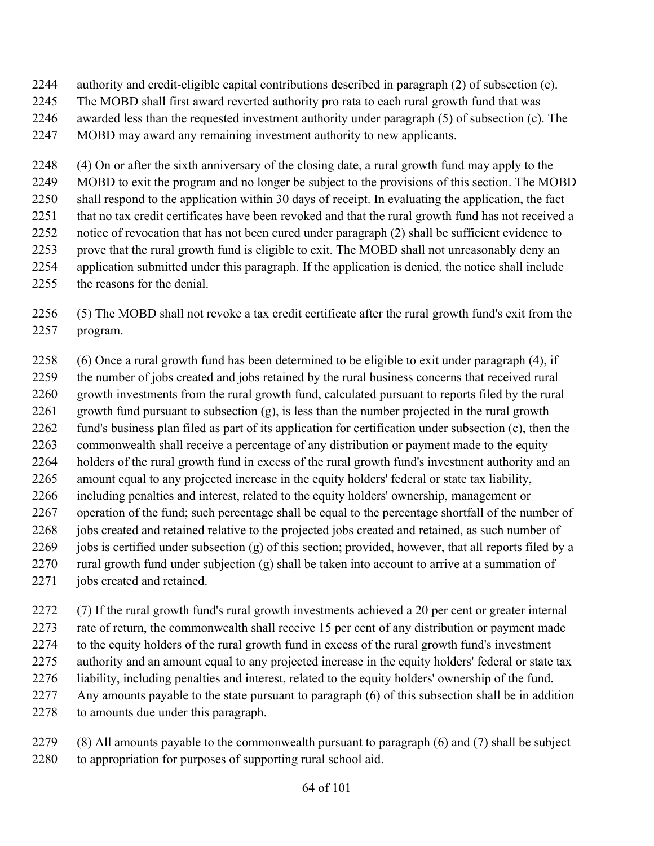- authority and credit-eligible capital contributions described in paragraph (2) of subsection (c).
- The MOBD shall first award reverted authority pro rata to each rural growth fund that was
- awarded less than the requested investment authority under paragraph (5) of subsection (c). The
- MOBD may award any remaining investment authority to new applicants.

 (4) On or after the sixth anniversary of the closing date, a rural growth fund may apply to the MOBD to exit the program and no longer be subject to the provisions of this section. The MOBD shall respond to the application within 30 days of receipt. In evaluating the application, the fact that no tax credit certificates have been revoked and that the rural growth fund has not received a notice of revocation that has not been cured under paragraph (2) shall be sufficient evidence to prove that the rural growth fund is eligible to exit. The MOBD shall not unreasonably deny an application submitted under this paragraph. If the application is denied, the notice shall include the reasons for the denial.

 (5) The MOBD shall not revoke a tax credit certificate after the rural growth fund's exit from the program.

 (6) Once a rural growth fund has been determined to be eligible to exit under paragraph (4), if the number of jobs created and jobs retained by the rural business concerns that received rural growth investments from the rural growth fund, calculated pursuant to reports filed by the rural 2261 growth fund pursuant to subsection  $(g)$ , is less than the number projected in the rural growth fund's business plan filed as part of its application for certification under subsection (c), then the commonwealth shall receive a percentage of any distribution or payment made to the equity holders of the rural growth fund in excess of the rural growth fund's investment authority and an amount equal to any projected increase in the equity holders' federal or state tax liability, including penalties and interest, related to the equity holders' ownership, management or operation of the fund; such percentage shall be equal to the percentage shortfall of the number of jobs created and retained relative to the projected jobs created and retained, as such number of jobs is certified under subsection (g) of this section; provided, however, that all reports filed by a rural growth fund under subjection (g) shall be taken into account to arrive at a summation of jobs created and retained.

 (7) If the rural growth fund's rural growth investments achieved a 20 per cent or greater internal rate of return, the commonwealth shall receive 15 per cent of any distribution or payment made to the equity holders of the rural growth fund in excess of the rural growth fund's investment authority and an amount equal to any projected increase in the equity holders' federal or state tax liability, including penalties and interest, related to the equity holders' ownership of the fund. Any amounts payable to the state pursuant to paragraph (6) of this subsection shall be in addition to amounts due under this paragraph.

 (8) All amounts payable to the commonwealth pursuant to paragraph (6) and (7) shall be subject to appropriation for purposes of supporting rural school aid.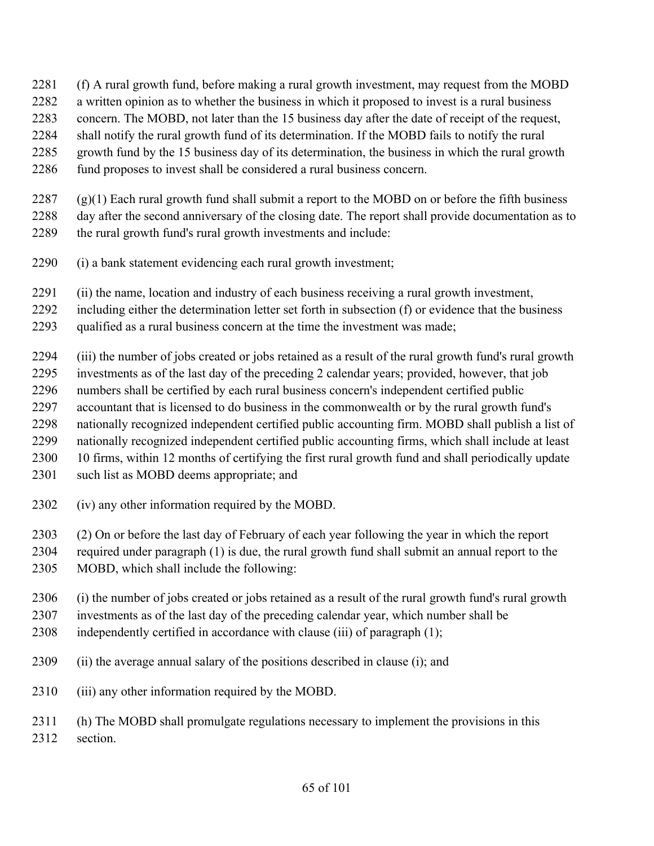- (f) A rural growth fund, before making a rural growth investment, may request from the MOBD
- a written opinion as to whether the business in which it proposed to invest is a rural business
- concern. The MOBD, not later than the 15 business day after the date of receipt of the request,
- shall notify the rural growth fund of its determination. If the MOBD fails to notify the rural
- growth fund by the 15 business day of its determination, the business in which the rural growth
- fund proposes to invest shall be considered a rural business concern.
- (g)(1) Each rural growth fund shall submit a report to the MOBD on or before the fifth business
- day after the second anniversary of the closing date. The report shall provide documentation as to
- the rural growth fund's rural growth investments and include:
- (i) a bank statement evidencing each rural growth investment;
- (ii) the name, location and industry of each business receiving a rural growth investment,
- including either the determination letter set forth in subsection (f) or evidence that the business
- qualified as a rural business concern at the time the investment was made;
- (iii) the number of jobs created or jobs retained as a result of the rural growth fund's rural growth
- investments as of the last day of the preceding 2 calendar years; provided, however, that job numbers shall be certified by each rural business concern's independent certified public
- accountant that is licensed to do business in the commonwealth or by the rural growth fund's
- nationally recognized independent certified public accounting firm. MOBD shall publish a list of
- nationally recognized independent certified public accounting firms, which shall include at least
- 10 firms, within 12 months of certifying the first rural growth fund and shall periodically update
- 2301 such list as MOBD deems appropriate; and
- (iv) any other information required by the MOBD.
- (2) On or before the last day of February of each year following the year in which the report
- required under paragraph (1) is due, the rural growth fund shall submit an annual report to the
- MOBD, which shall include the following:
- (i) the number of jobs created or jobs retained as a result of the rural growth fund's rural growth
- investments as of the last day of the preceding calendar year, which number shall be
- independently certified in accordance with clause (iii) of paragraph (1);
- (ii) the average annual salary of the positions described in clause (i); and
- (iii) any other information required by the MOBD.
- (h) The MOBD shall promulgate regulations necessary to implement the provisions in this section.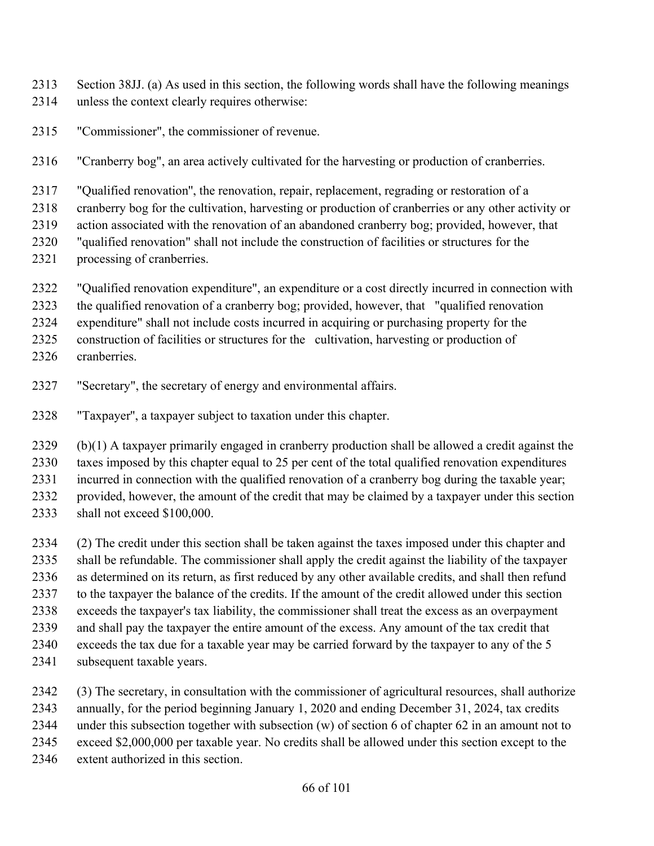- Section 38JJ. (a) As used in this section, the following words shall have the following meanings unless the context clearly requires otherwise:
- "Commissioner", the commissioner of revenue.
- "Cranberry bog", an area actively cultivated for the harvesting or production of cranberries.
- "Qualified renovation'', the renovation, repair, replacement, regrading or restoration of a
- cranberry bog for the cultivation, harvesting or production of cranberries or any other activity or
- action associated with the renovation of an abandoned cranberry bog; provided, however, that
- "qualified renovation" shall not include the construction of facilities or structures for the
- processing of cranberries.
- "Qualified renovation expenditure", an expenditure or a cost directly incurred in connection with
- the qualified renovation of a cranberry bog; provided, however, that "qualified renovation
- expenditure" shall not include costs incurred in acquiring or purchasing property for the
- construction of facilities or structures for the cultivation, harvesting or production of
- cranberries.
- "Secretary", the secretary of energy and environmental affairs.
- "Taxpayer'', a taxpayer subject to taxation under this chapter.

 (b)(1) A taxpayer primarily engaged in cranberry production shall be allowed a credit against the taxes imposed by this chapter equal to 25 per cent of the total qualified renovation expenditures incurred in connection with the qualified renovation of a cranberry bog during the taxable year; provided, however, the amount of the credit that may be claimed by a taxpayer under this section

- shall not exceed \$100,000.
- (2) The credit under this section shall be taken against the taxes imposed under this chapter and shall be refundable. The commissioner shall apply the credit against the liability of the taxpayer as determined on its return, as first reduced by any other available credits, and shall then refund to the taxpayer the balance of the credits. If the amount of the credit allowed under this section exceeds the taxpayer's tax liability, the commissioner shall treat the excess as an overpayment and shall pay the taxpayer the entire amount of the excess. Any amount of the tax credit that exceeds the tax due for a taxable year may be carried forward by the taxpayer to any of the 5 subsequent taxable years.
- (3) The secretary, in consultation with the commissioner of agricultural resources, shall authorize annually, for the period beginning January 1, 2020 and ending December 31, 2024, tax credits under this subsection together with subsection (w) of section 6 of chapter 62 in an amount not to exceed \$2,000,000 per taxable year. No credits shall be allowed under this section except to the extent authorized in this section.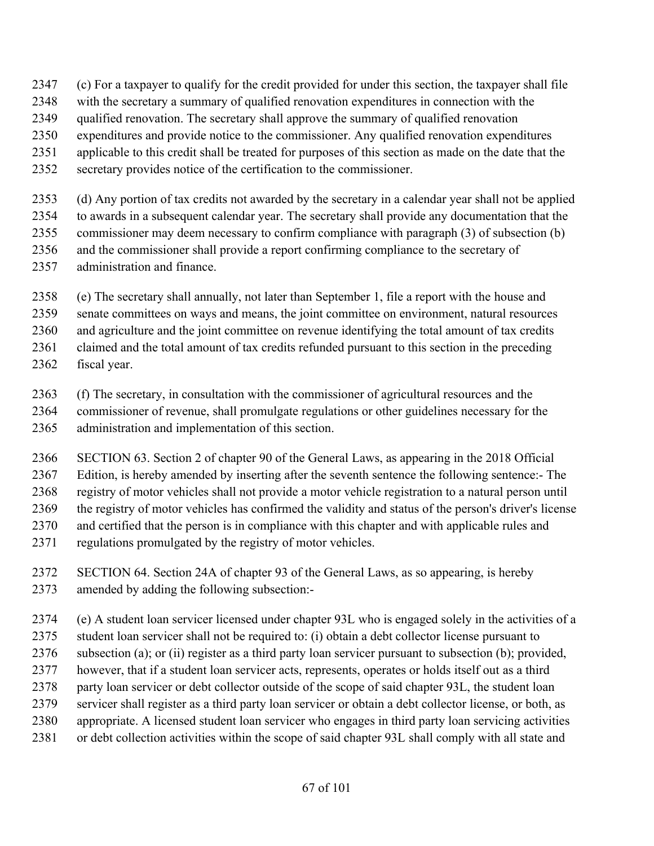- (c) For a taxpayer to qualify for the credit provided for under this section, the taxpayer shall file
- with the secretary a summary of qualified renovation expenditures in connection with the
- qualified renovation. The secretary shall approve the summary of qualified renovation
- expenditures and provide notice to the commissioner. Any qualified renovation expenditures
- applicable to this credit shall be treated for purposes of this section as made on the date that the
- secretary provides notice of the certification to the commissioner.
- (d) Any portion of tax credits not awarded by the secretary in a calendar year shall not be applied to awards in a subsequent calendar year. The secretary shall provide any documentation that the commissioner may deem necessary to confirm compliance with paragraph (3) of subsection (b) and the commissioner shall provide a report confirming compliance to the secretary of administration and finance.
- (e) The secretary shall annually, not later than September 1, file a report with the house and
- senate committees on ways and means, the joint committee on environment, natural resources
- and agriculture and the joint committee on revenue identifying the total amount of tax credits
- claimed and the total amount of tax credits refunded pursuant to this section in the preceding
- fiscal year.
- (f) The secretary, in consultation with the commissioner of agricultural resources and the commissioner of revenue, shall promulgate regulations or other guidelines necessary for the administration and implementation of this section.
- SECTION 63. Section 2 of chapter 90 of the General Laws, as appearing in the 2018 Official
- Edition, is hereby amended by inserting after the seventh sentence the following sentence:- The
- registry of motor vehicles shall not provide a motor vehicle registration to a natural person until the registry of motor vehicles has confirmed the validity and status of the person's driver's license
- and certified that the person is in compliance with this chapter and with applicable rules and
- regulations promulgated by the registry of motor vehicles.
- SECTION 64. Section 24A of chapter 93 of the General Laws, as so appearing, is hereby amended by adding the following subsection:-
- (e) A student loan servicer licensed under chapter 93L who is engaged solely in the activities of a
- student loan servicer shall not be required to: (i) obtain a debt collector license pursuant to
- subsection (a); or (ii) register as a third party loan servicer pursuant to subsection (b); provided,
- however, that if a student loan servicer acts, represents, operates or holds itself out as a third
- party loan servicer or debt collector outside of the scope of said chapter 93L, the student loan
- servicer shall register as a third party loan servicer or obtain a debt collector license, or both, as
- appropriate. A licensed student loan servicer who engages in third party loan servicing activities
- or debt collection activities within the scope of said chapter 93L shall comply with all state and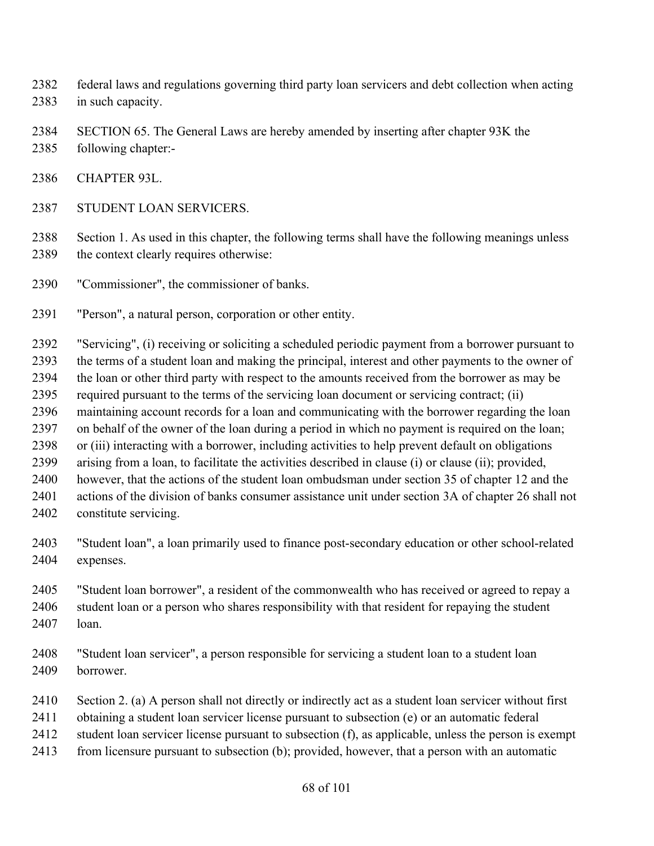- federal laws and regulations governing third party loan servicers and debt collection when acting in such capacity.
- SECTION 65. The General Laws are hereby amended by inserting after chapter 93K the
- following chapter:-
- CHAPTER 93L.
- STUDENT LOAN SERVICERS.

 Section 1. As used in this chapter, the following terms shall have the following meanings unless 2389 the context clearly requires otherwise:

- "Commissioner", the commissioner of banks.
- "Person", a natural person, corporation or other entity.

 "Servicing", (i) receiving or soliciting a scheduled periodic payment from a borrower pursuant to the terms of a student loan and making the principal, interest and other payments to the owner of the loan or other third party with respect to the amounts received from the borrower as may be required pursuant to the terms of the servicing loan document or servicing contract; (ii) maintaining account records for a loan and communicating with the borrower regarding the loan on behalf of the owner of the loan during a period in which no payment is required on the loan; or (iii) interacting with a borrower, including activities to help prevent default on obligations arising from a loan, to facilitate the activities described in clause (i) or clause (ii); provided, however, that the actions of the student loan ombudsman under section 35 of chapter 12 and the actions of the division of banks consumer assistance unit under section 3A of chapter 26 shall not constitute servicing.

- "Student loan", a loan primarily used to finance post-secondary education or other school-related expenses.
- "Student loan borrower", a resident of the commonwealth who has received or agreed to repay a student loan or a person who shares responsibility with that resident for repaying the student loan.
- "Student loan servicer", a person responsible for servicing a student loan to a student loan borrower.
- Section 2. (a) A person shall not directly or indirectly act as a student loan servicer without first
- obtaining a student loan servicer license pursuant to subsection (e) or an automatic federal
- student loan servicer license pursuant to subsection (f), as applicable, unless the person is exempt
- from licensure pursuant to subsection (b); provided, however, that a person with an automatic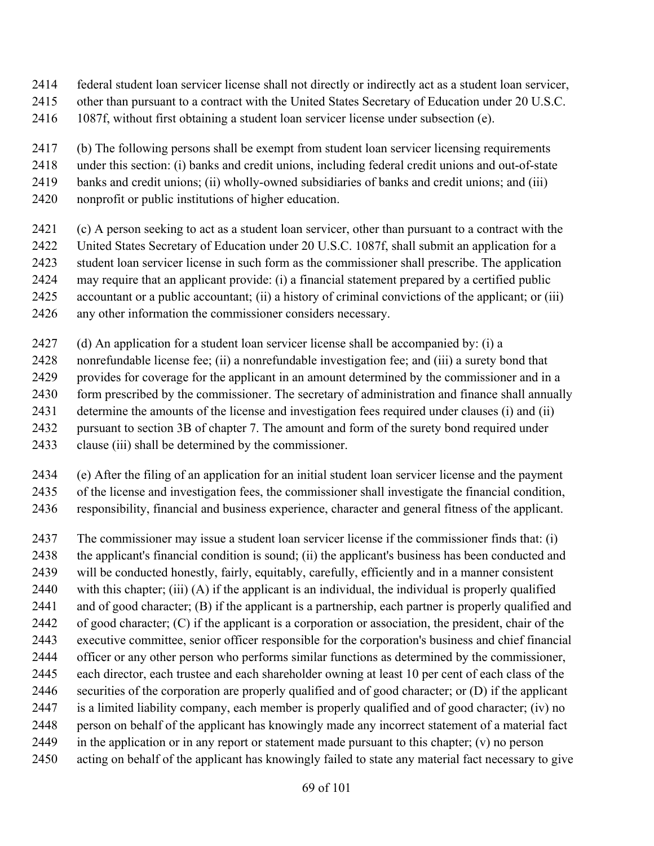- federal student loan servicer license shall not directly or indirectly act as a student loan servicer,
- other than pursuant to a contract with the United States Secretary of Education under 20 U.S.C.
- 1087f, without first obtaining a student loan servicer license under subsection (e).
- (b) The following persons shall be exempt from student loan servicer licensing requirements
- under this section: (i) banks and credit unions, including federal credit unions and out-of-state
- banks and credit unions; (ii) wholly-owned subsidiaries of banks and credit unions; and (iii)
- nonprofit or public institutions of higher education.
- (c) A person seeking to act as a student loan servicer, other than pursuant to a contract with the
- United States Secretary of Education under 20 U.S.C. 1087f, shall submit an application for a
- student loan servicer license in such form as the commissioner shall prescribe. The application
- may require that an applicant provide: (i) a financial statement prepared by a certified public
- accountant or a public accountant; (ii) a history of criminal convictions of the applicant; or (iii)
- any other information the commissioner considers necessary.
- (d) An application for a student loan servicer license shall be accompanied by: (i) a
- nonrefundable license fee; (ii) a nonrefundable investigation fee; and (iii) a surety bond that
- provides for coverage for the applicant in an amount determined by the commissioner and in a
- 2430 form prescribed by the commissioner. The secretary of administration and finance shall annually
- determine the amounts of the license and investigation fees required under clauses (i) and (ii)
- pursuant to section 3B of chapter 7. The amount and form of the surety bond required under
- clause (iii) shall be determined by the commissioner.
- (e) After the filing of an application for an initial student loan servicer license and the payment
- of the license and investigation fees, the commissioner shall investigate the financial condition,
- responsibility, financial and business experience, character and general fitness of the applicant.
- The commissioner may issue a student loan servicer license if the commissioner finds that: (i)
- the applicant's financial condition is sound; (ii) the applicant's business has been conducted and
- will be conducted honestly, fairly, equitably, carefully, efficiently and in a manner consistent
- with this chapter; (iii) (A) if the applicant is an individual, the individual is properly qualified
- and of good character; (B) if the applicant is a partnership, each partner is properly qualified and
- of good character; (C) if the applicant is a corporation or association, the president, chair of the executive committee, senior officer responsible for the corporation's business and chief financial
- officer or any other person who performs similar functions as determined by the commissioner,
- each director, each trustee and each shareholder owning at least 10 per cent of each class of the
- securities of the corporation are properly qualified and of good character; or (D) if the applicant
- is a limited liability company, each member is properly qualified and of good character; (iv) no
- person on behalf of the applicant has knowingly made any incorrect statement of a material fact
- 2449 in the application or in any report or statement made pursuant to this chapter;  $(v)$  no person
- acting on behalf of the applicant has knowingly failed to state any material fact necessary to give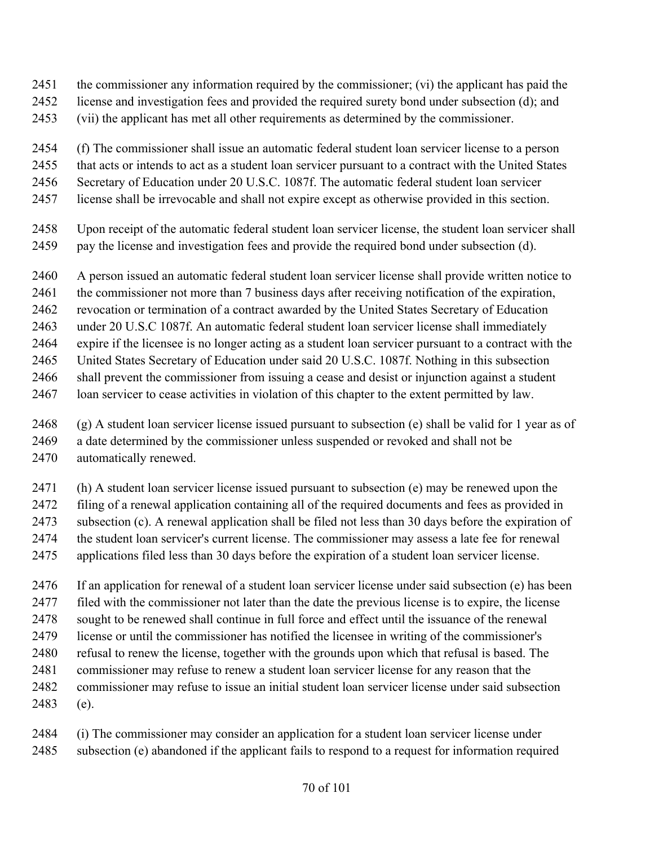- the commissioner any information required by the commissioner; (vi) the applicant has paid the
- license and investigation fees and provided the required surety bond under subsection (d); and
- (vii) the applicant has met all other requirements as determined by the commissioner.
- (f) The commissioner shall issue an automatic federal student loan servicer license to a person
- that acts or intends to act as a student loan servicer pursuant to a contract with the United States
- Secretary of Education under 20 U.S.C. 1087f. The automatic federal student loan servicer
- license shall be irrevocable and shall not expire except as otherwise provided in this section.
- Upon receipt of the automatic federal student loan servicer license, the student loan servicer shall pay the license and investigation fees and provide the required bond under subsection (d).
- A person issued an automatic federal student loan servicer license shall provide written notice to
- the commissioner not more than 7 business days after receiving notification of the expiration,
- revocation or termination of a contract awarded by the United States Secretary of Education
- under 20 U.S.C 1087f. An automatic federal student loan servicer license shall immediately
- expire if the licensee is no longer acting as a student loan servicer pursuant to a contract with the
- United States Secretary of Education under said 20 U.S.C. 1087f. Nothing in this subsection
- shall prevent the commissioner from issuing a cease and desist or injunction against a student
- loan servicer to cease activities in violation of this chapter to the extent permitted by law.
- (g) A student loan servicer license issued pursuant to subsection (e) shall be valid for 1 year as of a date determined by the commissioner unless suspended or revoked and shall not be automatically renewed.
- (h) A student loan servicer license issued pursuant to subsection (e) may be renewed upon the
- filing of a renewal application containing all of the required documents and fees as provided in subsection (c). A renewal application shall be filed not less than 30 days before the expiration of the student loan servicer's current license. The commissioner may assess a late fee for renewal applications filed less than 30 days before the expiration of a student loan servicer license.
- If an application for renewal of a student loan servicer license under said subsection (e) has been filed with the commissioner not later than the date the previous license is to expire, the license sought to be renewed shall continue in full force and effect until the issuance of the renewal license or until the commissioner has notified the licensee in writing of the commissioner's refusal to renew the license, together with the grounds upon which that refusal is based. The commissioner may refuse to renew a student loan servicer license for any reason that the commissioner may refuse to issue an initial student loan servicer license under said subsection (e).
- (i) The commissioner may consider an application for a student loan servicer license under subsection (e) abandoned if the applicant fails to respond to a request for information required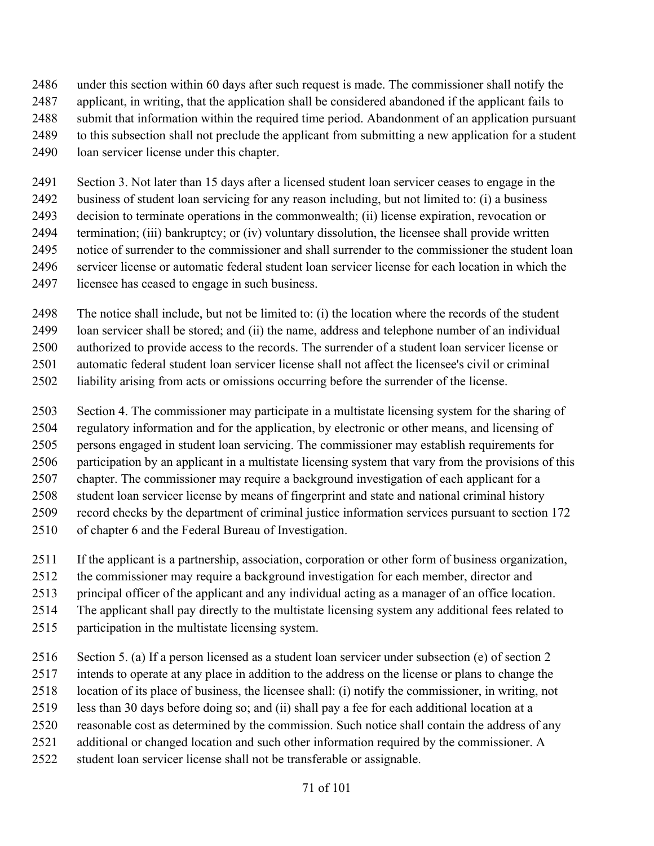under this section within 60 days after such request is made. The commissioner shall notify the applicant, in writing, that the application shall be considered abandoned if the applicant fails to submit that information within the required time period. Abandonment of an application pursuant to this subsection shall not preclude the applicant from submitting a new application for a student loan servicer license under this chapter.

 Section 3. Not later than 15 days after a licensed student loan servicer ceases to engage in the business of student loan servicing for any reason including, but not limited to: (i) a business decision to terminate operations in the commonwealth; (ii) license expiration, revocation or termination; (iii) bankruptcy; or (iv) voluntary dissolution, the licensee shall provide written notice of surrender to the commissioner and shall surrender to the commissioner the student loan servicer license or automatic federal student loan servicer license for each location in which the licensee has ceased to engage in such business.

- The notice shall include, but not be limited to: (i) the location where the records of the student loan servicer shall be stored; and (ii) the name, address and telephone number of an individual
- authorized to provide access to the records. The surrender of a student loan servicer license or automatic federal student loan servicer license shall not affect the licensee's civil or criminal
- liability arising from acts or omissions occurring before the surrender of the license.
- Section 4. The commissioner may participate in a multistate licensing system for the sharing of regulatory information and for the application, by electronic or other means, and licensing of persons engaged in student loan servicing. The commissioner may establish requirements for participation by an applicant in a multistate licensing system that vary from the provisions of this chapter. The commissioner may require a background investigation of each applicant for a student loan servicer license by means of fingerprint and state and national criminal history record checks by the department of criminal justice information services pursuant to section 172 of chapter 6 and the Federal Bureau of Investigation.
- If the applicant is a partnership, association, corporation or other form of business organization,
- the commissioner may require a background investigation for each member, director and
- principal officer of the applicant and any individual acting as a manager of an office location.
- The applicant shall pay directly to the multistate licensing system any additional fees related to
- participation in the multistate licensing system.
- Section 5. (a) If a person licensed as a student loan servicer under subsection (e) of section 2
- intends to operate at any place in addition to the address on the license or plans to change the
- location of its place of business, the licensee shall: (i) notify the commissioner, in writing, not
- less than 30 days before doing so; and (ii) shall pay a fee for each additional location at a
- reasonable cost as determined by the commission. Such notice shall contain the address of any
- 2521 additional or changed location and such other information required by the commissioner. A
- student loan servicer license shall not be transferable or assignable.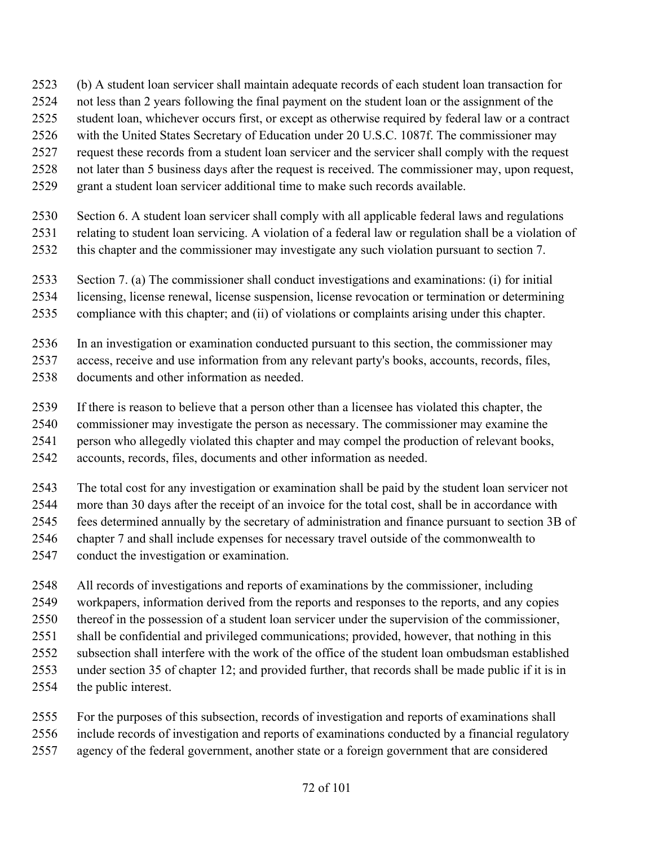- (b) A student loan servicer shall maintain adequate records of each student loan transaction for
- not less than 2 years following the final payment on the student loan or the assignment of the
- student loan, whichever occurs first, or except as otherwise required by federal law or a contract
- with the United States Secretary of Education under 20 U.S.C. 1087f. The commissioner may
- request these records from a student loan servicer and the servicer shall comply with the request
- not later than 5 business days after the request is received. The commissioner may, upon request,
- grant a student loan servicer additional time to make such records available.
- Section 6. A student loan servicer shall comply with all applicable federal laws and regulations
- relating to student loan servicing. A violation of a federal law or regulation shall be a violation of
- this chapter and the commissioner may investigate any such violation pursuant to section 7.
- Section 7. (a) The commissioner shall conduct investigations and examinations: (i) for initial
- licensing, license renewal, license suspension, license revocation or termination or determining
- compliance with this chapter; and (ii) of violations or complaints arising under this chapter.
- In an investigation or examination conducted pursuant to this section, the commissioner may
- access, receive and use information from any relevant party's books, accounts, records, files,
- documents and other information as needed.
- If there is reason to believe that a person other than a licensee has violated this chapter, the
- commissioner may investigate the person as necessary. The commissioner may examine the
- person who allegedly violated this chapter and may compel the production of relevant books,
- accounts, records, files, documents and other information as needed.
- The total cost for any investigation or examination shall be paid by the student loan servicer not
- more than 30 days after the receipt of an invoice for the total cost, shall be in accordance with fees determined annually by the secretary of administration and finance pursuant to section 3B of
- chapter 7 and shall include expenses for necessary travel outside of the commonwealth to
- conduct the investigation or examination.
- All records of investigations and reports of examinations by the commissioner, including
- workpapers, information derived from the reports and responses to the reports, and any copies
- thereof in the possession of a student loan servicer under the supervision of the commissioner, shall be confidential and privileged communications; provided, however, that nothing in this
- subsection shall interfere with the work of the office of the student loan ombudsman established
- under section 35 of chapter 12; and provided further, that records shall be made public if it is in
- the public interest.
- For the purposes of this subsection, records of investigation and reports of examinations shall
- include records of investigation and reports of examinations conducted by a financial regulatory
- agency of the federal government, another state or a foreign government that are considered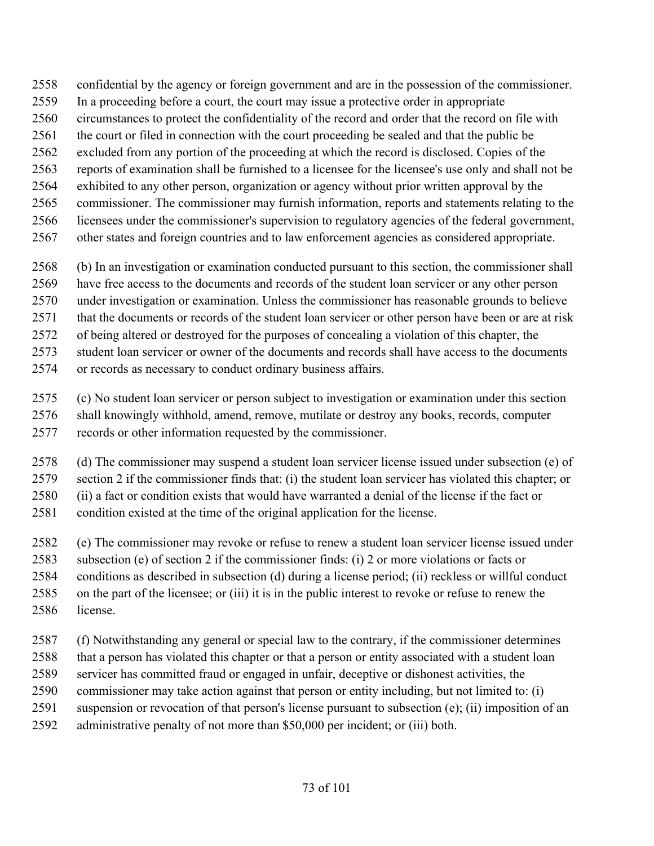- confidential by the agency or foreign government and are in the possession of the commissioner.
- In a proceeding before a court, the court may issue a protective order in appropriate
- circumstances to protect the confidentiality of the record and order that the record on file with
- the court or filed in connection with the court proceeding be sealed and that the public be
- excluded from any portion of the proceeding at which the record is disclosed. Copies of the
- reports of examination shall be furnished to a licensee for the licensee's use only and shall not be
- exhibited to any other person, organization or agency without prior written approval by the
- commissioner. The commissioner may furnish information, reports and statements relating to the
- licensees under the commissioner's supervision to regulatory agencies of the federal government,
- other states and foreign countries and to law enforcement agencies as considered appropriate.
- (b) In an investigation or examination conducted pursuant to this section, the commissioner shall
- have free access to the documents and records of the student loan servicer or any other person
- under investigation or examination. Unless the commissioner has reasonable grounds to believe
- that the documents or records of the student loan servicer or other person have been or are at risk
- of being altered or destroyed for the purposes of concealing a violation of this chapter, the
- student loan servicer or owner of the documents and records shall have access to the documents
- or records as necessary to conduct ordinary business affairs.
- (c) No student loan servicer or person subject to investigation or examination under this section shall knowingly withhold, amend, remove, mutilate or destroy any books, records, computer records or other information requested by the commissioner.
- (d) The commissioner may suspend a student loan servicer license issued under subsection (e) of section 2 if the commissioner finds that: (i) the student loan servicer has violated this chapter; or (ii) a fact or condition exists that would have warranted a denial of the license if the fact or
- condition existed at the time of the original application for the license.
- (e) The commissioner may revoke or refuse to renew a student loan servicer license issued under subsection (e) of section 2 if the commissioner finds: (i) 2 or more violations or facts or conditions as described in subsection (d) during a license period; (ii) reckless or willful conduct on the part of the licensee; or (iii) it is in the public interest to revoke or refuse to renew the license.
- (f) Notwithstanding any general or special law to the contrary, if the commissioner determines that a person has violated this chapter or that a person or entity associated with a student loan servicer has committed fraud or engaged in unfair, deceptive or dishonest activities, the commissioner may take action against that person or entity including, but not limited to: (i) suspension or revocation of that person's license pursuant to subsection (e); (ii) imposition of an
- administrative penalty of not more than \$50,000 per incident; or (iii) both.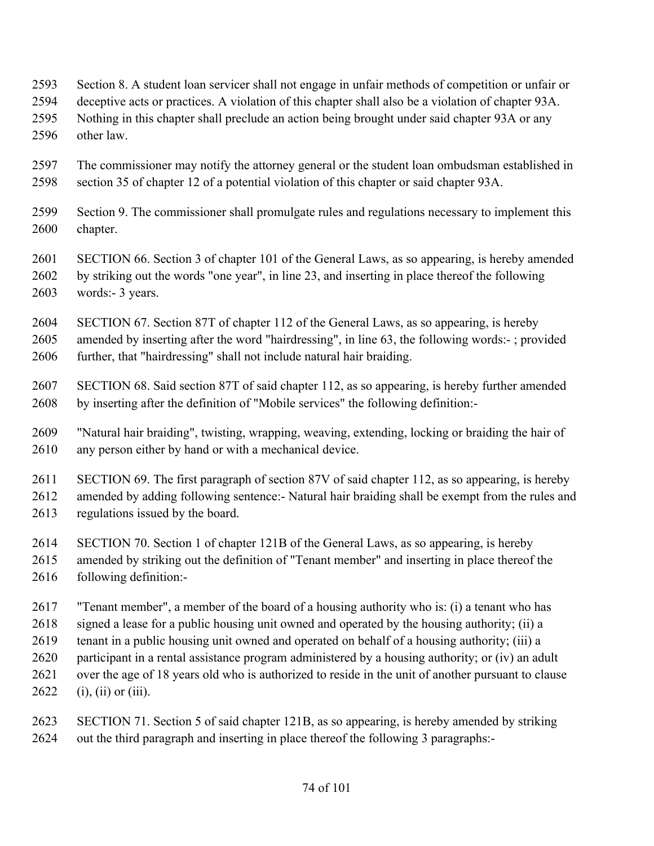- Section 8. A student loan servicer shall not engage in unfair methods of competition or unfair or
- deceptive acts or practices. A violation of this chapter shall also be a violation of chapter 93A.
- Nothing in this chapter shall preclude an action being brought under said chapter 93A or any other law.
- The commissioner may notify the attorney general or the student loan ombudsman established in section 35 of chapter 12 of a potential violation of this chapter or said chapter 93A.
- Section 9. The commissioner shall promulgate rules and regulations necessary to implement this chapter.
- SECTION 66. Section 3 of chapter 101 of the General Laws, as so appearing, is hereby amended by striking out the words "one year", in line 23, and inserting in place thereof the following words:- 3 years.
- SECTION 67. Section 87T of chapter 112 of the General Laws, as so appearing, is hereby amended by inserting after the word "hairdressing", in line 63, the following words:- ; provided further, that "hairdressing" shall not include natural hair braiding.
- SECTION 68. Said section 87T of said chapter 112, as so appearing, is hereby further amended by inserting after the definition of "Mobile services" the following definition:-
- "Natural hair braiding", twisting, wrapping, weaving, extending, locking or braiding the hair of any person either by hand or with a mechanical device.

 SECTION 69. The first paragraph of section 87V of said chapter 112, as so appearing, is hereby amended by adding following sentence:- Natural hair braiding shall be exempt from the rules and regulations issued by the board.

- SECTION 70. Section 1 of chapter 121B of the General Laws, as so appearing, is hereby
- amended by striking out the definition of "Tenant member" and inserting in place thereof the following definition:-
- "Tenant member", a member of the board of a housing authority who is: (i) a tenant who has
- signed a lease for a public housing unit owned and operated by the housing authority; (ii) a
- tenant in a public housing unit owned and operated on behalf of a housing authority; (iii) a
- participant in a rental assistance program administered by a housing authority; or (iv) an adult
- over the age of 18 years old who is authorized to reside in the unit of another pursuant to clause
- (i), (ii) or (iii).
- SECTION 71. Section 5 of said chapter 121B, as so appearing, is hereby amended by striking out the third paragraph and inserting in place thereof the following 3 paragraphs:-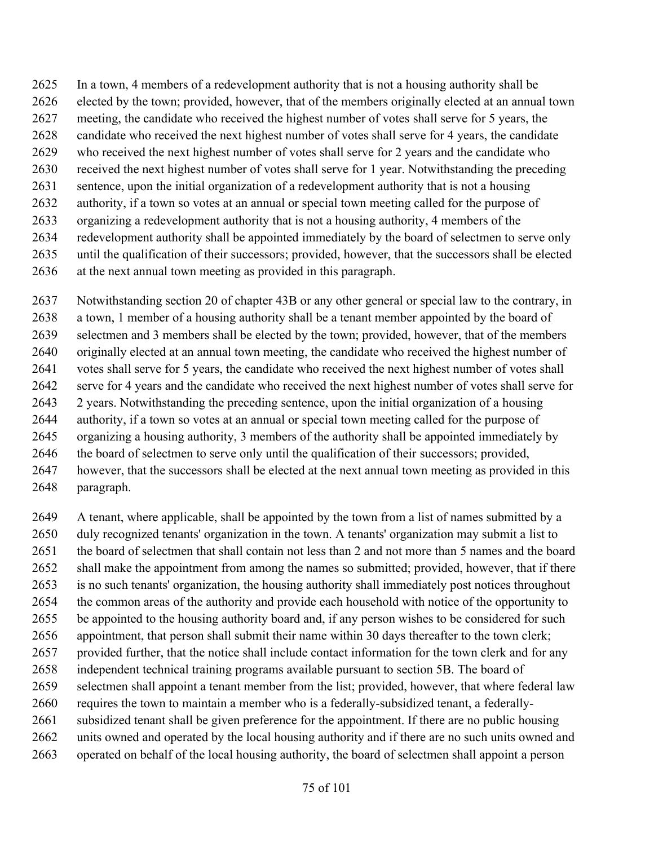- In a town, 4 members of a redevelopment authority that is not a housing authority shall be elected by the town; provided, however, that of the members originally elected at an annual town
- meeting, the candidate who received the highest number of votes shall serve for 5 years, the
- candidate who received the next highest number of votes shall serve for 4 years, the candidate
- who received the next highest number of votes shall serve for 2 years and the candidate who
- received the next highest number of votes shall serve for 1 year. Notwithstanding the preceding
- sentence, upon the initial organization of a redevelopment authority that is not a housing
- authority, if a town so votes at an annual or special town meeting called for the purpose of
- organizing a redevelopment authority that is not a housing authority, 4 members of the
- redevelopment authority shall be appointed immediately by the board of selectmen to serve only
- until the qualification of their successors; provided, however, that the successors shall be elected
- at the next annual town meeting as provided in this paragraph.
- Notwithstanding section 20 of chapter 43B or any other general or special law to the contrary, in a town, 1 member of a housing authority shall be a tenant member appointed by the board of selectmen and 3 members shall be elected by the town; provided, however, that of the members originally elected at an annual town meeting, the candidate who received the highest number of votes shall serve for 5 years, the candidate who received the next highest number of votes shall serve for 4 years and the candidate who received the next highest number of votes shall serve for 2 years. Notwithstanding the preceding sentence, upon the initial organization of a housing authority, if a town so votes at an annual or special town meeting called for the purpose of organizing a housing authority, 3 members of the authority shall be appointed immediately by the board of selectmen to serve only until the qualification of their successors; provided, however, that the successors shall be elected at the next annual town meeting as provided in this
- paragraph.
- A tenant, where applicable, shall be appointed by the town from a list of names submitted by a duly recognized tenants' organization in the town. A tenants' organization may submit a list to the board of selectmen that shall contain not less than 2 and not more than 5 names and the board shall make the appointment from among the names so submitted; provided, however, that if there is no such tenants' organization, the housing authority shall immediately post notices throughout the common areas of the authority and provide each household with notice of the opportunity to be appointed to the housing authority board and, if any person wishes to be considered for such appointment, that person shall submit their name within 30 days thereafter to the town clerk; provided further, that the notice shall include contact information for the town clerk and for any independent technical training programs available pursuant to section 5B. The board of selectmen shall appoint a tenant member from the list; provided, however, that where federal law requires the town to maintain a member who is a federally-subsidized tenant, a federally- subsidized tenant shall be given preference for the appointment. If there are no public housing units owned and operated by the local housing authority and if there are no such units owned and operated on behalf of the local housing authority, the board of selectmen shall appoint a person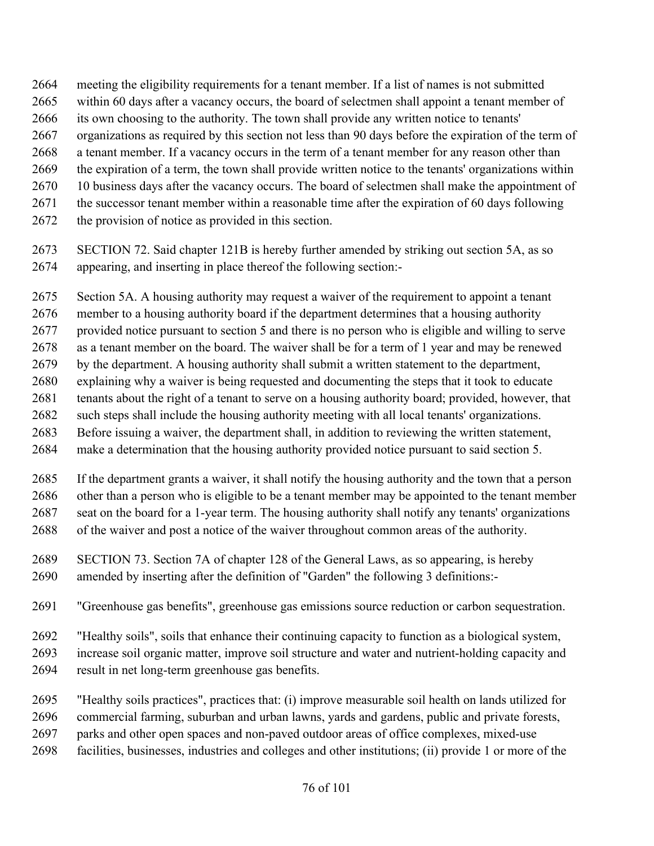- meeting the eligibility requirements for a tenant member. If a list of names is not submitted within 60 days after a vacancy occurs, the board of selectmen shall appoint a tenant member of its own choosing to the authority. The town shall provide any written notice to tenants'
- 
- organizations as required by this section not less than 90 days before the expiration of the term of
- a tenant member. If a vacancy occurs in the term of a tenant member for any reason other than the expiration of a term, the town shall provide written notice to the tenants' organizations within
- 10 business days after the vacancy occurs. The board of selectmen shall make the appointment of
- the successor tenant member within a reasonable time after the expiration of 60 days following
- the provision of notice as provided in this section.
- SECTION 72. Said chapter 121B is hereby further amended by striking out section 5A, as so appearing, and inserting in place thereof the following section:-
- Section 5A. A housing authority may request a waiver of the requirement to appoint a tenant
- member to a housing authority board if the department determines that a housing authority
- provided notice pursuant to section 5 and there is no person who is eligible and willing to serve
- as a tenant member on the board. The waiver shall be for a term of 1 year and may be renewed
- by the department. A housing authority shall submit a written statement to the department,
- explaining why a waiver is being requested and documenting the steps that it took to educate
- tenants about the right of a tenant to serve on a housing authority board; provided, however, that such steps shall include the housing authority meeting with all local tenants' organizations.
- Before issuing a waiver, the department shall, in addition to reviewing the written statement,
- make a determination that the housing authority provided notice pursuant to said section 5.
- If the department grants a waiver, it shall notify the housing authority and the town that a person other than a person who is eligible to be a tenant member may be appointed to the tenant member seat on the board for a 1-year term. The housing authority shall notify any tenants' organizations of the waiver and post a notice of the waiver throughout common areas of the authority.
- SECTION 73. Section 7A of chapter 128 of the General Laws, as so appearing, is hereby amended by inserting after the definition of "Garden" the following 3 definitions:-
- "Greenhouse gas benefits", greenhouse gas emissions source reduction or carbon sequestration.
- "Healthy soils", soils that enhance their continuing capacity to function as a biological system,
- increase soil organic matter, improve soil structure and water and nutrient-holding capacity and
- result in net long-term greenhouse gas benefits.
- "Healthy soils practices", practices that: (i) improve measurable soil health on lands utilized for
- commercial farming, suburban and urban lawns, yards and gardens, public and private forests,
- parks and other open spaces and non-paved outdoor areas of office complexes, mixed-use
- facilities, businesses, industries and colleges and other institutions; (ii) provide 1 or more of the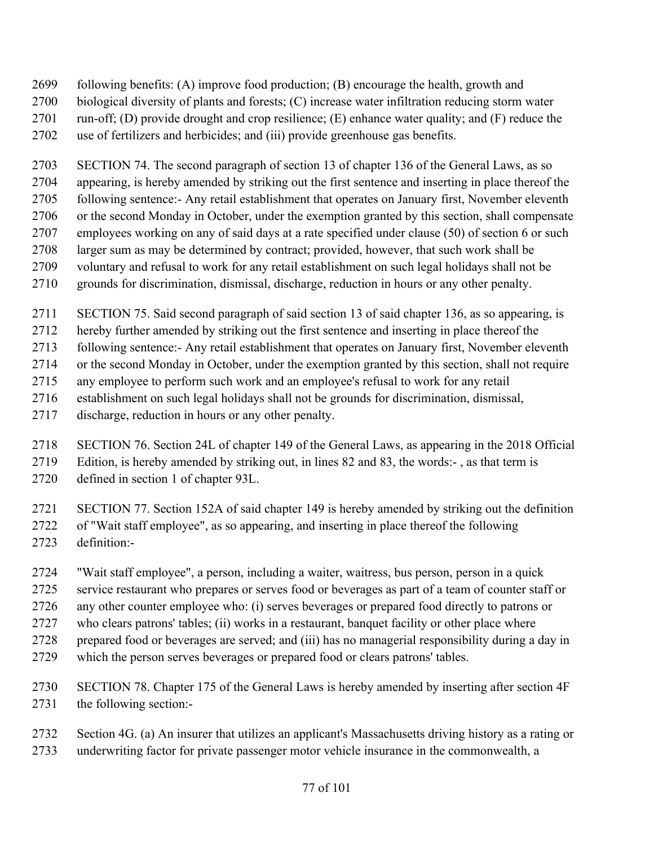- following benefits: (A) improve food production; (B) encourage the health, growth and
- biological diversity of plants and forests; (C) increase water infiltration reducing storm water
- 2701 run-off; (D) provide drought and crop resilience; (E) enhance water quality; and (F) reduce the
- use of fertilizers and herbicides; and (iii) provide greenhouse gas benefits.

 SECTION 74. The second paragraph of section 13 of chapter 136 of the General Laws, as so appearing, is hereby amended by striking out the first sentence and inserting in place thereof the following sentence:- Any retail establishment that operates on January first, November eleventh or the second Monday in October, under the exemption granted by this section, shall compensate employees working on any of said days at a rate specified under clause (50) of section 6 or such larger sum as may be determined by contract; provided, however, that such work shall be voluntary and refusal to work for any retail establishment on such legal holidays shall not be grounds for discrimination, dismissal, discharge, reduction in hours or any other penalty.

- SECTION 75. Said second paragraph of said section 13 of said chapter 136, as so appearing, is
- hereby further amended by striking out the first sentence and inserting in place thereof the
- following sentence:- Any retail establishment that operates on January first, November eleventh
- or the second Monday in October, under the exemption granted by this section, shall not require
- any employee to perform such work and an employee's refusal to work for any retail
- establishment on such legal holidays shall not be grounds for discrimination, dismissal,
- discharge, reduction in hours or any other penalty.
- SECTION 76. Section 24L of chapter 149 of the General Laws, as appearing in the 2018 Official Edition, is hereby amended by striking out, in lines 82 and 83, the words:- , as that term is
- defined in section 1 of chapter 93L.

 SECTION 77. Section 152A of said chapter 149 is hereby amended by striking out the definition of "Wait staff employee", as so appearing, and inserting in place thereof the following definition:-

- "Wait staff employee", a person, including a waiter, waitress, bus person, person in a quick
- service restaurant who prepares or serves food or beverages as part of a team of counter staff or
- any other counter employee who: (i) serves beverages or prepared food directly to patrons or
- who clears patrons' tables; (ii) works in a restaurant, banquet facility or other place where
- prepared food or beverages are served; and (iii) has no managerial responsibility during a day in
- which the person serves beverages or prepared food or clears patrons' tables.
- SECTION 78. Chapter 175 of the General Laws is hereby amended by inserting after section 4F the following section:-
- Section 4G. (a) An insurer that utilizes an applicant's Massachusetts driving history as a rating or
- underwriting factor for private passenger motor vehicle insurance in the commonwealth, a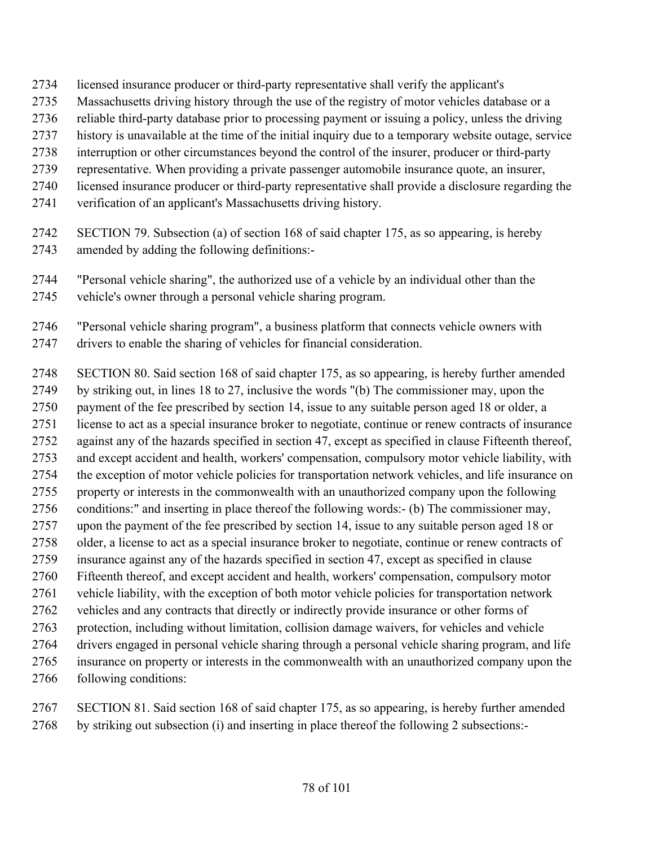- licensed insurance producer or third-party representative shall verify the applicant's
- Massachusetts driving history through the use of the registry of motor vehicles database or a
- reliable third-party database prior to processing payment or issuing a policy, unless the driving
- history is unavailable at the time of the initial inquiry due to a temporary website outage, service
- interruption or other circumstances beyond the control of the insurer, producer or third-party
- representative. When providing a private passenger automobile insurance quote, an insurer,
- licensed insurance producer or third-party representative shall provide a disclosure regarding the
- verification of an applicant's Massachusetts driving history.
- SECTION 79. Subsection (a) of section 168 of said chapter 175, as so appearing, is hereby amended by adding the following definitions:-
- "Personal vehicle sharing", the authorized use of a vehicle by an individual other than the vehicle's owner through a personal vehicle sharing program.
- "Personal vehicle sharing program", a business platform that connects vehicle owners with drivers to enable the sharing of vehicles for financial consideration.
- SECTION 80. Said section 168 of said chapter 175, as so appearing, is hereby further amended by striking out, in lines 18 to 27, inclusive the words "(b) The commissioner may, upon the payment of the fee prescribed by section 14, issue to any suitable person aged 18 or older, a license to act as a special insurance broker to negotiate, continue or renew contracts of insurance against any of the hazards specified in section 47, except as specified in clause Fifteenth thereof, and except accident and health, workers' compensation, compulsory motor vehicle liability, with the exception of motor vehicle policies for transportation network vehicles, and life insurance on property or interests in the commonwealth with an unauthorized company upon the following conditions:" and inserting in place thereof the following words:- (b) The commissioner may, upon the payment of the fee prescribed by section 14, issue to any suitable person aged 18 or older, a license to act as a special insurance broker to negotiate, continue or renew contracts of insurance against any of the hazards specified in section 47, except as specified in clause Fifteenth thereof, and except accident and health, workers' compensation, compulsory motor vehicle liability, with the exception of both motor vehicle policies for transportation network vehicles and any contracts that directly or indirectly provide insurance or other forms of protection, including without limitation, collision damage waivers, for vehicles and vehicle drivers engaged in personal vehicle sharing through a personal vehicle sharing program, and life insurance on property or interests in the commonwealth with an unauthorized company upon the following conditions:
- SECTION 81. Said section 168 of said chapter 175, as so appearing, is hereby further amended by striking out subsection (i) and inserting in place thereof the following 2 subsections:-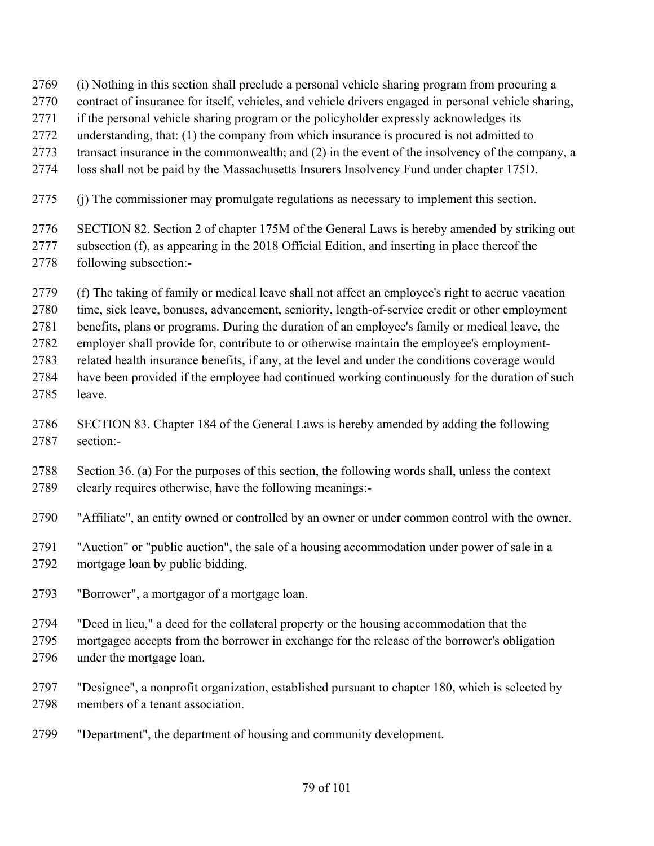- (i) Nothing in this section shall preclude a personal vehicle sharing program from procuring a
- contract of insurance for itself, vehicles, and vehicle drivers engaged in personal vehicle sharing,
- 2771 if the personal vehicle sharing program or the policyholder expressly acknowledges its
- understanding, that: (1) the company from which insurance is procured is not admitted to
- transact insurance in the commonwealth; and (2) in the event of the insolvency of the company, a
- loss shall not be paid by the Massachusetts Insurers Insolvency Fund under chapter 175D.
- (j) The commissioner may promulgate regulations as necessary to implement this section.
- SECTION 82. Section 2 of chapter 175M of the General Laws is hereby amended by striking out subsection (f), as appearing in the 2018 Official Edition, and inserting in place thereof the following subsection:-
- (f) The taking of family or medical leave shall not affect an employee's right to accrue vacation
- time, sick leave, bonuses, advancement, seniority, length-of-service credit or other employment
- benefits, plans or programs. During the duration of an employee's family or medical leave, the
- employer shall provide for, contribute to or otherwise maintain the employee's employment-
- related health insurance benefits, if any, at the level and under the conditions coverage would have been provided if the employee had continued working continuously for the duration of such
- leave.
- SECTION 83. Chapter 184 of the General Laws is hereby amended by adding the following section:-
- Section 36. (a) For the purposes of this section, the following words shall, unless the context clearly requires otherwise, have the following meanings:-
- "Affiliate", an entity owned or controlled by an owner or under common control with the owner.
- "Auction" or "public auction", the sale of a housing accommodation under power of sale in a mortgage loan by public bidding.
- "Borrower", a mortgagor of a mortgage loan.
- "Deed in lieu," a deed for the collateral property or the housing accommodation that the
- mortgagee accepts from the borrower in exchange for the release of the borrower's obligation under the mortgage loan.
- "Designee", a nonprofit organization, established pursuant to chapter 180, which is selected by members of a tenant association.
- "Department", the department of housing and community development.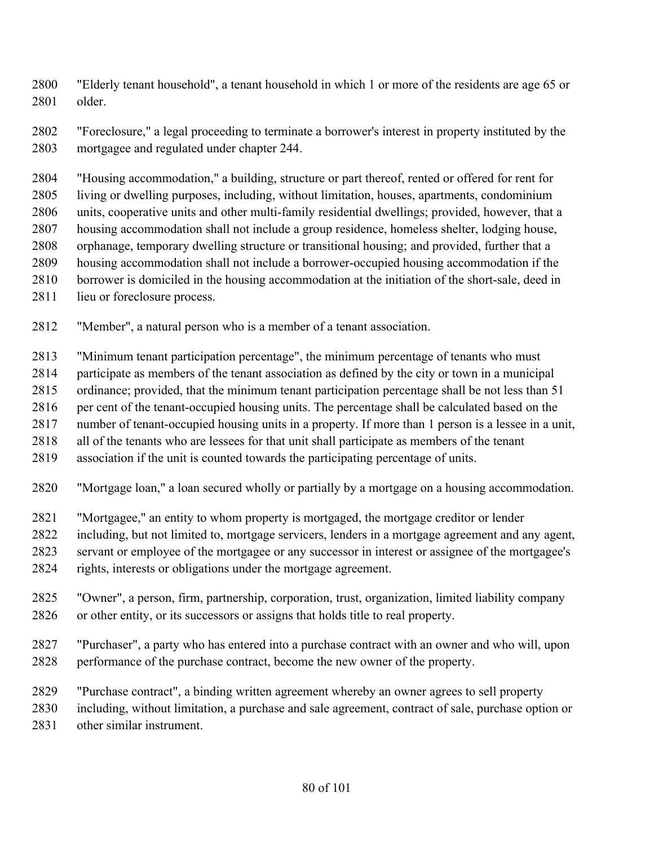"Elderly tenant household", a tenant household in which 1 or more of the residents are age 65 or older.

 "Foreclosure," a legal proceeding to terminate a borrower's interest in property instituted by the mortgagee and regulated under chapter 244.

 "Housing accommodation," a building, structure or part thereof, rented or offered for rent for living or dwelling purposes, including, without limitation, houses, apartments, condominium units, cooperative units and other multi-family residential dwellings; provided, however, that a housing accommodation shall not include a group residence, homeless shelter, lodging house, orphanage, temporary dwelling structure or transitional housing; and provided, further that a housing accommodation shall not include a borrower-occupied housing accommodation if the borrower is domiciled in the housing accommodation at the initiation of the short-sale, deed in

- 2811 lieu or foreclosure process.
- "Member", a natural person who is a member of a tenant association.

"Minimum tenant participation percentage", the minimum percentage of tenants who must

participate as members of the tenant association as defined by the city or town in a municipal

ordinance; provided, that the minimum tenant participation percentage shall be not less than 51

per cent of the tenant-occupied housing units. The percentage shall be calculated based on the

number of tenant-occupied housing units in a property. If more than 1 person is a lessee in a unit,

all of the tenants who are lessees for that unit shall participate as members of the tenant

association if the unit is counted towards the participating percentage of units.

"Mortgage loan," a loan secured wholly or partially by a mortgage on a housing accommodation.

- "Mortgagee," an entity to whom property is mortgaged, the mortgage creditor or lender
- including, but not limited to, mortgage servicers, lenders in a mortgage agreement and any agent,
- servant or employee of the mortgagee or any successor in interest or assignee of the mortgagee's
- rights, interests or obligations under the mortgage agreement.
- "Owner", a person, firm, partnership, corporation, trust, organization, limited liability company or other entity, or its successors or assigns that holds title to real property.
- "Purchaser", a party who has entered into a purchase contract with an owner and who will, upon performance of the purchase contract, become the new owner of the property.
- "Purchase contract", a binding written agreement whereby an owner agrees to sell property

including, without limitation, a purchase and sale agreement, contract of sale, purchase option or

other similar instrument.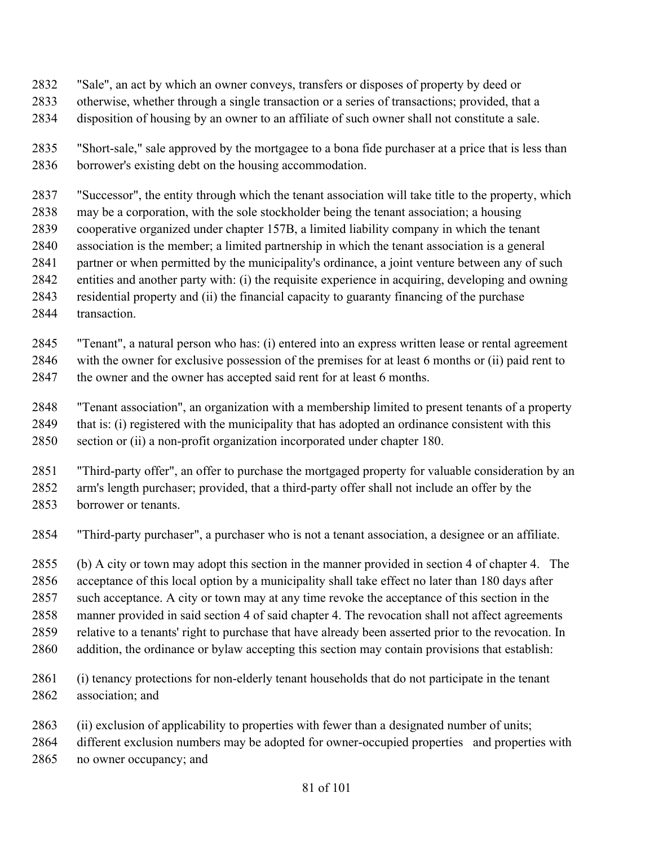- "Sale", an act by which an owner conveys, transfers or disposes of property by deed or
- otherwise, whether through a single transaction or a series of transactions; provided, that a
- disposition of housing by an owner to an affiliate of such owner shall not constitute a sale.
- "Short-sale," sale approved by the mortgagee to a bona fide purchaser at a price that is less than borrower's existing debt on the housing accommodation.
- "Successor", the entity through which the tenant association will take title to the property, which
- may be a corporation, with the sole stockholder being the tenant association; a housing
- cooperative organized under chapter 157B, a limited liability company in which the tenant
- association is the member; a limited partnership in which the tenant association is a general partner or when permitted by the municipality's ordinance, a joint venture between any of such
- entities and another party with: (i) the requisite experience in acquiring, developing and owning
- residential property and (ii) the financial capacity to guaranty financing of the purchase
- 2844 transaction
- "Tenant", a natural person who has: (i) entered into an express written lease or rental agreement with the owner for exclusive possession of the premises for at least 6 months or (ii) paid rent to 2847 the owner and the owner has accepted said rent for at least 6 months.
- "Tenant association", an organization with a membership limited to present tenants of a property
- that is: (i) registered with the municipality that has adopted an ordinance consistent with this section or (ii) a non-profit organization incorporated under chapter 180.
- "Third-party offer", an offer to purchase the mortgaged property for valuable consideration by an arm's length purchaser; provided, that a third-party offer shall not include an offer by the borrower or tenants.
- "Third-party purchaser", a purchaser who is not a tenant association, a designee or an affiliate.
- (b) A city or town may adopt this section in the manner provided in section 4 of chapter 4. The acceptance of this local option by a municipality shall take effect no later than 180 days after such acceptance. A city or town may at any time revoke the acceptance of this section in the manner provided in said section 4 of said chapter 4. The revocation shall not affect agreements relative to a tenants' right to purchase that have already been asserted prior to the revocation. In addition, the ordinance or bylaw accepting this section may contain provisions that establish:
- (i) tenancy protections for non-elderly tenant households that do not participate in the tenant association; and
- (ii) exclusion of applicability to properties with fewer than a designated number of units;
- different exclusion numbers may be adopted for owner-occupied properties and properties with no owner occupancy; and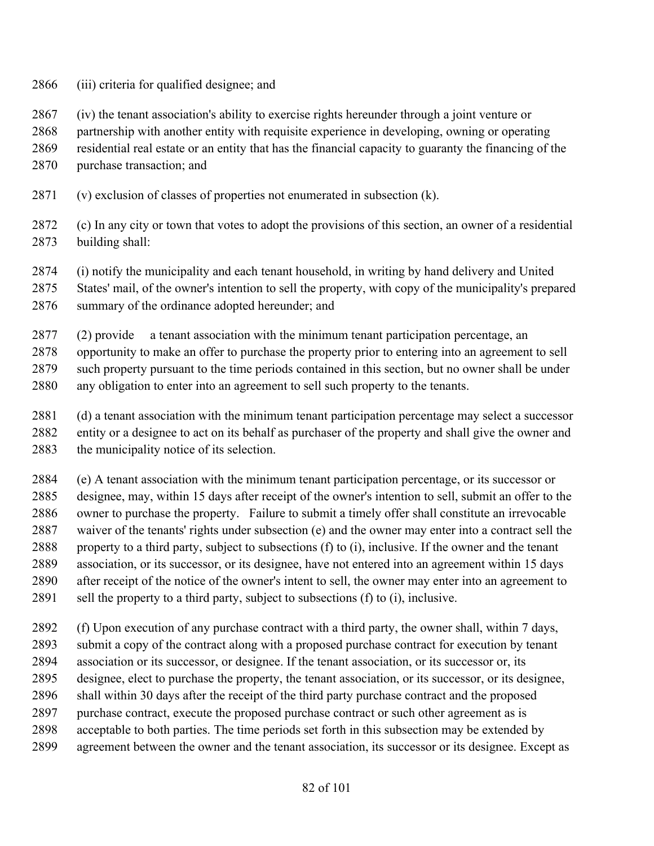- (iii) criteria for qualified designee; and
- (iv) the tenant association's ability to exercise rights hereunder through a joint venture or

partnership with another entity with requisite experience in developing, owning or operating

- residential real estate or an entity that has the financial capacity to guaranty the financing of the
- purchase transaction; and
- (v) exclusion of classes of properties not enumerated in subsection (k).
- (c) In any city or town that votes to adopt the provisions of this section, an owner of a residential building shall:
- (i) notify the municipality and each tenant household, in writing by hand delivery and United
- States' mail, of the owner's intention to sell the property, with copy of the municipality's prepared
- summary of the ordinance adopted hereunder; and
- (2) provide a tenant association with the minimum tenant participation percentage, an
- opportunity to make an offer to purchase the property prior to entering into an agreement to sell such property pursuant to the time periods contained in this section, but no owner shall be under any obligation to enter into an agreement to sell such property to the tenants.
- (d) a tenant association with the minimum tenant participation percentage may select a successor entity or a designee to act on its behalf as purchaser of the property and shall give the owner and the municipality notice of its selection.
- (e) A tenant association with the minimum tenant participation percentage, or its successor or designee, may, within 15 days after receipt of the owner's intention to sell, submit an offer to the owner to purchase the property. Failure to submit a timely offer shall constitute an irrevocable waiver of the tenants' rights under subsection (e) and the owner may enter into a contract sell the property to a third party, subject to subsections (f) to (i), inclusive. If the owner and the tenant association, or its successor, or its designee, have not entered into an agreement within 15 days after receipt of the notice of the owner's intent to sell, the owner may enter into an agreement to sell the property to a third party, subject to subsections (f) to (i), inclusive.
- (f) Upon execution of any purchase contract with a third party, the owner shall, within 7 days, submit a copy of the contract along with a proposed purchase contract for execution by tenant association or its successor, or designee. If the tenant association, or its successor or, its designee, elect to purchase the property, the tenant association, or its successor, or its designee, shall within 30 days after the receipt of the third party purchase contract and the proposed purchase contract, execute the proposed purchase contract or such other agreement as is acceptable to both parties. The time periods set forth in this subsection may be extended by
- agreement between the owner and the tenant association, its successor or its designee. Except as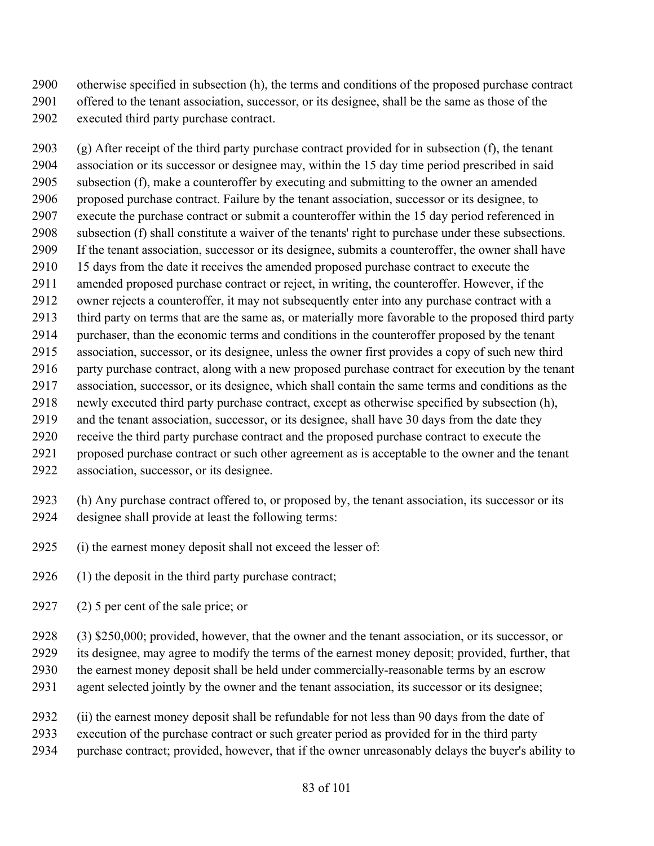otherwise specified in subsection (h), the terms and conditions of the proposed purchase contract offered to the tenant association, successor, or its designee, shall be the same as those of the executed third party purchase contract.

 (g) After receipt of the third party purchase contract provided for in subsection (f), the tenant association or its successor or designee may, within the 15 day time period prescribed in said subsection (f), make a counteroffer by executing and submitting to the owner an amended proposed purchase contract. Failure by the tenant association, successor or its designee, to execute the purchase contract or submit a counteroffer within the 15 day period referenced in subsection (f) shall constitute a waiver of the tenants' right to purchase under these subsections. If the tenant association, successor or its designee, submits a counteroffer, the owner shall have 15 days from the date it receives the amended proposed purchase contract to execute the amended proposed purchase contract or reject, in writing, the counteroffer. However, if the owner rejects a counteroffer, it may not subsequently enter into any purchase contract with a third party on terms that are the same as, or materially more favorable to the proposed third party purchaser, than the economic terms and conditions in the counteroffer proposed by the tenant association, successor, or its designee, unless the owner first provides a copy of such new third party purchase contract, along with a new proposed purchase contract for execution by the tenant association, successor, or its designee, which shall contain the same terms and conditions as the newly executed third party purchase contract, except as otherwise specified by subsection (h), and the tenant association, successor, or its designee, shall have 30 days from the date they receive the third party purchase contract and the proposed purchase contract to execute the proposed purchase contract or such other agreement as is acceptable to the owner and the tenant

association, successor, or its designee.

 (h) Any purchase contract offered to, or proposed by, the tenant association, its successor or its designee shall provide at least the following terms:

- (i) the earnest money deposit shall not exceed the lesser of:
- (1) the deposit in the third party purchase contract;
- (2) 5 per cent of the sale price; or

(3) \$250,000; provided, however, that the owner and the tenant association, or its successor, or

its designee, may agree to modify the terms of the earnest money deposit; provided, further, that

- the earnest money deposit shall be held under commercially-reasonable terms by an escrow
- agent selected jointly by the owner and the tenant association, its successor or its designee;
- (ii) the earnest money deposit shall be refundable for not less than 90 days from the date of
- execution of the purchase contract or such greater period as provided for in the third party
- purchase contract; provided, however, that if the owner unreasonably delays the buyer's ability to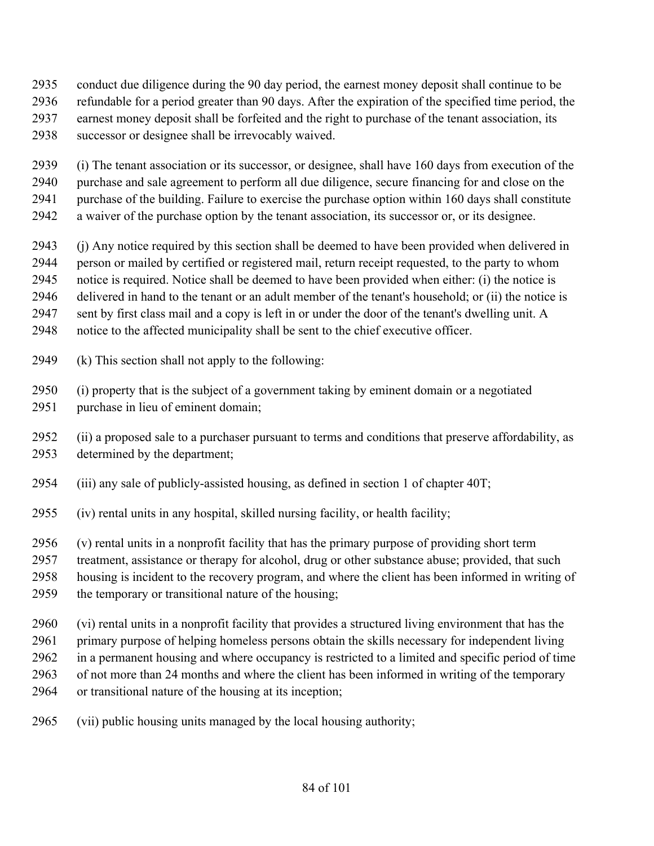- conduct due diligence during the 90 day period, the earnest money deposit shall continue to be
- refundable for a period greater than 90 days. After the expiration of the specified time period, the
- earnest money deposit shall be forfeited and the right to purchase of the tenant association, its
- successor or designee shall be irrevocably waived.
- (i) The tenant association or its successor, or designee, shall have 160 days from execution of the
- purchase and sale agreement to perform all due diligence, secure financing for and close on the
- purchase of the building. Failure to exercise the purchase option within 160 days shall constitute
- a waiver of the purchase option by the tenant association, its successor or, or its designee.
- (j) Any notice required by this section shall be deemed to have been provided when delivered in
- person or mailed by certified or registered mail, return receipt requested, to the party to whom
- notice is required. Notice shall be deemed to have been provided when either: (i) the notice is
- delivered in hand to the tenant or an adult member of the tenant's household; or (ii) the notice is
- sent by first class mail and a copy is left in or under the door of the tenant's dwelling unit. A
- notice to the affected municipality shall be sent to the chief executive officer.
- (k) This section shall not apply to the following:
- (i) property that is the subject of a government taking by eminent domain or a negotiated purchase in lieu of eminent domain;
- (ii) a proposed sale to a purchaser pursuant to terms and conditions that preserve affordability, as determined by the department;
- (iii) any sale of publicly-assisted housing, as defined in section 1 of chapter 40T;
- (iv) rental units in any hospital, skilled nursing facility, or health facility;
- (v) rental units in a nonprofit facility that has the primary purpose of providing short term
- treatment, assistance or therapy for alcohol, drug or other substance abuse; provided, that such
- housing is incident to the recovery program, and where the client has been informed in writing of
- the temporary or transitional nature of the housing;
- (vi) rental units in a nonprofit facility that provides a structured living environment that has the
- primary purpose of helping homeless persons obtain the skills necessary for independent living
- in a permanent housing and where occupancy is restricted to a limited and specific period of time
- of not more than 24 months and where the client has been informed in writing of the temporary
- or transitional nature of the housing at its inception;
- (vii) public housing units managed by the local housing authority;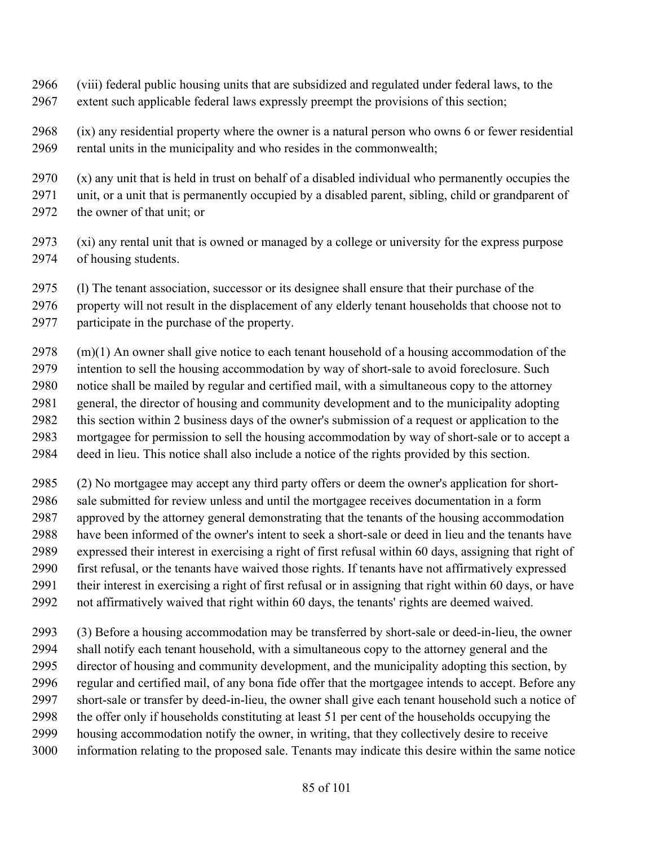- (viii) federal public housing units that are subsidized and regulated under federal laws, to the extent such applicable federal laws expressly preempt the provisions of this section;
- (ix) any residential property where the owner is a natural person who owns 6 or fewer residential rental units in the municipality and who resides in the commonwealth;
- (x) any unit that is held in trust on behalf of a disabled individual who permanently occupies the unit, or a unit that is permanently occupied by a disabled parent, sibling, child or grandparent of the owner of that unit; or
- (xi) any rental unit that is owned or managed by a college or university for the express purpose of housing students.
- (l) The tenant association, successor or its designee shall ensure that their purchase of the
- property will not result in the displacement of any elderly tenant households that choose not to participate in the purchase of the property.
- (m)(1) An owner shall give notice to each tenant household of a housing accommodation of the intention to sell the housing accommodation by way of short-sale to avoid foreclosure. Such notice shall be mailed by regular and certified mail, with a simultaneous copy to the attorney general, the director of housing and community development and to the municipality adopting this section within 2 business days of the owner's submission of a request or application to the mortgagee for permission to sell the housing accommodation by way of short-sale or to accept a
- deed in lieu. This notice shall also include a notice of the rights provided by this section.
- (2) No mortgagee may accept any third party offers or deem the owner's application for short- sale submitted for review unless and until the mortgagee receives documentation in a form approved by the attorney general demonstrating that the tenants of the housing accommodation have been informed of the owner's intent to seek a short-sale or deed in lieu and the tenants have expressed their interest in exercising a right of first refusal within 60 days, assigning that right of first refusal, or the tenants have waived those rights. If tenants have not affirmatively expressed their interest in exercising a right of first refusal or in assigning that right within 60 days, or have not affirmatively waived that right within 60 days, the tenants' rights are deemed waived.
- (3) Before a housing accommodation may be transferred by short-sale or deed-in-lieu, the owner shall notify each tenant household, with a simultaneous copy to the attorney general and the director of housing and community development, and the municipality adopting this section, by regular and certified mail, of any bona fide offer that the mortgagee intends to accept. Before any short-sale or transfer by deed-in-lieu, the owner shall give each tenant household such a notice of the offer only if households constituting at least 51 per cent of the households occupying the housing accommodation notify the owner, in writing, that they collectively desire to receive information relating to the proposed sale. Tenants may indicate this desire within the same notice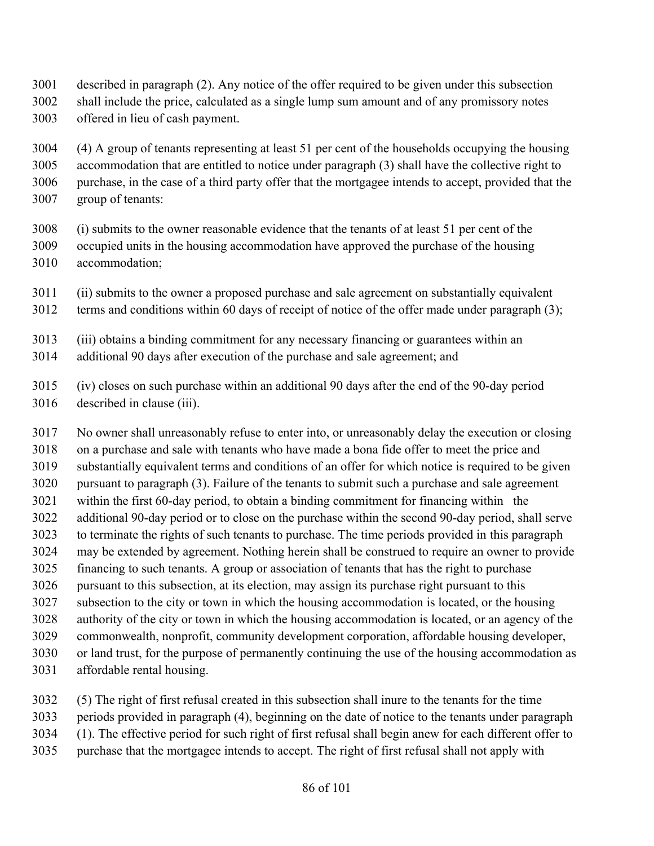- described in paragraph (2). Any notice of the offer required to be given under this subsection
- shall include the price, calculated as a single lump sum amount and of any promissory notes offered in lieu of cash payment.

 (4) A group of tenants representing at least 51 per cent of the households occupying the housing accommodation that are entitled to notice under paragraph (3) shall have the collective right to purchase, in the case of a third party offer that the mortgagee intends to accept, provided that the group of tenants:

- (i) submits to the owner reasonable evidence that the tenants of at least 51 per cent of the occupied units in the housing accommodation have approved the purchase of the housing accommodation;
- (ii) submits to the owner a proposed purchase and sale agreement on substantially equivalent
- terms and conditions within 60 days of receipt of notice of the offer made under paragraph (3);
- (iii) obtains a binding commitment for any necessary financing or guarantees within an
- additional 90 days after execution of the purchase and sale agreement; and
- (iv) closes on such purchase within an additional 90 days after the end of the 90-day period described in clause (iii).

 No owner shall unreasonably refuse to enter into, or unreasonably delay the execution or closing on a purchase and sale with tenants who have made a bona fide offer to meet the price and substantially equivalent terms and conditions of an offer for which notice is required to be given pursuant to paragraph (3). Failure of the tenants to submit such a purchase and sale agreement within the first 60-day period, to obtain a binding commitment for financing within the additional 90-day period or to close on the purchase within the second 90-day period, shall serve to terminate the rights of such tenants to purchase. The time periods provided in this paragraph may be extended by agreement. Nothing herein shall be construed to require an owner to provide financing to such tenants. A group or association of tenants that has the right to purchase pursuant to this subsection, at its election, may assign its purchase right pursuant to this subsection to the city or town in which the housing accommodation is located, or the housing authority of the city or town in which the housing accommodation is located, or an agency of the commonwealth, nonprofit, community development corporation, affordable housing developer, or land trust, for the purpose of permanently continuing the use of the housing accommodation as affordable rental housing.

- (5) The right of first refusal created in this subsection shall inure to the tenants for the time
- periods provided in paragraph (4), beginning on the date of notice to the tenants under paragraph
- (1). The effective period for such right of first refusal shall begin anew for each different offer to
- purchase that the mortgagee intends to accept. The right of first refusal shall not apply with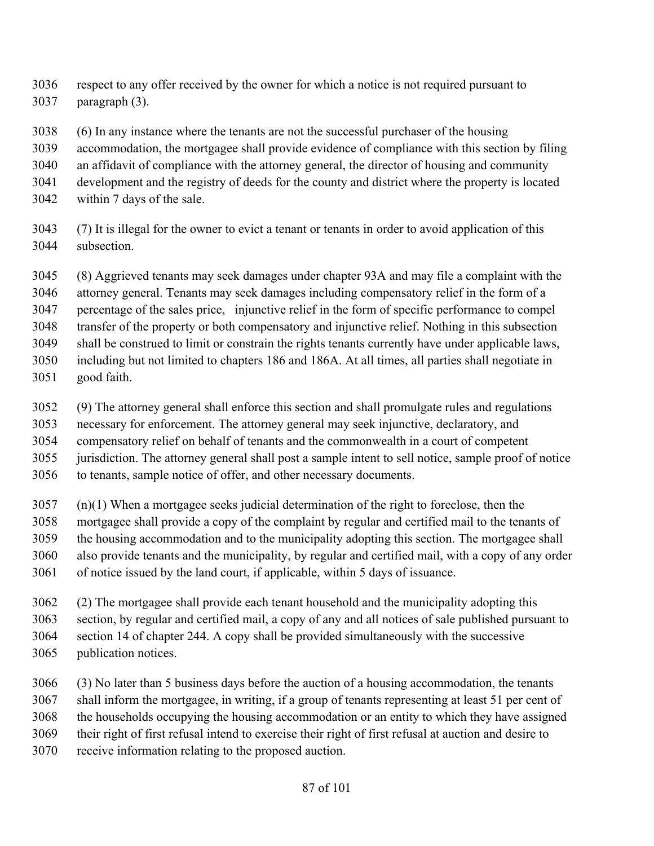respect to any offer received by the owner for which a notice is not required pursuant to paragraph (3).

- (6) In any instance where the tenants are not the successful purchaser of the housing
- accommodation, the mortgagee shall provide evidence of compliance with this section by filing
- an affidavit of compliance with the attorney general, the director of housing and community
- development and the registry of deeds for the county and district where the property is located
- within 7 days of the sale.
- (7) It is illegal for the owner to evict a tenant or tenants in order to avoid application of this subsection.
- (8) Aggrieved tenants may seek damages under chapter 93A and may file a complaint with the attorney general. Tenants may seek damages including compensatory relief in the form of a percentage of the sales price, injunctive relief in the form of specific performance to compel transfer of the property or both compensatory and injunctive relief. Nothing in this subsection shall be construed to limit or constrain the rights tenants currently have under applicable laws, including but not limited to chapters 186 and 186A. At all times, all parties shall negotiate in good faith.
- (9) The attorney general shall enforce this section and shall promulgate rules and regulations
- necessary for enforcement. The attorney general may seek injunctive, declaratory, and
- compensatory relief on behalf of tenants and the commonwealth in a court of competent
- jurisdiction. The attorney general shall post a sample intent to sell notice, sample proof of notice
- to tenants, sample notice of offer, and other necessary documents.
- (n)(1) When a mortgagee seeks judicial determination of the right to foreclose, then the mortgagee shall provide a copy of the complaint by regular and certified mail to the tenants of the housing accommodation and to the municipality adopting this section. The mortgagee shall also provide tenants and the municipality, by regular and certified mail, with a copy of any order of notice issued by the land court, if applicable, within 5 days of issuance.
- (2) The mortgagee shall provide each tenant household and the municipality adopting this section, by regular and certified mail, a copy of any and all notices of sale published pursuant to section 14 of chapter 244. A copy shall be provided simultaneously with the successive publication notices.
- (3) No later than 5 business days before the auction of a housing accommodation, the tenants shall inform the mortgagee, in writing, if a group of tenants representing at least 51 per cent of the households occupying the housing accommodation or an entity to which they have assigned their right of first refusal intend to exercise their right of first refusal at auction and desire to receive information relating to the proposed auction.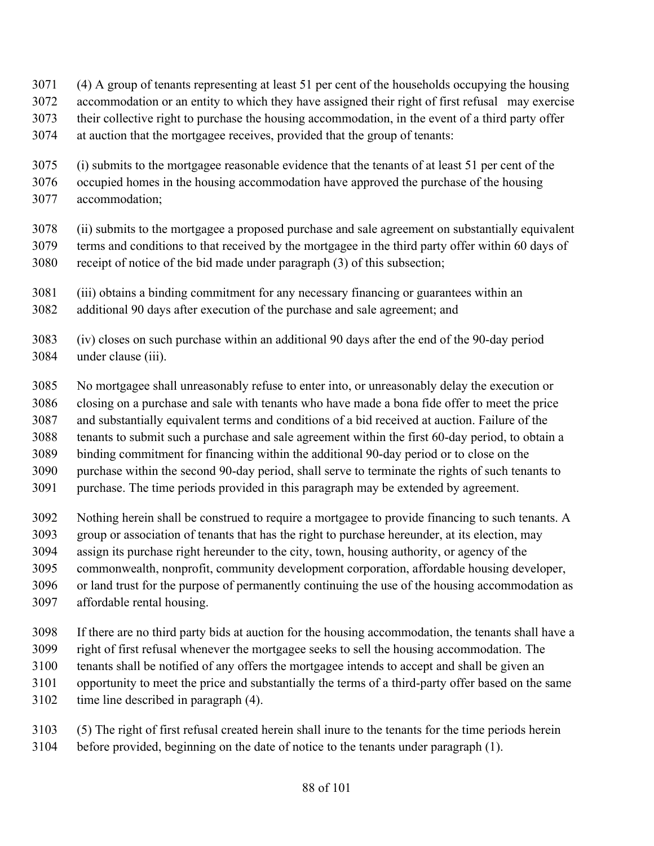- (4) A group of tenants representing at least 51 per cent of the households occupying the housing
- accommodation or an entity to which they have assigned their right of first refusal may exercise
- their collective right to purchase the housing accommodation, in the event of a third party offer
- at auction that the mortgagee receives, provided that the group of tenants:
- (i) submits to the mortgagee reasonable evidence that the tenants of at least 51 per cent of the
- occupied homes in the housing accommodation have approved the purchase of the housing
- accommodation;
- (ii) submits to the mortgagee a proposed purchase and sale agreement on substantially equivalent terms and conditions to that received by the mortgagee in the third party offer within 60 days of
- receipt of notice of the bid made under paragraph (3) of this subsection;
- (iii) obtains a binding commitment for any necessary financing or guarantees within an
- additional 90 days after execution of the purchase and sale agreement; and
- (iv) closes on such purchase within an additional 90 days after the end of the 90-day period under clause (iii).
- No mortgagee shall unreasonably refuse to enter into, or unreasonably delay the execution or
- closing on a purchase and sale with tenants who have made a bona fide offer to meet the price
- and substantially equivalent terms and conditions of a bid received at auction. Failure of the
- tenants to submit such a purchase and sale agreement within the first 60-day period, to obtain a
- binding commitment for financing within the additional 90-day period or to close on the
- purchase within the second 90-day period, shall serve to terminate the rights of such tenants to
- purchase. The time periods provided in this paragraph may be extended by agreement.
- Nothing herein shall be construed to require a mortgagee to provide financing to such tenants. A
- group or association of tenants that has the right to purchase hereunder, at its election, may
- assign its purchase right hereunder to the city, town, housing authority, or agency of the
- commonwealth, nonprofit, community development corporation, affordable housing developer,
- or land trust for the purpose of permanently continuing the use of the housing accommodation as affordable rental housing.
- If there are no third party bids at auction for the housing accommodation, the tenants shall have a
- right of first refusal whenever the mortgagee seeks to sell the housing accommodation. The
- tenants shall be notified of any offers the mortgagee intends to accept and shall be given an
- opportunity to meet the price and substantially the terms of a third-party offer based on the same
- time line described in paragraph (4).
- (5) The right of first refusal created herein shall inure to the tenants for the time periods herein before provided, beginning on the date of notice to the tenants under paragraph (1).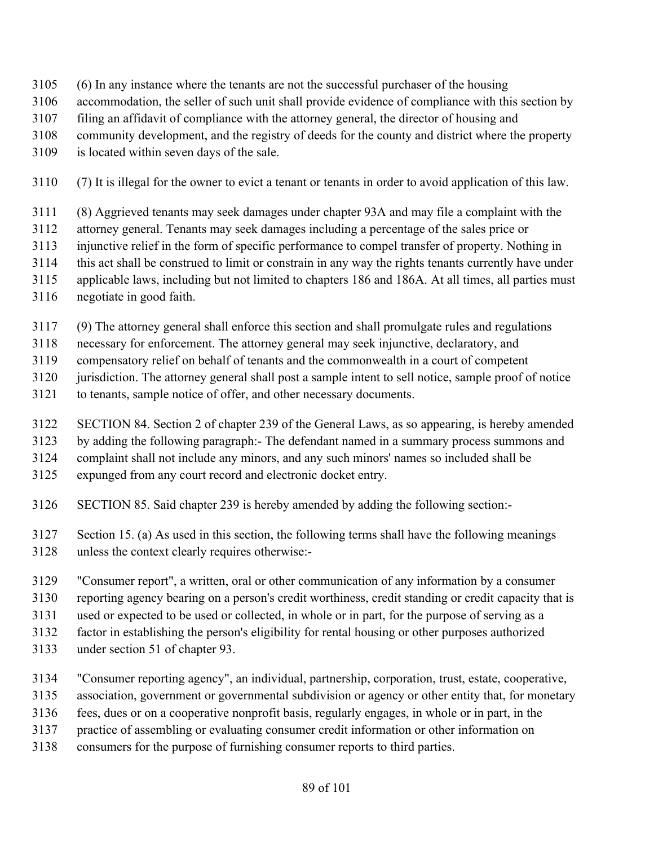- (6) In any instance where the tenants are not the successful purchaser of the housing
- accommodation, the seller of such unit shall provide evidence of compliance with this section by
- filing an affidavit of compliance with the attorney general, the director of housing and
- community development, and the registry of deeds for the county and district where the property
- is located within seven days of the sale.
- (7) It is illegal for the owner to evict a tenant or tenants in order to avoid application of this law.
- (8) Aggrieved tenants may seek damages under chapter 93A and may file a complaint with the
- attorney general. Tenants may seek damages including a percentage of the sales price or
- injunctive relief in the form of specific performance to compel transfer of property. Nothing in
- this act shall be construed to limit or constrain in any way the rights tenants currently have under
- applicable laws, including but not limited to chapters 186 and 186A. At all times, all parties must
- negotiate in good faith.
- (9) The attorney general shall enforce this section and shall promulgate rules and regulations
- necessary for enforcement. The attorney general may seek injunctive, declaratory, and
- compensatory relief on behalf of tenants and the commonwealth in a court of competent
- jurisdiction. The attorney general shall post a sample intent to sell notice, sample proof of notice
- to tenants, sample notice of offer, and other necessary documents.
- SECTION 84. Section 2 of chapter 239 of the General Laws, as so appearing, is hereby amended
- by adding the following paragraph:- The defendant named in a summary process summons and
- complaint shall not include any minors, and any such minors' names so included shall be
- expunged from any court record and electronic docket entry.
- SECTION 85. Said chapter 239 is hereby amended by adding the following section:-
- Section 15. (a) As used in this section, the following terms shall have the following meanings unless the context clearly requires otherwise:-
- "Consumer report", a written, oral or other communication of any information by a consumer
- reporting agency bearing on a person's credit worthiness, credit standing or credit capacity that is
- used or expected to be used or collected, in whole or in part, for the purpose of serving as a
- factor in establishing the person's eligibility for rental housing or other purposes authorized
- under section 51 of chapter 93.
- "Consumer reporting agency", an individual, partnership, corporation, trust, estate, cooperative,
- association, government or governmental subdivision or agency or other entity that, for monetary
- fees, dues or on a cooperative nonprofit basis, regularly engages, in whole or in part, in the
- practice of assembling or evaluating consumer credit information or other information on
- consumers for the purpose of furnishing consumer reports to third parties.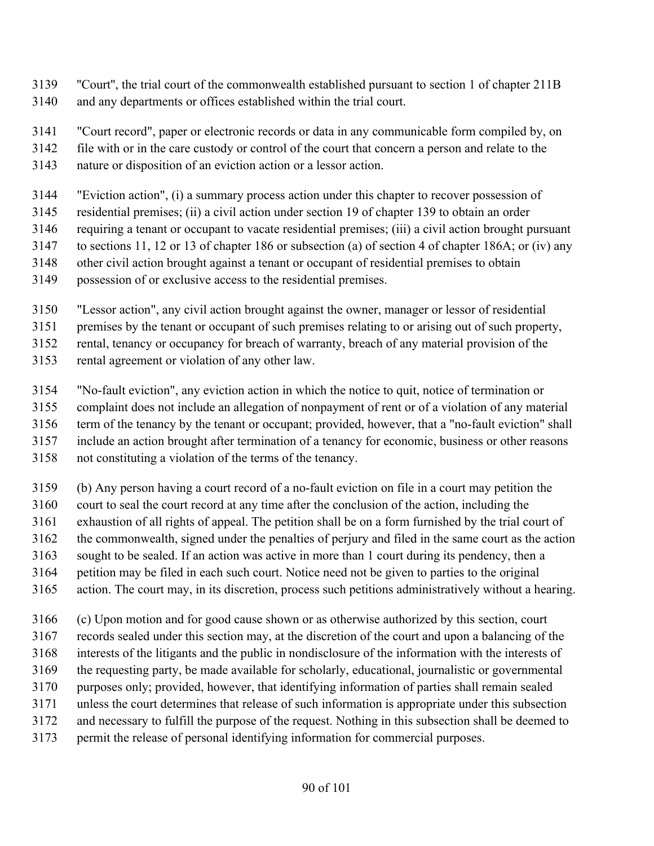- ''Court'', the trial court of the commonwealth established pursuant to section 1 of chapter 211B
- and any departments or offices established within the trial court.
- "Court record", paper or electronic records or data in any communicable form compiled by, on
- file with or in the care custody or control of the court that concern a person and relate to the
- nature or disposition of an eviction action or a lessor action.
- "Eviction action", (i) a summary process action under this chapter to recover possession of
- residential premises; (ii) a civil action under section 19 of chapter 139 to obtain an order
- requiring a tenant or occupant to vacate residential premises; (iii) a civil action brought pursuant
- to sections 11, 12 or 13 of chapter 186 or subsection (a) of section 4 of chapter 186A; or (iv) any
- other civil action brought against a tenant or occupant of residential premises to obtain
- possession of or exclusive access to the residential premises.
- "Lessor action", any civil action brought against the owner, manager or lessor of residential
- premises by the tenant or occupant of such premises relating to or arising out of such property,
- rental, tenancy or occupancy for breach of warranty, breach of any material provision of the
- rental agreement or violation of any other law.
- "No-fault eviction", any eviction action in which the notice to quit, notice of termination or
- complaint does not include an allegation of nonpayment of rent or of a violation of any material
- term of the tenancy by the tenant or occupant; provided, however, that a "no-fault eviction" shall
- include an action brought after termination of a tenancy for economic, business or other reasons
- not constituting a violation of the terms of the tenancy.
- (b) Any person having a court record of a no-fault eviction on file in a court may petition the
- court to seal the court record at any time after the conclusion of the action, including the
- exhaustion of all rights of appeal. The petition shall be on a form furnished by the trial court of
- the commonwealth, signed under the penalties of perjury and filed in the same court as the action
- sought to be sealed. If an action was active in more than 1 court during its pendency, then a
- petition may be filed in each such court. Notice need not be given to parties to the original
- action. The court may, in its discretion, process such petitions administratively without a hearing.
- (c) Upon motion and for good cause shown or as otherwise authorized by this section, court
- records sealed under this section may, at the discretion of the court and upon a balancing of the
- interests of the litigants and the public in nondisclosure of the information with the interests of
- the requesting party, be made available for scholarly, educational, journalistic or governmental
- purposes only; provided, however, that identifying information of parties shall remain sealed
- unless the court determines that release of such information is appropriate under this subsection
- and necessary to fulfill the purpose of the request. Nothing in this subsection shall be deemed to
- permit the release of personal identifying information for commercial purposes.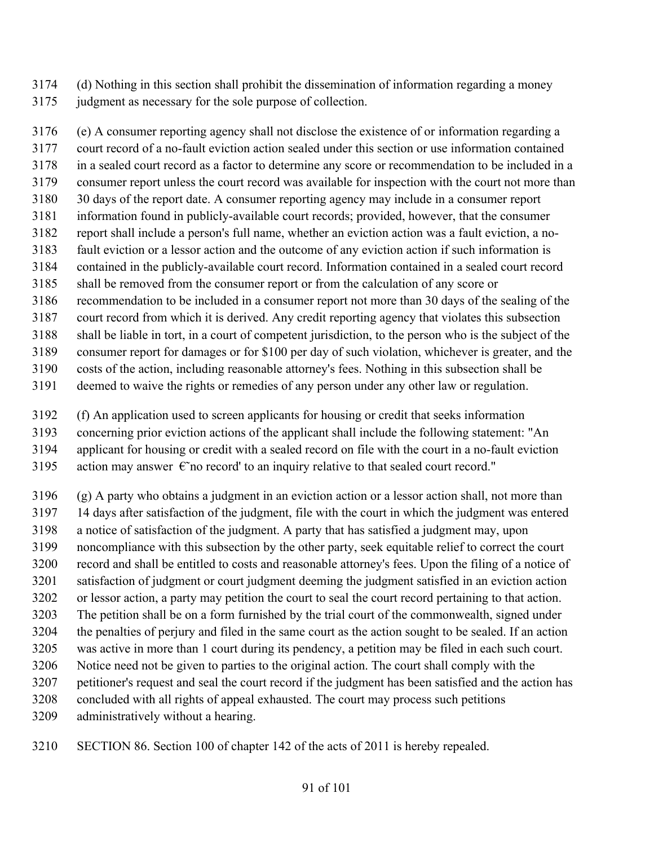- (d) Nothing in this section shall prohibit the dissemination of information regarding a money
- judgment as necessary for the sole purpose of collection.

 (e) A consumer reporting agency shall not disclose the existence of or information regarding a court record of a no-fault eviction action sealed under this section or use information contained in a sealed court record as a factor to determine any score or recommendation to be included in a consumer report unless the court record was available for inspection with the court not more than 30 days of the report date. A consumer reporting agency may include in a consumer report information found in publicly-available court records; provided, however, that the consumer report shall include a person's full name, whether an eviction action was a fault eviction, a no- fault eviction or a lessor action and the outcome of any eviction action if such information is contained in the publicly-available court record. Information contained in a sealed court record shall be removed from the consumer report or from the calculation of any score or recommendation to be included in a consumer report not more than 30 days of the sealing of the court record from which it is derived. Any credit reporting agency that violates this subsection shall be liable in tort, in a court of competent jurisdiction, to the person who is the subject of the consumer report for damages or for \$100 per day of such violation, whichever is greater, and the costs of the action, including reasonable attorney's fees. Nothing in this subsection shall be

- deemed to waive the rights or remedies of any person under any other law or regulation.
- (f) An application used to screen applicants for housing or credit that seeks information
- concerning prior eviction actions of the applicant shall include the following statement: "An
- applicant for housing or credit with a sealed record on file with the court in a no-fault eviction
- 3195 action may answer  $\epsilon$  no record' to an inquiry relative to that sealed court record."
- (g) A party who obtains a judgment in an eviction action or a lessor action shall, not more than
- 14 days after satisfaction of the judgment, file with the court in which the judgment was entered
- a notice of satisfaction of the judgment. A party that has satisfied a judgment may, upon
- noncompliance with this subsection by the other party, seek equitable relief to correct the court
- record and shall be entitled to costs and reasonable attorney's fees. Upon the filing of a notice of satisfaction of judgment or court judgment deeming the judgment satisfied in an eviction action
- or lessor action, a party may petition the court to seal the court record pertaining to that action.
- The petition shall be on a form furnished by the trial court of the commonwealth, signed under
- the penalties of perjury and filed in the same court as the action sought to be sealed. If an action
- was active in more than 1 court during its pendency, a petition may be filed in each such court.
- Notice need not be given to parties to the original action. The court shall comply with the petitioner's request and seal the court record if the judgment has been satisfied and the action has
- concluded with all rights of appeal exhausted. The court may process such petitions
- administratively without a hearing.
- SECTION 86. Section 100 of chapter 142 of the acts of 2011 is hereby repealed.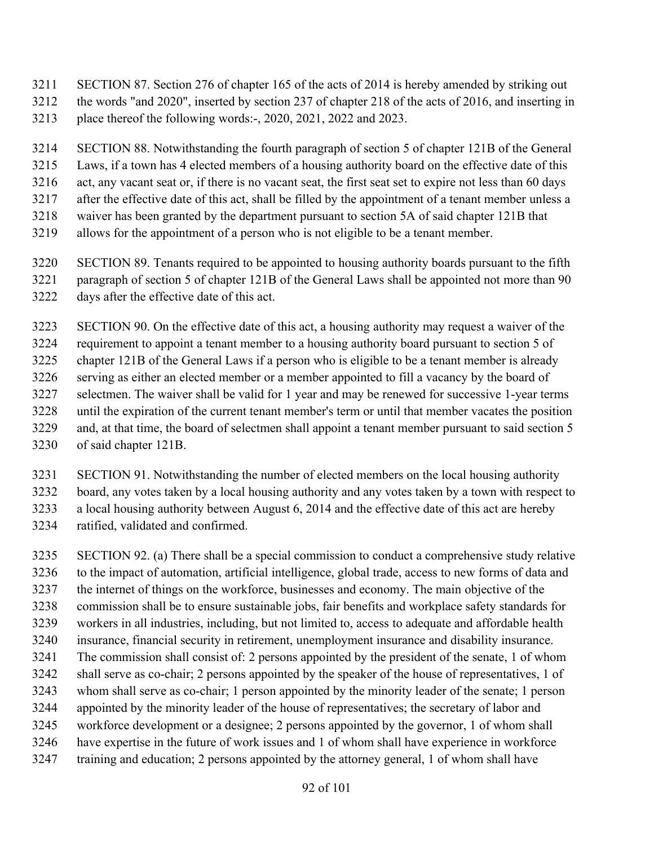- SECTION 87. Section 276 of chapter 165 of the acts of 2014 is hereby amended by striking out
- the words "and 2020", inserted by section 237 of chapter 218 of the acts of 2016, and inserting in
- place thereof the following words:-, 2020, 2021, 2022 and 2023.
- SECTION 88. Notwithstanding the fourth paragraph of section 5 of chapter 121B of the General
- Laws, if a town has 4 elected members of a housing authority board on the effective date of this
- act, any vacant seat or, if there is no vacant seat, the first seat set to expire not less than 60 days
- after the effective date of this act, shall be filled by the appointment of a tenant member unless a
- waiver has been granted by the department pursuant to section 5A of said chapter 121B that
- allows for the appointment of a person who is not eligible to be a tenant member.
- SECTION 89. Tenants required to be appointed to housing authority boards pursuant to the fifth paragraph of section 5 of chapter 121B of the General Laws shall be appointed not more than 90
- days after the effective date of this act.
- SECTION 90. On the effective date of this act, a housing authority may request a waiver of the
- requirement to appoint a tenant member to a housing authority board pursuant to section 5 of
- chapter 121B of the General Laws if a person who is eligible to be a tenant member is already
- serving as either an elected member or a member appointed to fill a vacancy by the board of
- selectmen. The waiver shall be valid for 1 year and may be renewed for successive 1-year terms
- until the expiration of the current tenant member's term or until that member vacates the position
- and, at that time, the board of selectmen shall appoint a tenant member pursuant to said section 5
- of said chapter 121B.
- SECTION 91. Notwithstanding the number of elected members on the local housing authority
- board, any votes taken by a local housing authority and any votes taken by a town with respect to
- a local housing authority between August 6, 2014 and the effective date of this act are hereby
- ratified, validated and confirmed.
- SECTION 92. (a) There shall be a special commission to conduct a comprehensive study relative to the impact of automation, artificial intelligence, global trade, access to new forms of data and the internet of things on the workforce, businesses and economy. The main objective of the commission shall be to ensure sustainable jobs, fair benefits and workplace safety standards for workers in all industries, including, but not limited to, access to adequate and affordable health insurance, financial security in retirement, unemployment insurance and disability insurance. The commission shall consist of: 2 persons appointed by the president of the senate, 1 of whom shall serve as co-chair; 2 persons appointed by the speaker of the house of representatives, 1 of whom shall serve as co-chair; 1 person appointed by the minority leader of the senate; 1 person appointed by the minority leader of the house of representatives; the secretary of labor and workforce development or a designee; 2 persons appointed by the governor, 1 of whom shall have expertise in the future of work issues and 1 of whom shall have experience in workforce training and education; 2 persons appointed by the attorney general, 1 of whom shall have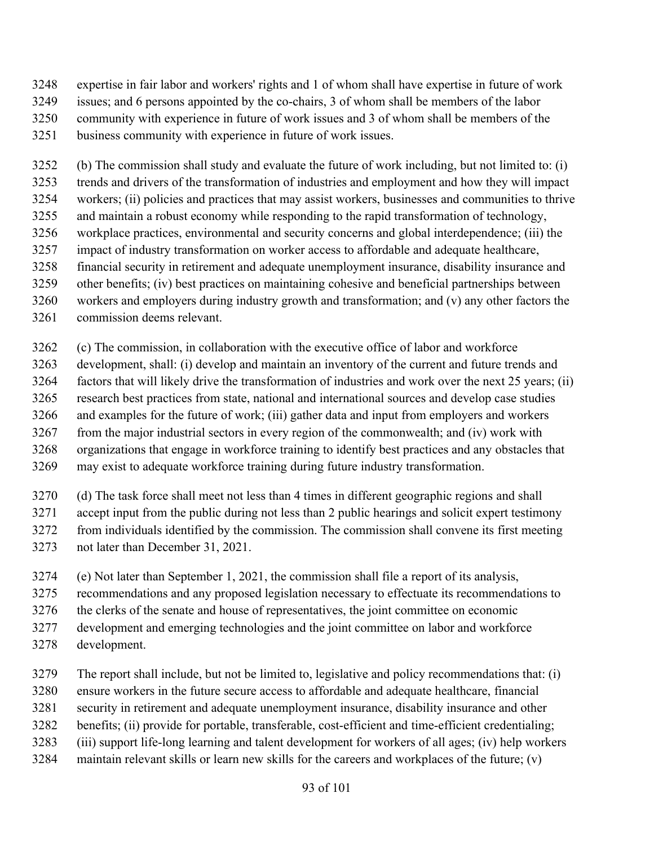- expertise in fair labor and workers' rights and 1 of whom shall have expertise in future of work issues; and 6 persons appointed by the co-chairs, 3 of whom shall be members of the labor
- community with experience in future of work issues and 3 of whom shall be members of the
- business community with experience in future of work issues.

 (b) The commission shall study and evaluate the future of work including, but not limited to: (i) trends and drivers of the transformation of industries and employment and how they will impact workers; (ii) policies and practices that may assist workers, businesses and communities to thrive and maintain a robust economy while responding to the rapid transformation of technology, workplace practices, environmental and security concerns and global interdependence; (iii) the impact of industry transformation on worker access to affordable and adequate healthcare, financial security in retirement and adequate unemployment insurance, disability insurance and other benefits; (iv) best practices on maintaining cohesive and beneficial partnerships between workers and employers during industry growth and transformation; and (v) any other factors the

commission deems relevant.

(c) The commission, in collaboration with the executive office of labor and workforce

 development, shall: (i) develop and maintain an inventory of the current and future trends and factors that will likely drive the transformation of industries and work over the next 25 years; (ii) research best practices from state, national and international sources and develop case studies and examples for the future of work; (iii) gather data and input from employers and workers from the major industrial sectors in every region of the commonwealth; and (iv) work with organizations that engage in workforce training to identify best practices and any obstacles that

may exist to adequate workforce training during future industry transformation.

 (d) The task force shall meet not less than 4 times in different geographic regions and shall accept input from the public during not less than 2 public hearings and solicit expert testimony from individuals identified by the commission. The commission shall convene its first meeting not later than December 31, 2021.

- (e) Not later than September 1, 2021, the commission shall file a report of its analysis,
- recommendations and any proposed legislation necessary to effectuate its recommendations to
- the clerks of the senate and house of representatives, the joint committee on economic
- development and emerging technologies and the joint committee on labor and workforce
- development.

The report shall include, but not be limited to, legislative and policy recommendations that: (i)

- ensure workers in the future secure access to affordable and adequate healthcare, financial
- security in retirement and adequate unemployment insurance, disability insurance and other
- benefits; (ii) provide for portable, transferable, cost-efficient and time-efficient credentialing;
- (iii) support life-long learning and talent development for workers of all ages; (iv) help workers
- maintain relevant skills or learn new skills for the careers and workplaces of the future; (v)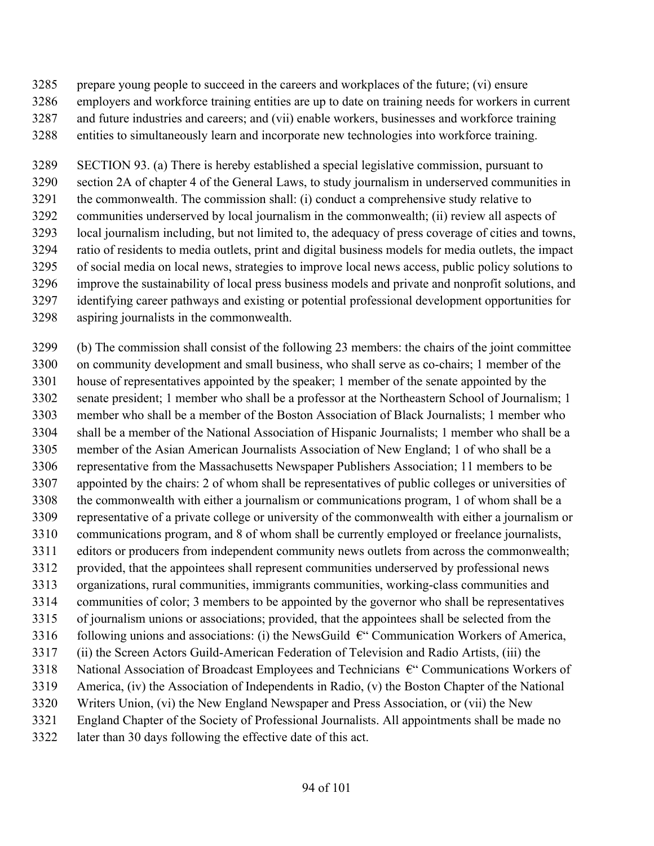- prepare young people to succeed in the careers and workplaces of the future; (vi) ensure
- employers and workforce training entities are up to date on training needs for workers in current
- and future industries and careers; and (vii) enable workers, businesses and workforce training
- entities to simultaneously learn and incorporate new technologies into workforce training.

 SECTION 93. (a) There is hereby established a special legislative commission, pursuant to section 2A of chapter 4 of the General Laws, to study journalism in underserved communities in the commonwealth. The commission shall: (i) conduct a comprehensive study relative to communities underserved by local journalism in the commonwealth; (ii) review all aspects of local journalism including, but not limited to, the adequacy of press coverage of cities and towns, ratio of residents to media outlets, print and digital business models for media outlets, the impact of social media on local news, strategies to improve local news access, public policy solutions to improve the sustainability of local press business models and private and nonprofit solutions, and identifying career pathways and existing or potential professional development opportunities for aspiring journalists in the commonwealth.

 (b) The commission shall consist of the following 23 members: the chairs of the joint committee on community development and small business, who shall serve as co-chairs; 1 member of the house of representatives appointed by the speaker; 1 member of the senate appointed by the senate president; 1 member who shall be a professor at the Northeastern School of Journalism; 1 member who shall be a member of the Boston Association of Black Journalists; 1 member who shall be a member of the National Association of Hispanic Journalists; 1 member who shall be a member of the Asian American Journalists Association of New England; 1 of who shall be a representative from the Massachusetts Newspaper Publishers Association; 11 members to be appointed by the chairs: 2 of whom shall be representatives of public colleges or universities of the commonwealth with either a journalism or communications program, 1 of whom shall be a representative of a private college or university of the commonwealth with either a journalism or communications program, and 8 of whom shall be currently employed or freelance journalists, editors or producers from independent community news outlets from across the commonwealth; provided, that the appointees shall represent communities underserved by professional news organizations, rural communities, immigrants communities, working-class communities and communities of color; 3 members to be appointed by the governor who shall be representatives of journalism unions or associations; provided, that the appointees shall be selected from the 3316 following unions and associations: (i) the NewsGuild  $\epsilon$ " Communication Workers of America, (ii) the Screen Actors Guild-American Federation of Television and Radio Artists, (iii) the 3318 National Association of Broadcast Employees and Technicians  $\epsilon$ " Communications Workers of America, (iv) the Association of Independents in Radio, (v) the Boston Chapter of the National Writers Union, (vi) the New England Newspaper and Press Association, or (vii) the New England Chapter of the Society of Professional Journalists. All appointments shall be made no later than 30 days following the effective date of this act.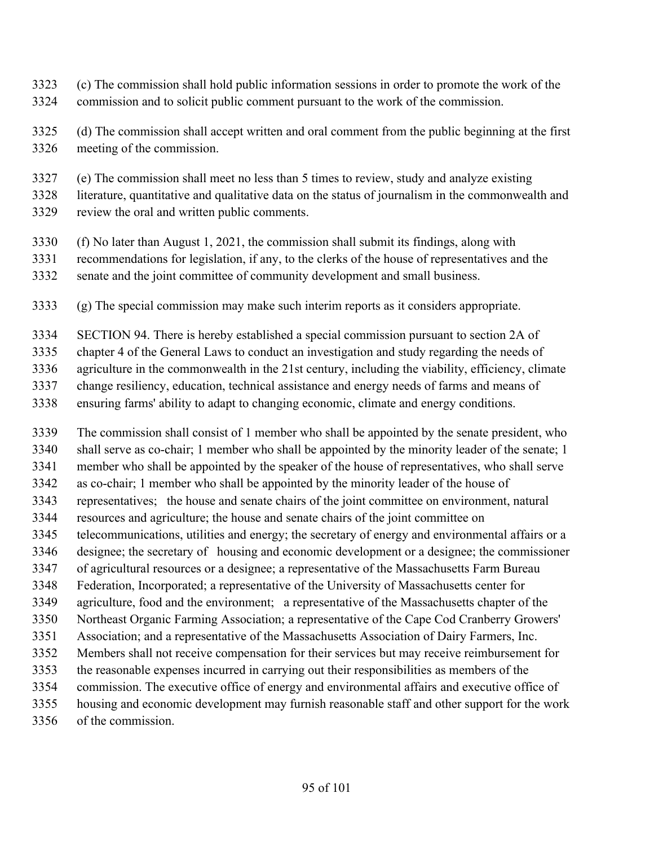- (c) The commission shall hold public information sessions in order to promote the work of the commission and to solicit public comment pursuant to the work of the commission.
- (d) The commission shall accept written and oral comment from the public beginning at the first meeting of the commission.
- (e) The commission shall meet no less than 5 times to review, study and analyze existing
- literature, quantitative and qualitative data on the status of journalism in the commonwealth and
- review the oral and written public comments.
- (f) No later than August 1, 2021, the commission shall submit its findings, along with
- recommendations for legislation, if any, to the clerks of the house of representatives and the senate and the joint committee of community development and small business.
- (g) The special commission may make such interim reports as it considers appropriate.
- SECTION 94. There is hereby established a special commission pursuant to section 2A of
- chapter 4 of the General Laws to conduct an investigation and study regarding the needs of
- agriculture in the commonwealth in the 21st century, including the viability, efficiency, climate
- change resiliency, education, technical assistance and energy needs of farms and means of
- ensuring farms' ability to adapt to changing economic, climate and energy conditions.
- The commission shall consist of 1 member who shall be appointed by the senate president, who shall serve as co-chair; 1 member who shall be appointed by the minority leader of the senate; 1 member who shall be appointed by the speaker of the house of representatives, who shall serve as co-chair; 1 member who shall be appointed by the minority leader of the house of representatives; the house and senate chairs of the joint committee on environment, natural resources and agriculture; the house and senate chairs of the joint committee on telecommunications, utilities and energy; the secretary of energy and environmental affairs or a designee; the secretary of housing and economic development or a designee; the commissioner of agricultural resources or a designee; a representative of the Massachusetts Farm Bureau Federation, Incorporated; a representative of the University of Massachusetts center for agriculture, food and the environment; a representative of the Massachusetts chapter of the Northeast Organic Farming Association; a representative of the Cape Cod Cranberry Growers' Association; and a representative of the Massachusetts Association of Dairy Farmers, Inc. Members shall not receive compensation for their services but may receive reimbursement for the reasonable expenses incurred in carrying out their responsibilities as members of the commission. The executive office of energy and environmental affairs and executive office of housing and economic development may furnish reasonable staff and other support for the work of the commission.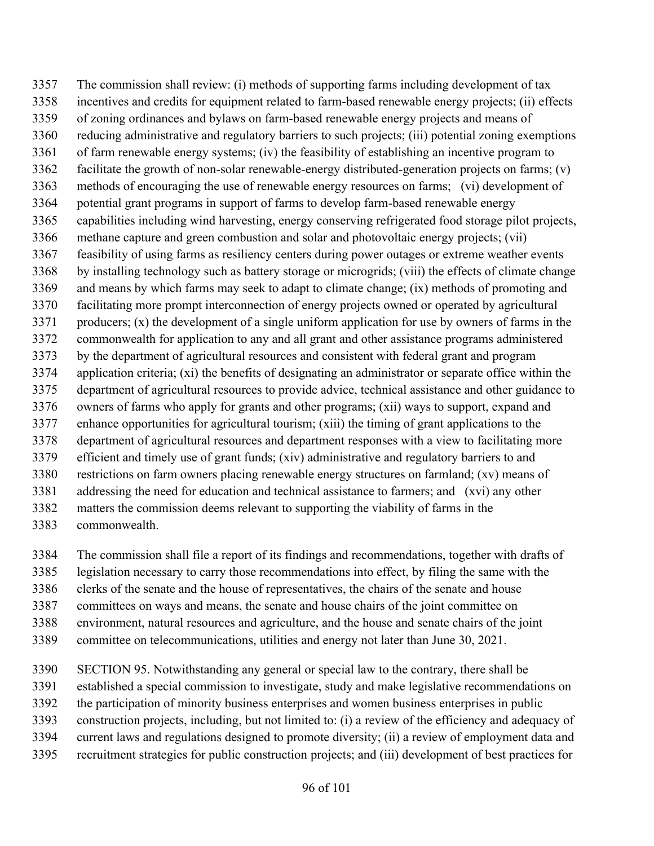The commission shall review: (i) methods of supporting farms including development of tax incentives and credits for equipment related to farm-based renewable energy projects; (ii) effects of zoning ordinances and bylaws on farm-based renewable energy projects and means of reducing administrative and regulatory barriers to such projects; (iii) potential zoning exemptions of farm renewable energy systems; (iv) the feasibility of establishing an incentive program to facilitate the growth of non-solar renewable-energy distributed-generation projects on farms; (v) methods of encouraging the use of renewable energy resources on farms; (vi) development of potential grant programs in support of farms to develop farm-based renewable energy capabilities including wind harvesting, energy conserving refrigerated food storage pilot projects, methane capture and green combustion and solar and photovoltaic energy projects; (vii) feasibility of using farms as resiliency centers during power outages or extreme weather events by installing technology such as battery storage or microgrids; (viii) the effects of climate change and means by which farms may seek to adapt to climate change; (ix) methods of promoting and facilitating more prompt interconnection of energy projects owned or operated by agricultural producers; (x) the development of a single uniform application for use by owners of farms in the commonwealth for application to any and all grant and other assistance programs administered by the department of agricultural resources and consistent with federal grant and program application criteria; (xi) the benefits of designating an administrator or separate office within the department of agricultural resources to provide advice, technical assistance and other guidance to owners of farms who apply for grants and other programs; (xii) ways to support, expand and enhance opportunities for agricultural tourism; (xiii) the timing of grant applications to the department of agricultural resources and department responses with a view to facilitating more efficient and timely use of grant funds; (xiv) administrative and regulatory barriers to and restrictions on farm owners placing renewable energy structures on farmland; (xv) means of addressing the need for education and technical assistance to farmers; and (xvi) any other matters the commission deems relevant to supporting the viability of farms in the commonwealth.

 The commission shall file a report of its findings and recommendations, together with drafts of legislation necessary to carry those recommendations into effect, by filing the same with the

clerks of the senate and the house of representatives, the chairs of the senate and house

committees on ways and means, the senate and house chairs of the joint committee on

environment, natural resources and agriculture, and the house and senate chairs of the joint

committee on telecommunications, utilities and energy not later than June 30, 2021.

SECTION 95. Notwithstanding any general or special law to the contrary, there shall be

established a special commission to investigate, study and make legislative recommendations on

the participation of minority business enterprises and women business enterprises in public

construction projects, including, but not limited to: (i) a review of the efficiency and adequacy of

current laws and regulations designed to promote diversity; (ii) a review of employment data and

recruitment strategies for public construction projects; and (iii) development of best practices for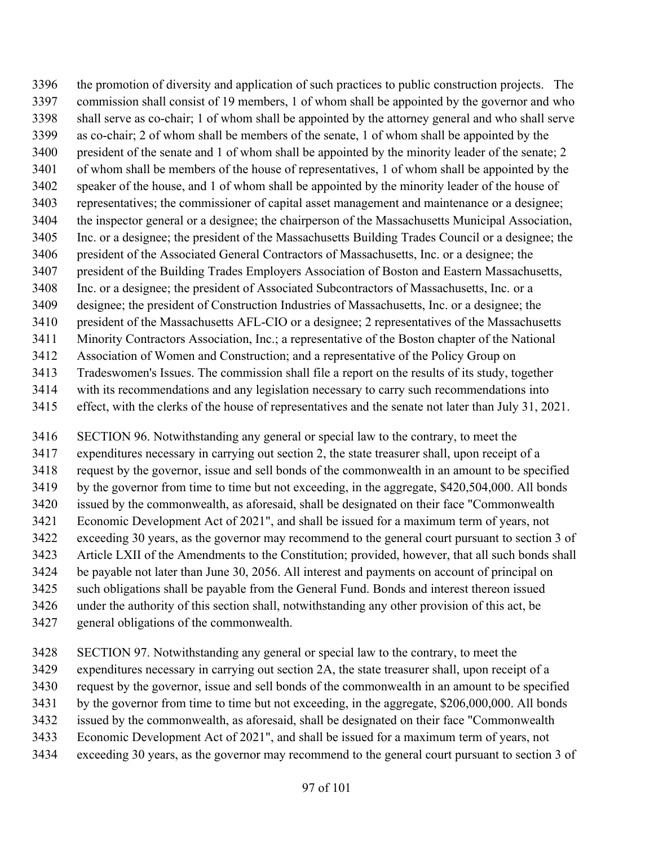the promotion of diversity and application of such practices to public construction projects. The commission shall consist of 19 members, 1 of whom shall be appointed by the governor and who shall serve as co-chair; 1 of whom shall be appointed by the attorney general and who shall serve as co-chair; 2 of whom shall be members of the senate, 1 of whom shall be appointed by the president of the senate and 1 of whom shall be appointed by the minority leader of the senate; 2 of whom shall be members of the house of representatives, 1 of whom shall be appointed by the speaker of the house, and 1 of whom shall be appointed by the minority leader of the house of representatives; the commissioner of capital asset management and maintenance or a designee; the inspector general or a designee; the chairperson of the Massachusetts Municipal Association, Inc. or a designee; the president of the Massachusetts Building Trades Council or a designee; the president of the Associated General Contractors of Massachusetts, Inc. or a designee; the president of the Building Trades Employers Association of Boston and Eastern Massachusetts, Inc. or a designee; the president of Associated Subcontractors of Massachusetts, Inc. or a designee; the president of Construction Industries of Massachusetts, Inc. or a designee; the president of the Massachusetts AFL-CIO or a designee; 2 representatives of the Massachusetts Minority Contractors Association, Inc.; a representative of the Boston chapter of the National Association of Women and Construction; and a representative of the Policy Group on Tradeswomen's Issues. The commission shall file a report on the results of its study, together with its recommendations and any legislation necessary to carry such recommendations into effect, with the clerks of the house of representatives and the senate not later than July 31, 2021.

 SECTION 96. Notwithstanding any general or special law to the contrary, to meet the expenditures necessary in carrying out section 2, the state treasurer shall, upon receipt of a request by the governor, issue and sell bonds of the commonwealth in an amount to be specified by the governor from time to time but not exceeding, in the aggregate, \$420,504,000. All bonds issued by the commonwealth, as aforesaid, shall be designated on their face "Commonwealth Economic Development Act of 2021", and shall be issued for a maximum term of years, not exceeding 30 years, as the governor may recommend to the general court pursuant to section 3 of Article LXII of the Amendments to the Constitution; provided, however, that all such bonds shall be payable not later than June 30, 2056. All interest and payments on account of principal on such obligations shall be payable from the General Fund. Bonds and interest thereon issued under the authority of this section shall, notwithstanding any other provision of this act, be general obligations of the commonwealth.

- 
- SECTION 97. Notwithstanding any general or special law to the contrary, to meet the
- expenditures necessary in carrying out section 2A, the state treasurer shall, upon receipt of a
- request by the governor, issue and sell bonds of the commonwealth in an amount to be specified
- by the governor from time to time but not exceeding, in the aggregate, \$206,000,000. All bonds
- issued by the commonwealth, as aforesaid, shall be designated on their face "Commonwealth
- Economic Development Act of 2021", and shall be issued for a maximum term of years, not
- exceeding 30 years, as the governor may recommend to the general court pursuant to section 3 of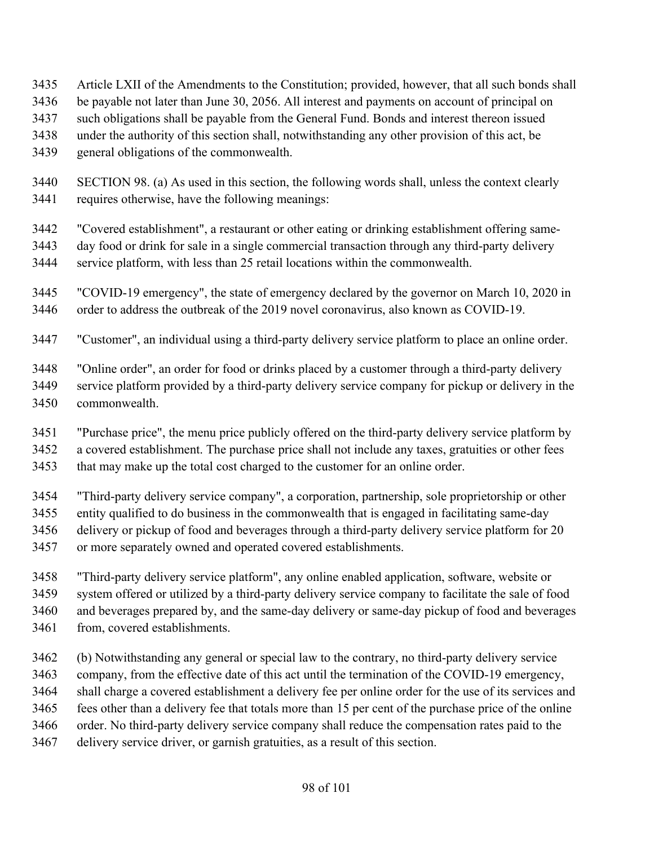- Article LXII of the Amendments to the Constitution; provided, however, that all such bonds shall
- be payable not later than June 30, 2056. All interest and payments on account of principal on
- such obligations shall be payable from the General Fund. Bonds and interest thereon issued
- under the authority of this section shall, notwithstanding any other provision of this act, be
- general obligations of the commonwealth.
- SECTION 98. (a) As used in this section, the following words shall, unless the context clearly requires otherwise, have the following meanings:
- "Covered establishment", a restaurant or other eating or drinking establishment offering same- day food or drink for sale in a single commercial transaction through any third-party delivery service platform, with less than 25 retail locations within the commonwealth.
- "COVID-19 emergency", the state of emergency declared by the governor on March 10, 2020 in 3446 order to address the outbreak of the 2019 novel coronavirus, also known as COVID-19.
- "Customer", an individual using a third-party delivery service platform to place an online order.
- "Online order", an order for food or drinks placed by a customer through a third-party delivery
- service platform provided by a third-party delivery service company for pickup or delivery in the
- commonwealth.
- "Purchase price", the menu price publicly offered on the third-party delivery service platform by
- a covered establishment. The purchase price shall not include any taxes, gratuities or other fees
- that may make up the total cost charged to the customer for an online order.
- "Third-party delivery service company", a corporation, partnership, sole proprietorship or other
- entity qualified to do business in the commonwealth that is engaged in facilitating same-day
- delivery or pickup of food and beverages through a third-party delivery service platform for 20
- or more separately owned and operated covered establishments.
- "Third-party delivery service platform", any online enabled application, software, website or system offered or utilized by a third-party delivery service company to facilitate the sale of food and beverages prepared by, and the same-day delivery or same-day pickup of food and beverages
- from, covered establishments.
- (b) Notwithstanding any general or special law to the contrary, no third-party delivery service
- company, from the effective date of this act until the termination of the COVID-19 emergency,
- shall charge a covered establishment a delivery fee per online order for the use of its services and
- fees other than a delivery fee that totals more than 15 per cent of the purchase price of the online
- order. No third-party delivery service company shall reduce the compensation rates paid to the
- delivery service driver, or garnish gratuities, as a result of this section.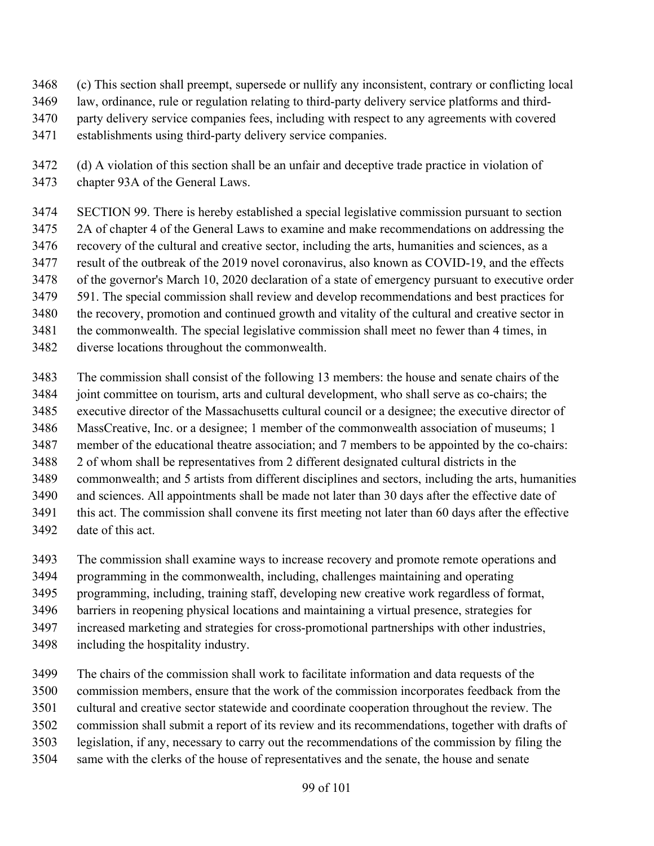- (c) This section shall preempt, supersede or nullify any inconsistent, contrary or conflicting local
- law, ordinance, rule or regulation relating to third-party delivery service platforms and third-
- party delivery service companies fees, including with respect to any agreements with covered
- establishments using third-party delivery service companies.
- (d) A violation of this section shall be an unfair and deceptive trade practice in violation of chapter 93A of the General Laws.
- SECTION 99. There is hereby established a special legislative commission pursuant to section
- 2A of chapter 4 of the General Laws to examine and make recommendations on addressing the recovery of the cultural and creative sector, including the arts, humanities and sciences, as a
- result of the outbreak of the 2019 novel coronavirus, also known as COVID-19, and the effects
- of the governor's March 10, 2020 declaration of a state of emergency pursuant to executive order
- 591. The special commission shall review and develop recommendations and best practices for
- the recovery, promotion and continued growth and vitality of the cultural and creative sector in
- the commonwealth. The special legislative commission shall meet no fewer than 4 times, in
- diverse locations throughout the commonwealth.
- The commission shall consist of the following 13 members: the house and senate chairs of the joint committee on tourism, arts and cultural development, who shall serve as co-chairs; the executive director of the Massachusetts cultural council or a designee; the executive director of MassCreative, Inc. or a designee; 1 member of the commonwealth association of museums; 1 member of the educational theatre association; and 7 members to be appointed by the co-chairs: 2 of whom shall be representatives from 2 different designated cultural districts in the commonwealth; and 5 artists from different disciplines and sectors, including the arts, humanities and sciences. All appointments shall be made not later than 30 days after the effective date of this act. The commission shall convene its first meeting not later than 60 days after the effective date of this act.
- The commission shall examine ways to increase recovery and promote remote operations and programming in the commonwealth, including, challenges maintaining and operating
- programming, including, training staff, developing new creative work regardless of format,
- barriers in reopening physical locations and maintaining a virtual presence, strategies for
- increased marketing and strategies for cross-promotional partnerships with other industries,
- including the hospitality industry.
- The chairs of the commission shall work to facilitate information and data requests of the commission members, ensure that the work of the commission incorporates feedback from the
- cultural and creative sector statewide and coordinate cooperation throughout the review. The
- commission shall submit a report of its review and its recommendations, together with drafts of
- legislation, if any, necessary to carry out the recommendations of the commission by filing the
- same with the clerks of the house of representatives and the senate, the house and senate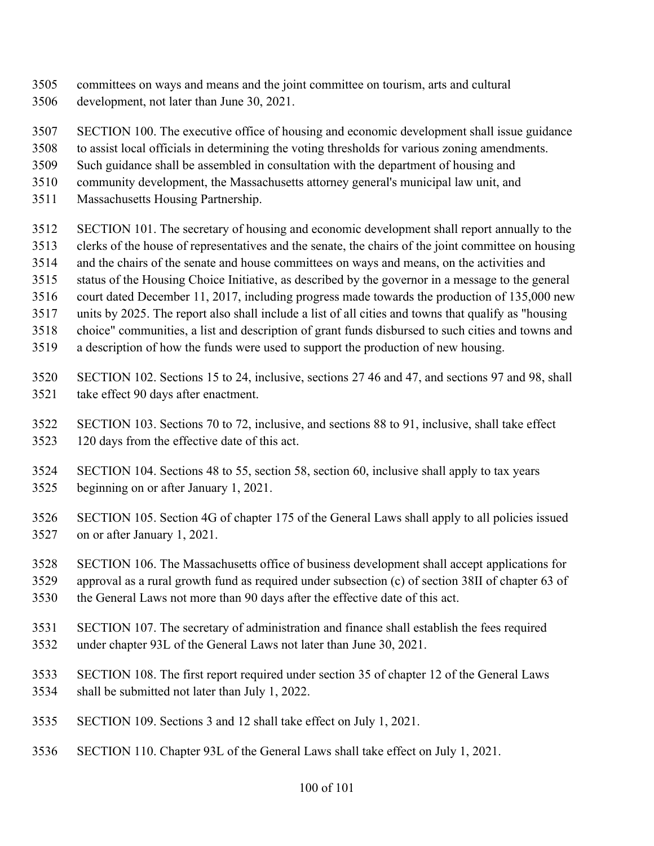- committees on ways and means and the joint committee on tourism, arts and cultural
- development, not later than June 30, 2021.
- SECTION 100. The executive office of housing and economic development shall issue guidance
- to assist local officials in determining the voting thresholds for various zoning amendments.
- Such guidance shall be assembled in consultation with the department of housing and
- community development, the Massachusetts attorney general's municipal law unit, and
- Massachusetts Housing Partnership.
- SECTION 101. The secretary of housing and economic development shall report annually to the
- clerks of the house of representatives and the senate, the chairs of the joint committee on housing
- and the chairs of the senate and house committees on ways and means, on the activities and
- status of the Housing Choice Initiative, as described by the governor in a message to the general
- court dated December 11, 2017, including progress made towards the production of 135,000 new
- units by 2025. The report also shall include a list of all cities and towns that qualify as "housing
- choice" communities, a list and description of grant funds disbursed to such cities and towns and
- a description of how the funds were used to support the production of new housing.
- SECTION 102. Sections 15 to 24, inclusive, sections 27 46 and 47, and sections 97 and 98, shall take effect 90 days after enactment.
- SECTION 103. Sections 70 to 72, inclusive, and sections 88 to 91, inclusive, shall take effect 120 days from the effective date of this act.
- SECTION 104. Sections 48 to 55, section 58, section 60, inclusive shall apply to tax years beginning on or after January 1, 2021.
- SECTION 105. Section 4G of chapter 175 of the General Laws shall apply to all policies issued on or after January 1, 2021.
- SECTION 106. The Massachusetts office of business development shall accept applications for
- approval as a rural growth fund as required under subsection (c) of section 38II of chapter 63 of
- the General Laws not more than 90 days after the effective date of this act.
- SECTION 107. The secretary of administration and finance shall establish the fees required
- under chapter 93L of the General Laws not later than June 30, 2021.
- SECTION 108. The first report required under section 35 of chapter 12 of the General Laws shall be submitted not later than July 1, 2022.
- SECTION 109. Sections 3 and 12 shall take effect on July 1, 2021.
- SECTION 110. Chapter 93L of the General Laws shall take effect on July 1, 2021.